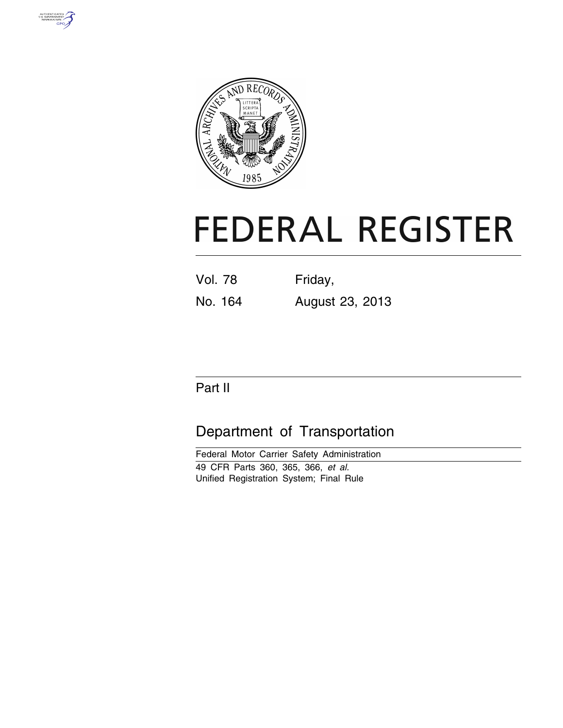



# **FEDERAL REGISTER**

| Vol. 78 | Friday, |
|---------|---------|
|         |         |

No. 164 August 23, 2013

# Part II

# Department of Transportation

Federal Motor Carrier Safety Administration 49 CFR Parts 360, 365, 366, *et al.*  Unified Registration System; Final Rule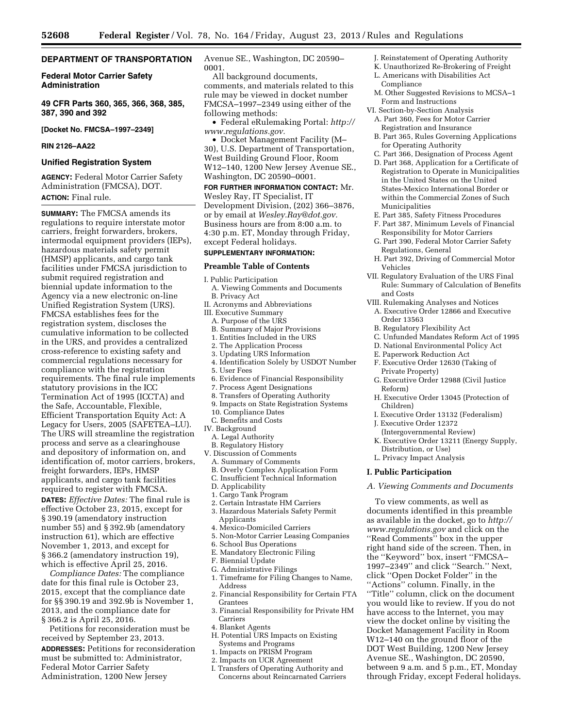# **DEPARTMENT OF TRANSPORTATION**

**Federal Motor Carrier Safety Administration** 

**49 CFR Parts 360, 365, 366, 368, 385, 387, 390 and 392** 

**[Docket No. FMCSA–1997–2349]** 

#### **RIN 2126–AA22**

#### **Unified Registration System**

**AGENCY:** Federal Motor Carrier Safety Administration (FMCSA), DOT. **ACTION:** Final rule.

**SUMMARY:** The FMCSA amends its regulations to require interstate motor carriers, freight forwarders, brokers, intermodal equipment providers (IEPs), hazardous materials safety permit (HMSP) applicants, and cargo tank facilities under FMCSA jurisdiction to submit required registration and biennial update information to the Agency via a new electronic on-line Unified Registration System (URS). FMCSA establishes fees for the registration system, discloses the cumulative information to be collected in the URS, and provides a centralized cross-reference to existing safety and commercial regulations necessary for compliance with the registration requirements. The final rule implements statutory provisions in the ICC Termination Act of 1995 (ICCTA) and the Safe, Accountable, Flexible, Efficient Transportation Equity Act: A Legacy for Users, 2005 (SAFETEA–LU). The URS will streamline the registration process and serve as a clearinghouse and depository of information on, and identification of, motor carriers, brokers, freight forwarders, IEPs, HMSP applicants, and cargo tank facilities required to register with FMCSA.

**DATES:** *Effective Dates:* The final rule is effective October 23, 2015, except for § 390.19 (amendatory instruction number 55) and § 392.9b (amendatory instruction 61), which are effective November 1, 2013, and except for § 366.2 (amendatory instruction 19), which is effective April 25, 2016.

*Compliance Dates:* The compliance date for this final rule is October 23, 2015, except that the compliance date for §§ 390.19 and 392.9b is November 1, 2013, and the compliance date for § 366.2 is April 25, 2016.

Petitions for reconsideration must be received by September 23, 2013.

**ADDRESSES:** Petitions for reconsideration must be submitted to: Administrator, Federal Motor Carrier Safety Administration, 1200 New Jersey

Avenue SE., Washington, DC 20590– 0001.

All background documents, comments, and materials related to this rule may be viewed in docket number FMCSA–1997–2349 using either of the following methods:

• Federal eRulemaking Portal: *[http://](http://www.regulations.gov) [www.regulations.gov.](http://www.regulations.gov)* 

• Docket Management Facility (M– 30), U.S. Department of Transportation, West Building Ground Floor, Room W12–140, 1200 New Jersey Avenue SE., Washington, DC 20590–0001.

# **FOR FURTHER INFORMATION CONTACT:** Mr.

Wesley Ray, IT Specialist, IT Development Division, (202) 366–3876, or by email at *[Wesley.Ray@dot.gov.](mailto:Wesley.Ray@dot.gov)*  Business hours are from 8:00 a.m. to 4:30 p.m. ET, Monday through Friday, except Federal holidays.

# **SUPPLEMENTARY INFORMATION:**

# **Preamble Table of Contents**

I. Public Participation

- A. Viewing Comments and Documents B. Privacy Act
- II. Acronyms and Abbreviations
- III. Executive Summary
- A. Purpose of the URS
- B. Summary of Major Provisions
- 1. Entities Included in the URS
- 2. The Application Process
- 3. Updating URS Information
- 4. Identification Solely by USDOT Number
- 5. User Fees
- 6. Evidence of Financial Responsibility
- 7. Process Agent Designations
- 8. Transfers of Operating Authority
- 9. Impacts on State Registration Systems
- 10. Compliance Dates
- C. Benefits and Costs
- IV. Background
- A. Legal Authority
- B. Regulatory History
- V. Discussion of Comments
- A. Summary of Comments
- B. Overly Complex Application Form
- C. Insufficient Technical Information
- D. Applicability
- 1. Cargo Tank Program
- 2. Certain Intrastate HM Carriers
- 3. Hazardous Materials Safety Permit Applicants
- 4. Mexico-Domiciled Carriers
- 5. Non-Motor Carrier Leasing Companies
- 6. School Bus Operations
- E. Mandatory Electronic Filing
- F. Biennial Update
- G. Administrative Filings
- 1. Timeframe for Filing Changes to Name, Address
- 2. Financial Responsibility for Certain FTA Grantees
- 3. Financial Responsibility for Private HM Carriers
- 4. Blanket Agents
- H. Potential URS Impacts on Existing Systems and Programs
- 1. Impacts on PRISM Program
- 2. Impacts on UCR Agreement
- I. Transfers of Operating Authority and Concerns about Reincarnated Carriers
- J. Reinstatement of Operating Authority
- K. Unauthorized Re-Brokering of Freight
- L. Americans with Disabilities Act Compliance
- M. Other Suggested Revisions to MCSA–1 Form and Instructions
- VI. Section-by-Section Analysis
	- A. Part 360, Fees for Motor Carrier Registration and Insurance
	- B. Part 365, Rules Governing Applications for Operating Authority
	- C. Part 366, Designation of Process Agent
	- D. Part 368, Application for a Certificate of Registration to Operate in Municipalities in the United States on the United States-Mexico International Border or within the Commercial Zones of Such Municipalities
	- E. Part 385, Safety Fitness Procedures
	- F. Part 387, Minimum Levels of Financial Responsibility for Motor Carriers
- G. Part 390, Federal Motor Carrier Safety Regulations, General
- H. Part 392, Driving of Commercial Motor Vehicles
- VII. Regulatory Evaluation of the URS Final Rule: Summary of Calculation of Benefits and Costs
- VIII. Rulemaking Analyses and Notices
- A. Executive Order 12866 and Executive Order 13563
- B. Regulatory Flexibility Act
- C. Unfunded Mandates Reform Act of 1995
- D. National Environmental Policy Act
- E. Paperwork Reduction Act
- F. Executive Order 12630 (Taking of Private Property)
- G. Executive Order 12988 (Civil Justice Reform)
- H. Executive Order 13045 (Protection of Children)
- I. Executive Order 13132 (Federalism)
- J. Executive Order 12372 (Intergovernmental Review)
- K. Executive Order 13211 (Energy Supply, Distribution, or Use)
- L. Privacy Impact Analysis

#### **I. Public Participation**

#### *A. Viewing Comments and Documents*

To view comments, as well as documents identified in this preamble as available in the docket, go to *[http://](http://www.regulations.gov) [www.regulations.gov](http://www.regulations.gov)* and click on the ''Read Comments'' box in the upper right hand side of the screen. Then, in the ''Keyword'' box, insert ''FMCSA– 1997–2349'' and click ''Search.'' Next, click ''Open Docket Folder'' in the ''Actions'' column. Finally, in the ''Title'' column, click on the document you would like to review. If you do not have access to the Internet, you may view the docket online by visiting the Docket Management Facility in Room W12–140 on the ground floor of the DOT West Building, 1200 New Jersey Avenue SE., Washington, DC 20590, between 9 a.m. and 5 p.m., ET, Monday through Friday, except Federal holidays.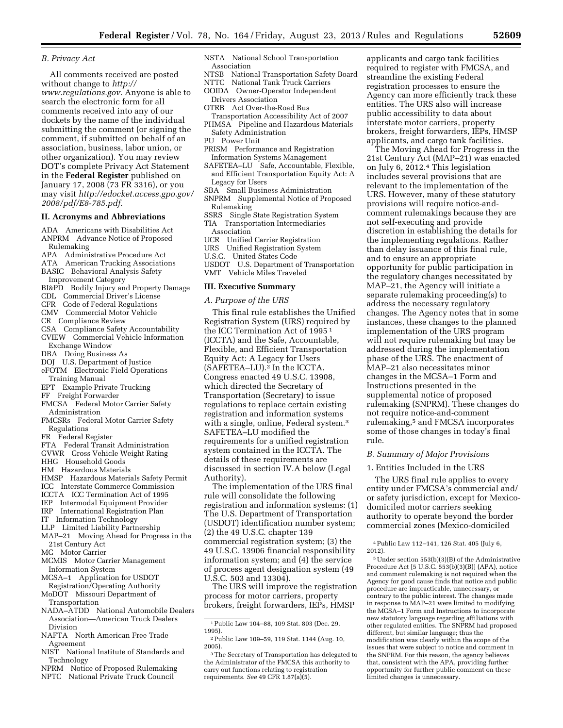#### *B. Privacy Act*

All comments received are posted without change to *[http://](http://www.regulations.gov) [www.regulations.gov.](http://www.regulations.gov)* Anyone is able to search the electronic form for all comments received into any of our dockets by the name of the individual submitting the comment (or signing the comment, if submitted on behalf of an association, business, labor union, or other organization). You may review DOT's complete Privacy Act Statement in the **Federal Register** published on January 17, 2008 (73 FR 3316), or you may visit *[http://edocket.access.gpo.gov/](http://edocket.access.gpo.gov/2008/pdf/E8-785.pdf)  [2008/pdf/E8-785.pdf.](http://edocket.access.gpo.gov/2008/pdf/E8-785.pdf)* 

#### **II. Acronyms and Abbreviations**

- ADA Americans with Disabilities Act ANPRM Advance Notice of Proposed Rulemaking
- APA Administrative Procedure Act
- ATA American Trucking Associations
- BASIC Behavioral Analysis Safety
- Improvement Category
- BI&PD Bodily Injury and Property Damage
- CDL Commercial Driver's License
- CFR Code of Federal Regulations
- CMV Commercial Motor Vehicle
- CR Compliance Review
- CSA Compliance Safety Accountability CVIEW Commercial Vehicle Information
- Exchange Window
- DBA Doing Business As
- DOJ U.S. Department of Justice eFOTM Electronic Field Operations
- Training Manual
- EPT Example Private Trucking
- FF Freight Forwarder
- FMCSA Federal Motor Carrier Safety Administration
- FMCSRs Federal Motor Carrier Safety Regulations
- FR Federal Register
- FTA Federal Transit Administration
- GVWR Gross Vehicle Weight Rating
- HHG Household Goods
- HM Hazardous Materials
- HMSP Hazardous Materials Safety Permit
- ICC Interstate Commerce Commission
- ICCTA ICC Termination Act of 1995
- IEP Intermodal Equipment Provider
- IRP International Registration Plan
- IT Information Technology
- LLP Limited Liability Partnership
- MAP–21 Moving Ahead for Progress in the 21st Century Act
- MC Motor Carrier
- MCMIS Motor Carrier Management Information System
- MCSA–1 Application for USDOT Registration/Operating Authority
- MoDOT Missouri Department of Transportation
- NADA–ATDD National Automobile Dealers Association—American Truck Dealers Division
- NAFTA North American Free Trade Agreement
- NIST National Institute of Standards and Technology
- NPRM Notice of Proposed Rulemaking
- NPTC National Private Truck Council
- NSTA National School Transportation Association
- NTSB National Transportation Safety Board
- NTTC National Tank Truck Carriers
- OOIDA Owner-Operator Independent Drivers Association
- OTRB Act Over-the-Road Bus Transportation Accessibility Act of 2007
- PHMSA Pipeline and Hazardous Materials Safety Administration
- PU Power Unit
- PRISM Performance and Registration Information Systems Management
- SAFETEA–LU Safe, Accountable, Flexible, and Efficient Transportation Equity Act: A Legacy for Users
- SBA Small Business Administration
- SNPRM Supplemental Notice of Proposed Rulemaking
- SSRS Single State Registration System TIA Transportation Intermediaries
- Association
- UCR Unified Carrier Registration
- URS Unified Registration System
- U.S.C. United States Code
- USDOT U.S. Department of Transportation
- VMT Vehicle Miles Traveled

#### **III. Executive Summary**

*A. Purpose of the URS* 

This final rule establishes the Unified Registration System (URS) required by the ICC Termination Act of 1995 1 (ICCTA) and the Safe, Accountable, Flexible, and Efficient Transportation Equity Act: A Legacy for Users (SAFETEA–LU).2 In the ICCTA, Congress enacted 49 U.S.C. 13908, which directed the Secretary of Transportation (Secretary) to issue regulations to replace certain existing registration and information systems with a single, online, Federal system.3 SAFETEA–LU modified the requirements for a unified registration system contained in the ICCTA. The details of these requirements are discussed in section IV.A below (Legal Authority).

The implementation of the URS final rule will consolidate the following registration and information systems: (1) The U.S. Department of Transportation (USDOT) identification number system; (2) the 49 U.S.C. chapter 139 commercial registration system; (3) the 49 U.S.C. 13906 financial responsibility information system; and (4) the service of process agent designation system (49 U.S.C. 503 and 13304).

The URS will improve the registration process for motor carriers, property brokers, freight forwarders, IEPs, HMSP

applicants and cargo tank facilities required to register with FMCSA, and streamline the existing Federal registration processes to ensure the Agency can more efficiently track these entities. The URS also will increase public accessibility to data about interstate motor carriers, property brokers, freight forwarders, IEPs, HMSP applicants, and cargo tank facilities.

The Moving Ahead for Progress in the 21st Century Act (MAP–21) was enacted on July 6, 2012.4 This legislation includes several provisions that are relevant to the implementation of the URS. However, many of these statutory provisions will require notice-andcomment rulemakings because they are not self-executing and provide discretion in establishing the details for the implementing regulations. Rather than delay issuance of this final rule, and to ensure an appropriate opportunity for public participation in the regulatory changes necessitated by MAP–21, the Agency will initiate a separate rulemaking proceeding(s) to address the necessary regulatory changes. The Agency notes that in some instances, these changes to the planned implementation of the URS program will not require rulemaking but may be addressed during the implementation phase of the URS. The enactment of MAP–21 also necessitates minor changes in the MCSA–1 Form and Instructions presented in the supplemental notice of proposed rulemaking (SNPRM). These changes do not require notice-and-comment rulemaking,5 and FMCSA incorporates some of those changes in today's final rule.

#### *B. Summary of Major Provisions*

#### 1. Entities Included in the URS

The URS final rule applies to every entity under FMCSA's commercial and/ or safety jurisdiction, except for Mexicodomiciled motor carriers seeking authority to operate beyond the border commercial zones (Mexico-domiciled

<sup>1</sup>Public Law 104–88, 109 Stat. 803 (Dec. 29, 1995).

<sup>2</sup>Public Law 109–59, 119 Stat. 1144 (Aug. 10, 2005).

<sup>3</sup>The Secretary of Transportation has delegated to the Administrator of the FMCSA this authority to carry out functions relating to registration requirements. *See* 49 CFR 1.87(a)(5).

<sup>4</sup>Public Law 112–141, 126 Stat. 405 (July 6, 2012).

<sup>5</sup>Under section 553(b)(3)(B) of the Administrative Procedure Act [5 U.S.C. 553(b)(3)(B)] (APA), notice and comment rulemaking is not required when the Agency for good cause finds that notice and public procedure are impracticable, unnecessary, or contrary to the public interest. The changes made in response to MAP–21 were limited to modifying the MCSA–1 Form and Instructions to incorporate new statutory language regarding affiliations with other regulated entities. The SNPRM had proposed different, but similar language; thus the modification was clearly within the scope of the issues that were subject to notice and comment in the SNPRM. For this reason, the agency believes that, consistent with the APA, providing further opportunity for further public comment on these limited changes is unnecessary.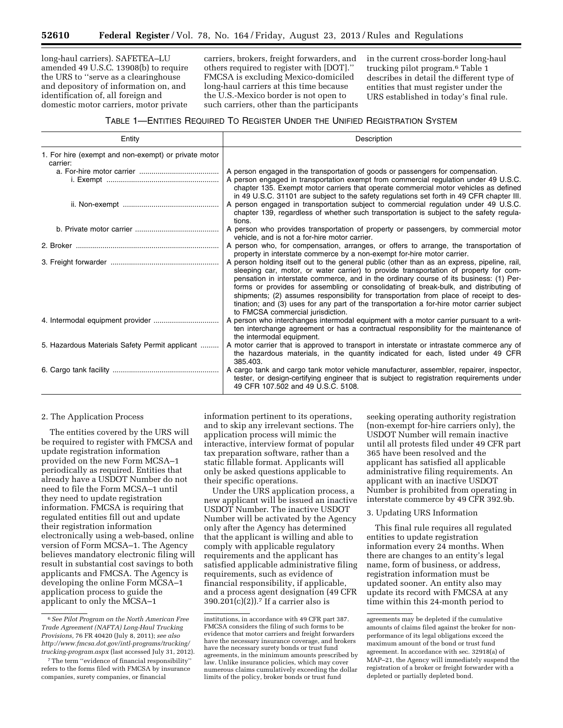long-haul carriers). SAFETEA–LU amended 49 U.S.C. 13908(b) to require the URS to ''serve as a clearinghouse and depository of information on, and identification of, all foreign and domestic motor carriers, motor private

carriers, brokers, freight forwarders, and others required to register with [DOT].'' FMCSA is excluding Mexico-domiciled long-haul carriers at this time because the U.S.-Mexico border is not open to such carriers, other than the participants

in the current cross-border long-haul trucking pilot program.6 Table 1 describes in detail the different type of entities that must register under the URS established in today's final rule.

# TABLE 1—ENTITIES REQUIRED TO REGISTER UNDER THE UNIFIED REGISTRATION SYSTEM

| Entity                                                           | Description                                                                                                                                                                                                                                                                                                                                                                                                                                                                                                                                                                                          |  |
|------------------------------------------------------------------|------------------------------------------------------------------------------------------------------------------------------------------------------------------------------------------------------------------------------------------------------------------------------------------------------------------------------------------------------------------------------------------------------------------------------------------------------------------------------------------------------------------------------------------------------------------------------------------------------|--|
| 1. For hire (exempt and non-exempt) or private motor<br>carrier: |                                                                                                                                                                                                                                                                                                                                                                                                                                                                                                                                                                                                      |  |
|                                                                  | A person engaged in the transportation of goods or passengers for compensation.<br>A person engaged in transportation exempt from commercial regulation under 49 U.S.C.<br>chapter 135. Exempt motor carriers that operate commercial motor vehicles as defined<br>in 49 U.S.C. 31101 are subject to the safety regulations set forth in 49 CFR chapter III.                                                                                                                                                                                                                                         |  |
|                                                                  | A person engaged in transportation subject to commercial regulation under 49 U.S.C.<br>chapter 139, regardless of whether such transportation is subject to the safety regula-<br>tions.                                                                                                                                                                                                                                                                                                                                                                                                             |  |
|                                                                  | A person who provides transportation of property or passengers, by commercial motor<br>vehicle, and is not a for-hire motor carrier.                                                                                                                                                                                                                                                                                                                                                                                                                                                                 |  |
|                                                                  | A person who, for compensation, arranges, or offers to arrange, the transportation of<br>property in interstate commerce by a non-exempt for-hire motor carrier.                                                                                                                                                                                                                                                                                                                                                                                                                                     |  |
|                                                                  | A person holding itself out to the general public (other than as an express, pipeline, rail,<br>sleeping car, motor, or water carrier) to provide transportation of property for com-<br>pensation in interstate commerce, and in the ordinary course of its business: (1) Per-<br>forms or provides for assembling or consolidating of break-bulk, and distributing of<br>shipments; (2) assumes responsibility for transportation from place of receipt to des-<br>tination; and (3) uses for any part of the transportation a for-hire motor carrier subject<br>to FMCSA commercial jurisdiction. |  |
|                                                                  | A person who interchanges intermodal equipment with a motor carrier pursuant to a writ-<br>ten interchange agreement or has a contractual responsibility for the maintenance of<br>the intermodal equipment.                                                                                                                                                                                                                                                                                                                                                                                         |  |
| 5. Hazardous Materials Safety Permit applicant                   | A motor carrier that is approved to transport in interstate or intrastate commerce any of<br>the hazardous materials, in the quantity indicated for each, listed under 49 CFR<br>385.403.                                                                                                                                                                                                                                                                                                                                                                                                            |  |
|                                                                  | A cargo tank and cargo tank motor vehicle manufacturer, assembler, repairer, inspector,<br>tester, or design-certifying engineer that is subject to registration requirements under<br>49 CFR 107.502 and 49 U.S.C. 5108.                                                                                                                                                                                                                                                                                                                                                                            |  |

## 2. The Application Process

The entities covered by the URS will be required to register with FMCSA and update registration information provided on the new Form MCSA–1 periodically as required. Entities that already have a USDOT Number do not need to file the Form MCSA–1 until they need to update registration information. FMCSA is requiring that regulated entities fill out and update their registration information electronically using a web-based, online version of Form MCSA–1. The Agency believes mandatory electronic filing will result in substantial cost savings to both applicants and FMCSA. The Agency is developing the online Form MCSA–1 application process to guide the applicant to only the MCSA–1

information pertinent to its operations, and to skip any irrelevant sections. The application process will mimic the interactive, interview format of popular tax preparation software, rather than a static fillable format. Applicants will only be asked questions applicable to their specific operations.

Under the URS application process, a new applicant will be issued an inactive USDOT Number. The inactive USDOT Number will be activated by the Agency only after the Agency has determined that the applicant is willing and able to comply with applicable regulatory requirements and the applicant has satisfied applicable administrative filing requirements, such as evidence of financial responsibility, if applicable, and a process agent designation (49 CFR  $390.201(c)(2)$ .<sup>7</sup> If a carrier also is

seeking operating authority registration (non-exempt for-hire carriers only), the USDOT Number will remain inactive until all protests filed under 49 CFR part 365 have been resolved and the applicant has satisfied all applicable administrative filing requirements. An applicant with an inactive USDOT Number is prohibited from operating in interstate commerce by 49 CFR 392.9b.

#### 3. Updating URS Information

This final rule requires all regulated entities to update registration information every 24 months. When there are changes to an entity's legal name, form of business, or address, registration information must be updated sooner. An entity also may update its record with FMCSA at any time within this 24-month period to

<sup>6</sup>*See Pilot Program on the North American Free Trade Agreement (NAFTA) Long-Haul Trucking Provisions,* 76 FR 40420 (July 8, 2011); *see also [http://www.fmcsa.dot.gov/intl-programs/trucking/](http://www.fmcsa.dot.gov/intl-programs/trucking/trucking-program.aspx) [trucking-program.aspx](http://www.fmcsa.dot.gov/intl-programs/trucking/trucking-program.aspx)* (last accessed July 31, 2012).

<sup>7</sup>The term ''evidence of financial responsibility'' refers to the forms filed with FMCSA by insurance companies, surety companies, or financial

institutions, in accordance with 49 CFR part 387. FMCSA considers the filing of such forms to be evidence that motor carriers and freight forwarders have the necessary insurance coverage, and brokers have the necessary surety bonds or trust fund agreements, in the minimum amounts prescribed by law. Unlike insurance policies, which may cover numerous claims cumulatively exceeding the dollar limits of the policy, broker bonds or trust fund

agreements may be depleted if the cumulative amounts of claims filed against the broker for nonperformance of its legal obligations exceed the maximum amount of the bond or trust fund agreement. In accordance with sec. 32918(a) of MAP–21, the Agency will immediately suspend the registration of a broker or freight forwarder with a depleted or partially depleted bond.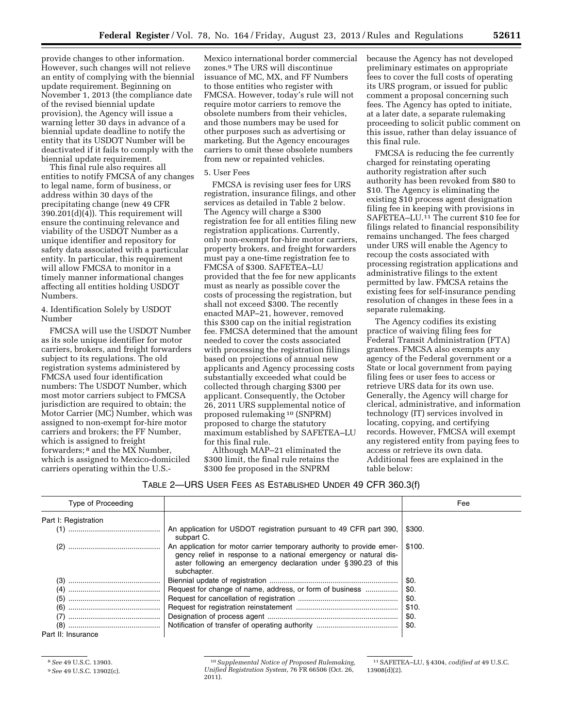provide changes to other information. However, such changes will not relieve an entity of complying with the biennial update requirement. Beginning on November 1, 2013 (the compliance date of the revised biennial update provision), the Agency will issue a warning letter 30 days in advance of a biennial update deadline to notify the entity that its USDOT Number will be deactivated if it fails to comply with the biennial update requirement.

This final rule also requires all entities to notify FMCSA of any changes to legal name, form of business, or address within 30 days of the precipitating change (new 49 CFR 390.201(d)(4)). This requirement will ensure the continuing relevance and viability of the USDOT Number as a unique identifier and repository for safety data associated with a particular entity. In particular, this requirement will allow FMCSA to monitor in a timely manner informational changes affecting all entities holding USDOT Numbers.

4. Identification Solely by USDOT Number

FMCSA will use the USDOT Number as its sole unique identifier for motor carriers, brokers, and freight forwarders subject to its regulations. The old registration systems administered by FMCSA used four identification numbers: The USDOT Number, which most motor carriers subject to FMCSA jurisdiction are required to obtain; the Motor Carrier (MC) Number, which was assigned to non-exempt for-hire motor carriers and brokers; the FF Number, which is assigned to freight forwarders; 8 and the MX Number, which is assigned to Mexico-domiciled carriers operating within the U.S.-

Mexico international border commercial zones.9 The URS will discontinue issuance of MC, MX, and FF Numbers to those entities who register with FMCSA. However, today's rule will not require motor carriers to remove the obsolete numbers from their vehicles, and those numbers may be used for other purposes such as advertising or marketing. But the Agency encourages carriers to omit these obsolete numbers from new or repainted vehicles.

# 5. User Fees

FMCSA is revising user fees for URS registration, insurance filings, and other services as detailed in Table 2 below. The Agency will charge a \$300 registration fee for all entities filing new registration applications. Currently, only non-exempt for-hire motor carriers, property brokers, and freight forwarders must pay a one-time registration fee to FMCSA of \$300. SAFETEA–LU provided that the fee for new applicants must as nearly as possible cover the costs of processing the registration, but shall not exceed \$300. The recently enacted MAP–21, however, removed this \$300 cap on the initial registration fee. FMCSA determined that the amount needed to cover the costs associated with processing the registration filings based on projections of annual new applicants and Agency processing costs substantially exceeded what could be collected through charging \$300 per applicant. Consequently, the October 26, 2011 URS supplemental notice of proposed rulemaking 10 (SNPRM) proposed to charge the statutory maximum established by SAFETEA–LU for this final rule.

Although MAP–21 eliminated the \$300 limit, the final rule retains the \$300 fee proposed in the SNPRM

because the Agency has not developed preliminary estimates on appropriate fees to cover the full costs of operating its URS program, or issued for public comment a proposal concerning such fees. The Agency has opted to initiate, at a later date, a separate rulemaking proceeding to solicit public comment on this issue, rather than delay issuance of this final rule.

FMCSA is reducing the fee currently charged for reinstating operating authority registration after such authority has been revoked from \$80 to \$10. The Agency is eliminating the existing \$10 process agent designation filing fee in keeping with provisions in SAFETEA–LU.11 The current \$10 fee for filings related to financial responsibility remains unchanged. The fees charged under URS will enable the Agency to recoup the costs associated with processing registration applications and administrative filings to the extent permitted by law. FMCSA retains the existing fees for self-insurance pending resolution of changes in these fees in a separate rulemaking.

The Agency codifies its existing practice of waiving filing fees for Federal Transit Administration (FTA) grantees. FMCSA also exempts any agency of the Federal government or a State or local government from paying filing fees or user fees to access or retrieve URS data for its own use. Generally, the Agency will charge for clerical, administrative, and information technology (IT) services involved in locating, copying, and certifying records. However, FMCSA will exempt any registered entity from paying fees to access or retrieve its own data. Additional fees are explained in the table below:

| TABLE 2—URS USER FEES AS ESTABLISHED UNDER 49 CFR 360.3(f) |  |  |  |
|------------------------------------------------------------|--|--|--|
|------------------------------------------------------------|--|--|--|

| Type of Proceeding   |                                                                                                                                                                                                                            | Fee    |
|----------------------|----------------------------------------------------------------------------------------------------------------------------------------------------------------------------------------------------------------------------|--------|
|                      |                                                                                                                                                                                                                            |        |
| Part I: Registration |                                                                                                                                                                                                                            |        |
|                      | An application for USDOT registration pursuant to 49 CFR part 390.<br>subpart C.                                                                                                                                           | \$300. |
|                      | An application for motor carrier temporary authority to provide emer-<br>gency relief in response to a national emergency or natural dis-<br>aster following an emergency declaration under §390.23 of this<br>subchapter. | \$100. |
|                      |                                                                                                                                                                                                                            | \$0.   |
|                      | Request for change of name, address, or form of business                                                                                                                                                                   | \$0.   |
| (5)                  |                                                                                                                                                                                                                            | \$0.   |
|                      |                                                                                                                                                                                                                            | \$10.  |
|                      |                                                                                                                                                                                                                            | \$0.   |
|                      |                                                                                                                                                                                                                            | \$0.   |
| Part II: Insurance   |                                                                                                                                                                                                                            |        |

<sup>8</sup>*See* 49 U.S.C. 13903.

<sup>9</sup>*See* 49 U.S.C. 13902(c).

<sup>10</sup>*Supplemental Notice of Proposed Rulemaking, Unified Registration System,* 76 FR 66506 (Oct. 26, 2011).

<sup>11</sup>SAFETEA–LU, § 4304, *codified at* 49 U.S.C. 13908(d)(2).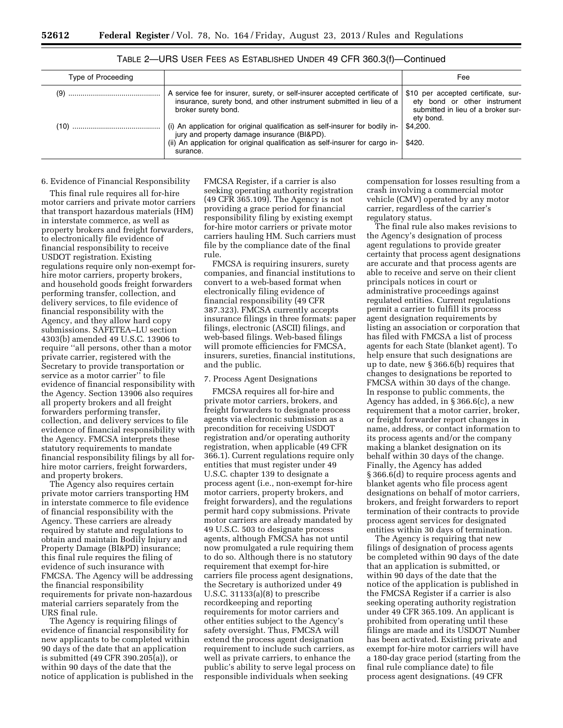| Type of Proceeding |                                                                                                                                                                                                                                       | Fee                                                                                                                    |
|--------------------|---------------------------------------------------------------------------------------------------------------------------------------------------------------------------------------------------------------------------------------|------------------------------------------------------------------------------------------------------------------------|
|                    | A service fee for insurer, surety, or self-insurer accepted certificate of<br>insurance, surety bond, and other instrument submitted in lieu of a $\vert$<br>broker surety bond.                                                      | \$10 per accepted certificate, sur-<br>ety bond or other instrument<br>submitted in lieu of a broker sur-<br>ety bond. |
|                    | (i) An application for original qualification as self-insurer for bodily in-<br>jury and property damage insurance (BI&PD).<br>(ii) An application for original qualification as self-insurer for cargo in- $\mid$ \$420.<br>surance. | \$4,200.                                                                                                               |

|  | TABLE 2—URS USER FEES AS ESTABLISHED UNDER 49 CFR 360.3(f)—Continued |
|--|----------------------------------------------------------------------|
|--|----------------------------------------------------------------------|

# 6. Evidence of Financial Responsibility

This final rule requires all for-hire motor carriers and private motor carriers that transport hazardous materials (HM) in interstate commerce, as well as property brokers and freight forwarders, to electronically file evidence of financial responsibility to receive USDOT registration. Existing regulations require only non-exempt forhire motor carriers, property brokers, and household goods freight forwarders performing transfer, collection, and delivery services, to file evidence of financial responsibility with the Agency, and they allow hard copy submissions. SAFETEA–LU section 4303(b) amended 49 U.S.C. 13906 to require ''all persons, other than a motor private carrier, registered with the Secretary to provide transportation or service as a motor carrier'' to file evidence of financial responsibility with the Agency. Section 13906 also requires all property brokers and all freight forwarders performing transfer, collection, and delivery services to file evidence of financial responsibility with the Agency. FMCSA interprets these statutory requirements to mandate financial responsibility filings by all forhire motor carriers, freight forwarders, and property brokers.

The Agency also requires certain private motor carriers transporting HM in interstate commerce to file evidence of financial responsibility with the Agency. These carriers are already required by statute and regulations to obtain and maintain Bodily Injury and Property Damage (BI&PD) insurance; this final rule requires the filing of evidence of such insurance with FMCSA. The Agency will be addressing the financial responsibility requirements for private non-hazardous material carriers separately from the URS final rule.

The Agency is requiring filings of evidence of financial responsibility for new applicants to be completed within 90 days of the date that an application is submitted (49 CFR 390.205(a)), or within 90 days of the date that the notice of application is published in the FMCSA Register, if a carrier is also seeking operating authority registration (49 CFR 365.109). The Agency is not providing a grace period for financial responsibility filing by existing exempt for-hire motor carriers or private motor carriers hauling HM. Such carriers must file by the compliance date of the final rule.

FMCSA is requiring insurers, surety companies, and financial institutions to convert to a web-based format when electronically filing evidence of financial responsibility (49 CFR 387.323). FMCSA currently accepts insurance filings in three formats: paper filings, electronic (ASCII) filings, and web-based filings. Web-based filings will promote efficiencies for FMCSA, insurers, sureties, financial institutions, and the public.

#### 7. Process Agent Designations

FMCSA requires all for-hire and private motor carriers, brokers, and freight forwarders to designate process agents via electronic submission as a precondition for receiving USDOT registration and/or operating authority registration, when applicable (49 CFR 366.1). Current regulations require only entities that must register under 49 U.S.C. chapter 139 to designate a process agent (i.e., non-exempt for-hire motor carriers, property brokers, and freight forwarders), and the regulations permit hard copy submissions. Private motor carriers are already mandated by 49 U.S.C. 503 to designate process agents, although FMCSA has not until now promulgated a rule requiring them to do so. Although there is no statutory requirement that exempt for-hire carriers file process agent designations, the Secretary is authorized under 49 U.S.C. 31133(a)(8) to prescribe recordkeeping and reporting requirements for motor carriers and other entities subject to the Agency's safety oversight. Thus, FMCSA will extend the process agent designation requirement to include such carriers, as well as private carriers, to enhance the public's ability to serve legal process on responsible individuals when seeking

compensation for losses resulting from a crash involving a commercial motor vehicle (CMV) operated by any motor carrier, regardless of the carrier's regulatory status.

The final rule also makes revisions to the Agency's designation of process agent regulations to provide greater certainty that process agent designations are accurate and that process agents are able to receive and serve on their client principals notices in court or administrative proceedings against regulated entities. Current regulations permit a carrier to fulfill its process agent designation requirements by listing an association or corporation that has filed with FMCSA a list of process agents for each State (blanket agent). To help ensure that such designations are up to date, new § 366.6(b) requires that changes to designations be reported to FMCSA within 30 days of the change. In response to public comments, the Agency has added, in § 366.6(c), a new requirement that a motor carrier, broker, or freight forwarder report changes in name, address, or contact information to its process agents and/or the company making a blanket designation on its behalf within 30 days of the change. Finally, the Agency has added § 366.6(d) to require process agents and blanket agents who file process agent designations on behalf of motor carriers, brokers, and freight forwarders to report termination of their contracts to provide process agent services for designated entities within 30 days of termination.

The Agency is requiring that new filings of designation of process agents be completed within 90 days of the date that an application is submitted, or within 90 days of the date that the notice of the application is published in the FMCSA Register if a carrier is also seeking operating authority registration under 49 CFR 365.109. An applicant is prohibited from operating until these filings are made and its USDOT Number has been activated. Existing private and exempt for-hire motor carriers will have a 180-day grace period (starting from the final rule compliance date) to file process agent designations. (49 CFR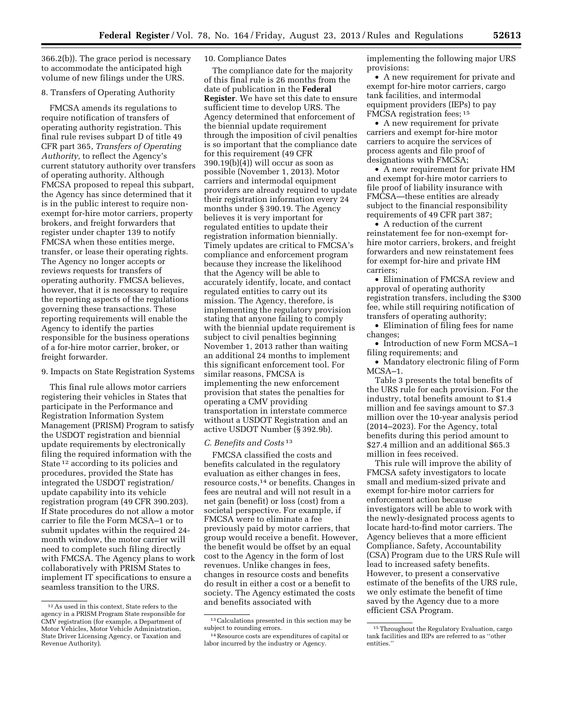366.2(b)). The grace period is necessary to accommodate the anticipated high volume of new filings under the URS.

## 8. Transfers of Operating Authority

FMCSA amends its regulations to require notification of transfers of operating authority registration. This final rule revises subpart D of title 49 CFR part 365, *Transfers of Operating Authority,* to reflect the Agency's current statutory authority over transfers of operating authority. Although FMCSA proposed to repeal this subpart, the Agency has since determined that it is in the public interest to require nonexempt for-hire motor carriers, property brokers, and freight forwarders that register under chapter 139 to notify FMCSA when these entities merge, transfer, or lease their operating rights. The Agency no longer accepts or reviews requests for transfers of operating authority. FMCSA believes, however, that it is necessary to require the reporting aspects of the regulations governing these transactions. These reporting requirements will enable the Agency to identify the parties responsible for the business operations of a for-hire motor carrier, broker, or freight forwarder.

#### 9. Impacts on State Registration Systems

This final rule allows motor carriers registering their vehicles in States that participate in the Performance and Registration Information System Management (PRISM) Program to satisfy the USDOT registration and biennial update requirements by electronically filing the required information with the State 12 according to its policies and procedures, provided the State has integrated the USDOT registration/ update capability into its vehicle registration program (49 CFR 390.203). If State procedures do not allow a motor carrier to file the Form MCSA–1 or to submit updates within the required 24 month window, the motor carrier will need to complete such filing directly with FMCSA. The Agency plans to work collaboratively with PRISM States to implement IT specifications to ensure a seamless transition to the URS.

# 10. Compliance Dates

The compliance date for the majority of this final rule is 26 months from the date of publication in the **Federal Register**. We have set this date to ensure sufficient time to develop URS. The Agency determined that enforcement of the biennial update requirement through the imposition of civil penalties is so important that the compliance date for this requirement (49 CFR  $390.19(b)(4)$ ) will occur as soon as possible (November 1, 2013). Motor carriers and intermodal equipment providers are already required to update their registration information every 24 months under § 390.19. The Agency believes it is very important for regulated entities to update their registration information biennially. Timely updates are critical to FMCSA's compliance and enforcement program because they increase the likelihood that the Agency will be able to accurately identify, locate, and contact regulated entities to carry out its mission. The Agency, therefore, is implementing the regulatory provision stating that anyone failing to comply with the biennial update requirement is subject to civil penalties beginning November 1, 2013 rather than waiting an additional 24 months to implement this significant enforcement tool. For similar reasons, FMCSA is implementing the new enforcement provision that states the penalties for operating a CMV providing transportation in interstate commerce without a USDOT Registration and an active USDOT Number (§ 392.9b).

#### *C. Benefits and Costs* 13

FMCSA classified the costs and benefits calculated in the regulatory evaluation as either changes in fees, resource costs,14 or benefits. Changes in fees are neutral and will not result in a net gain (benefit) or loss (cost) from a societal perspective. For example, if FMCSA were to eliminate a fee previously paid by motor carriers, that group would receive a benefit. However, the benefit would be offset by an equal cost to the Agency in the form of lost revenues. Unlike changes in fees, changes in resource costs and benefits do result in either a cost or a benefit to society. The Agency estimated the costs and benefits associated with

implementing the following major URS provisions:

• A new requirement for private and exempt for-hire motor carriers, cargo tank facilities, and intermodal equipment providers (IEPs) to pay FMCSA registration fees; 15

• A new requirement for private carriers and exempt for-hire motor carriers to acquire the services of process agents and file proof of designations with FMCSA;

• A new requirement for private HM and exempt for-hire motor carriers to file proof of liability insurance with FMCSA—these entities are already subject to the financial responsibility requirements of 49 CFR part 387;

• A reduction of the current reinstatement fee for non-exempt forhire motor carriers, brokers, and freight forwarders and new reinstatement fees for exempt for-hire and private HM carriers;

• Elimination of FMCSA review and approval of operating authority registration transfers, including the \$300 fee, while still requiring notification of transfers of operating authority;

• Elimination of filing fees for name changes;

• Introduction of new Form MCSA–1 filing requirements; and

• Mandatory electronic filing of Form MCSA–1.

Table 3 presents the total benefits of the URS rule for each provision. For the industry, total benefits amount to \$1.4 million and fee savings amount to \$7.3 million over the 10-year analysis period (2014–2023). For the Agency, total benefits during this period amount to \$27.4 million and an additional \$65.3 million in fees received.

This rule will improve the ability of FMCSA safety investigators to locate small and medium-sized private and exempt for-hire motor carriers for enforcement action because investigators will be able to work with the newly-designated process agents to locate hard-to-find motor carriers. The Agency believes that a more efficient Compliance, Safety, Accountability (CSA) Program due to the URS Rule will lead to increased safety benefits. However, to present a conservative estimate of the benefits of the URS rule, we only estimate the benefit of time saved by the Agency due to a more efficient CSA Program.

<sup>12</sup>As used in this context, State refers to the agency in a PRISM Program State responsible for CMV registration (for example, a Department of Motor Vehicles, Motor Vehicle Administration, State Driver Licensing Agency, or Taxation and Revenue Authority).

<sup>13</sup>Calculations presented in this section may be subject to rounding errors.

<sup>14</sup>Resource costs are expenditures of capital or labor incurred by the industry or Agency.

<sup>15</sup>Throughout the Regulatory Evaluation, cargo tank facilities and IEPs are referred to as ''other entities.''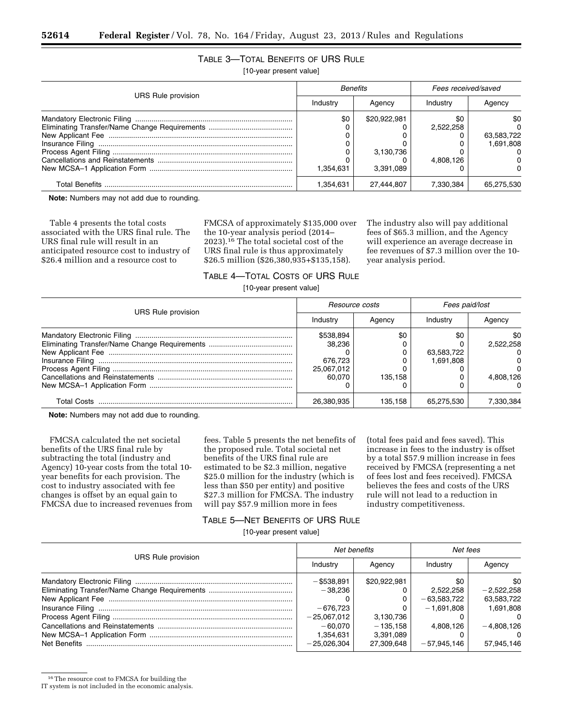# TABLE 3—TOTAL BENEFITS OF URS RULE

[10-year present value]

|                    | <b>Benefits</b> |              | Fees received/saved |            |
|--------------------|-----------------|--------------|---------------------|------------|
| URS Rule provision | Industry        | Agency       | Industry            | Agency     |
|                    | \$0             | \$20,922,981 | \$C                 | \$0        |
|                    |                 |              | 2.522.258           |            |
|                    |                 |              |                     | 63,583,722 |
|                    |                 |              |                     | 1.691.808  |
|                    |                 | 3,130,736    |                     |            |
|                    |                 |              | 4.808.126           |            |
|                    | 1.354.631       | 3.391.089    |                     |            |
|                    | 1.354.631       | 27.444.807   | 7.330.384           | 65.275.530 |

**Note:** Numbers may not add due to rounding.

Table 4 presents the total costs associated with the URS final rule. The URS final rule will result in an anticipated resource cost to industry of \$26.4 million and a resource cost to

FMCSA of approximately \$135,000 over the 10-year analysis period (2014– 2023).16 The total societal cost of the URS final rule is thus approximately \$26.5 million (\$26,380,935+\$135,158).

The industry also will pay additional fees of \$65.3 million, and the Agency will experience an average decrease in fee revenues of \$7.3 million over the 10 year analysis period.

TABLE 4—TOTAL COSTS OF URS RULE

[10-year present value]

|                    | Resource costs                                         |                | Fees paid/lost                 |                               |
|--------------------|--------------------------------------------------------|----------------|--------------------------------|-------------------------------|
| URS Rule provision | Industry                                               | Agency         | Industry                       | Agency                        |
|                    | \$538.894<br>38.236<br>676.723<br>25,067,012<br>60.070 | \$0<br>135.158 | \$0<br>63,583,722<br>1,691,808 | \$0<br>2,522,258<br>4,808,126 |
|                    | 26.380.935                                             | 135.158        | 65.275.530                     | 7.330.384                     |

**Note:** Numbers may not add due to rounding.

FMCSA calculated the net societal benefits of the URS final rule by subtracting the total (industry and Agency) 10-year costs from the total 10 year benefits for each provision. The cost to industry associated with fee changes is offset by an equal gain to FMCSA due to increased revenues from fees. Table 5 presents the net benefits of the proposed rule. Total societal net benefits of the URS final rule are estimated to be \$2.3 million, negative \$25.0 million for the industry (which is less than \$50 per entity) and positive \$27.3 million for FMCSA. The industry will pay \$57.9 million more in fees

(total fees paid and fees saved). This increase in fees to the industry is offset by a total \$57.9 million increase in fees received by FMCSA (representing a net of fees lost and fees received). FMCSA believes the fees and costs of the URS rule will not lead to a reduction in industry competitiveness.

# TABLE 5—NET BENEFITS OF URS RULE

[10-year present value]

| URS Rule provision | Net benefits  |              | Net fees      |              |
|--------------------|---------------|--------------|---------------|--------------|
|                    | Industry      | Agency       | Industry      | Agency       |
|                    | $-$ \$538.891 | \$20,922,981 | \$0           | \$0          |
|                    | $-38.236$     |              | 2.522.258     | $-2.522.258$ |
|                    |               |              | $-63.583.722$ | 63,583,722   |
|                    | $-676.723$    |              | $-1.691.808$  | 1,691,808    |
|                    | $-25.067.012$ | 3,130,736    |               | $\Omega$     |
|                    | $-60.070$     | $-135.158$   | 4.808.126     | $-4.808.126$ |
|                    | 1.354.631     | 3,391,089    |               | $\Omega$     |
|                    | $-25,026,304$ | 27,309,648   | $-57,945,146$ | 57,945,146   |

 $^{\rm 16}$  The resource cost to FMCSA for building the

IT system is not included in the economic analysis.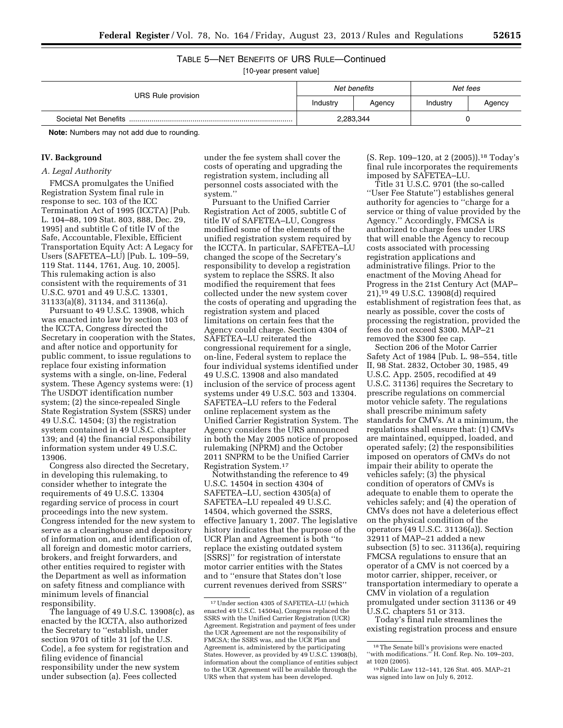TABLE 5—NET BENEFITS OF URS RULE—Continued

[10-year present value]

| URS Rule provision | Net benefits |        | Net fees |        |
|--------------------|--------------|--------|----------|--------|
|                    | Industry     | Agency | Industry | Agency |
|                    | 2,283,344    |        |          |        |

**Note:** Numbers may not add due to rounding.

#### **IV. Background**

# *A. Legal Authority*

FMCSA promulgates the Unified Registration System final rule in response to sec. 103 of the ICC Termination Act of 1995 (ICCTA) [Pub. L. 104–88, 109 Stat. 803, 888, Dec. 29, 1995] and subtitle C of title IV of the Safe, Accountable, Flexible, Efficient Transportation Equity Act: A Legacy for Users (SAFETEA–LU) [Pub. L. 109–59, 119 Stat. 1144, 1761, Aug. 10, 2005]. This rulemaking action is also consistent with the requirements of 31 U.S.C. 9701 and 49 U.S.C. 13301, 31133(a)(8), 31134, and 31136(a).

Pursuant to 49 U.S.C. 13908, which was enacted into law by section 103 of the ICCTA, Congress directed the Secretary in cooperation with the States, and after notice and opportunity for public comment, to issue regulations to replace four existing information systems with a single, on-line, Federal system. These Agency systems were: (1) The USDOT identification number system; (2) the since-repealed Single State Registration System (SSRS) under 49 U.S.C. 14504; (3) the registration system contained in 49 U.S.C. chapter 139; and (4) the financial responsibility information system under 49 U.S.C. 13906.

Congress also directed the Secretary, in developing this rulemaking, to consider whether to integrate the requirements of 49 U.S.C. 13304 regarding service of process in court proceedings into the new system. Congress intended for the new system to serve as a clearinghouse and depository of information on, and identification of, all foreign and domestic motor carriers, brokers, and freight forwarders, and other entities required to register with the Department as well as information on safety fitness and compliance with minimum levels of financial responsibility.

The language of 49 U.S.C. 13908(c), as enacted by the ICCTA, also authorized the Secretary to ''establish, under section 9701 of title 31 [of the U.S. Code], a fee system for registration and filing evidence of financial responsibility under the new system under subsection (a). Fees collected

under the fee system shall cover the costs of operating and upgrading the registration system, including all personnel costs associated with the system.''

Pursuant to the Unified Carrier Registration Act of 2005, subtitle C of title IV of SAFETEA–LU, Congress modified some of the elements of the unified registration system required by the ICCTA. In particular, SAFETEA–LU changed the scope of the Secretary's responsibility to develop a registration system to replace the SSRS. It also modified the requirement that fees collected under the new system cover the costs of operating and upgrading the registration system and placed limitations on certain fees that the Agency could charge. Section 4304 of SAFETEA–LU reiterated the congressional requirement for a single, on-line, Federal system to replace the four individual systems identified under 49 U.S.C. 13908 and also mandated inclusion of the service of process agent systems under 49 U.S.C. 503 and 13304. SAFETEA–LU refers to the Federal online replacement system as the Unified Carrier Registration System. The Agency considers the URS announced in both the May 2005 notice of proposed rulemaking (NPRM) and the October 2011 SNPRM to be the Unified Carrier Registration System.17

Notwithstanding the reference to 49 U.S.C. 14504 in section 4304 of SAFETEA–LU, section 4305(a) of SAFETEA–LU repealed 49 U.S.C. 14504, which governed the SSRS, effective January 1, 2007. The legislative history indicates that the purpose of the UCR Plan and Agreement is both ''to replace the existing outdated system [SSRS]'' for registration of interstate motor carrier entities with the States and to ''ensure that States don't lose current revenues derived from SSRS''

(S. Rep. 109–120, at 2 (2005)).18 Today's final rule incorporates the requirements imposed by SAFETEA–LU.

Title 31 U.S.C. 9701 (the so-called ''User Fee Statute'') establishes general authority for agencies to ''charge for a service or thing of value provided by the Agency.'' Accordingly, FMCSA is authorized to charge fees under URS that will enable the Agency to recoup costs associated with processing registration applications and administrative filings. Prior to the enactment of the Moving Ahead for Progress in the 21st Century Act (MAP– 21),19 49 U.S.C. 13908(d) required establishment of registration fees that, as nearly as possible, cover the costs of processing the registration, provided the fees do not exceed \$300. MAP–21 removed the \$300 fee cap.

Section 206 of the Motor Carrier Safety Act of 1984 [Pub. L. 98–554, title II, 98 Stat. 2832, October 30, 1985, 49 U.S.C. App. 2505, recodified at 49 U.S.C. 31136] requires the Secretary to prescribe regulations on commercial motor vehicle safety. The regulations shall prescribe minimum safety standards for CMVs. At a minimum, the regulations shall ensure that: (1) CMVs are maintained, equipped, loaded, and operated safely; (2) the responsibilities imposed on operators of CMVs do not impair their ability to operate the vehicles safely; (3) the physical condition of operators of CMVs is adequate to enable them to operate the vehicles safely; and (4) the operation of CMVs does not have a deleterious effect on the physical condition of the operators (49 U.S.C. 31136(a)). Section 32911 of MAP–21 added a new subsection (5) to sec. 31136(a), requiring FMCSA regulations to ensure that an operator of a CMV is not coerced by a motor carrier, shipper, receiver, or transportation intermediary to operate a CMV in violation of a regulation promulgated under section 31136 or 49 U.S.C. chapters 51 or 313.

Today's final rule streamlines the existing registration process and ensure

<sup>17</sup>Under section 4305 of SAFETEA–LU (which enacted 49 U.S.C. 14504a), Congress replaced the SSRS with the Unified Carrier Registration (UCR) Agreement. Registration and payment of fees under the UCR Agreement are not the responsibility of FMCSA; the SSRS was, and the UCR Plan and Agreement is, administered by the participating States. However, as provided by 49 U.S.C. 13908(b), information about the compliance of entities subject to the UCR Agreement will be available through the URS when that system has been developed.

<sup>&</sup>lt;sup>18</sup> The Senate bill's provisions were enacted<br>"with modifications." H. Conf. Rep. No. 109–203, at 1020 (2005).

<sup>19</sup>Public Law 112–141, 126 Stat. 405. MAP–21 was signed into law on July 6, 2012.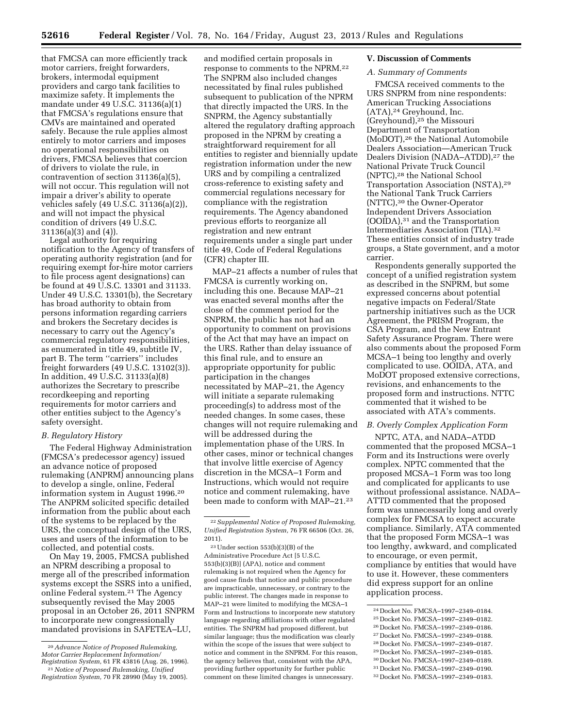that FMCSA can more efficiently track motor carriers, freight forwarders, brokers, intermodal equipment providers and cargo tank facilities to maximize safety. It implements the mandate under 49 U.S.C. 31136(a)(1) that FMCSA's regulations ensure that CMVs are maintained and operated safely. Because the rule applies almost entirely to motor carriers and imposes no operational responsibilities on drivers, FMCSA believes that coercion of drivers to violate the rule, in contravention of section 31136(a)(5), will not occur. This regulation will not impair a driver's ability to operate vehicles safely (49 U.S.C. 31136(a)(2)), and will not impact the physical condition of drivers (49 U.S.C. 31136(a)(3) and (4)).

Legal authority for requiring notification to the Agency of transfers of operating authority registration (and for requiring exempt for-hire motor carriers to file process agent designations) can be found at 49 U.S.C. 13301 and 31133. Under 49 U.S.C. 13301(b), the Secretary has broad authority to obtain from persons information regarding carriers and brokers the Secretary decides is necessary to carry out the Agency's commercial regulatory responsibilities, as enumerated in title 49, subtitle IV, part B. The term ''carriers'' includes freight forwarders (49 U.S.C. 13102(3)). In addition, 49 U.S.C. 31133(a)(8) authorizes the Secretary to prescribe recordkeeping and reporting requirements for motor carriers and other entities subject to the Agency's safety oversight.

#### *B. Regulatory History*

The Federal Highway Administration (FMCSA's predecessor agency) issued an advance notice of proposed rulemaking (ANPRM) announcing plans to develop a single, online, Federal information system in August 1996.20 The ANPRM solicited specific detailed information from the public about each of the systems to be replaced by the URS, the conceptual design of the URS, uses and users of the information to be collected, and potential costs.

On May 19, 2005, FMCSA published an NPRM describing a proposal to merge all of the prescribed information systems except the SSRS into a unified, online Federal system.21 The Agency subsequently revised the May 2005 proposal in an October 26, 2011 SNPRM to incorporate new congressionally mandated provisions in SAFETEA–LU,

and modified certain proposals in response to comments to the NPRM.22 The SNPRM also included changes necessitated by final rules published subsequent to publication of the NPRM that directly impacted the URS. In the SNPRM, the Agency substantially altered the regulatory drafting approach proposed in the NPRM by creating a straightforward requirement for all entities to register and biennially update registration information under the new URS and by compiling a centralized cross-reference to existing safety and commercial regulations necessary for compliance with the registration requirements. The Agency abandoned previous efforts to reorganize all registration and new entrant requirements under a single part under title 49, Code of Federal Regulations (CFR) chapter III.

MAP–21 affects a number of rules that FMCSA is currently working on, including this one. Because MAP–21 was enacted several months after the close of the comment period for the SNPRM, the public has not had an opportunity to comment on provisions of the Act that may have an impact on the URS. Rather than delay issuance of this final rule, and to ensure an appropriate opportunity for public participation in the changes necessitated by MAP–21, the Agency will initiate a separate rulemaking proceeding(s) to address most of the needed changes. In some cases, these changes will not require rulemaking and will be addressed during the implementation phase of the URS. In other cases, minor or technical changes that involve little exercise of Agency discretion in the MCSA–1 Form and Instructions, which would not require notice and comment rulemaking, have been made to conform with MAP–21.23

23Under section 553(b)(3)(B) of the Administrative Procedure Act [5 U.S.C. 553(b)(3)(B)] (APA), notice and comment rulemaking is not required when the Agency for good cause finds that notice and public procedure are impracticable, unnecessary, or contrary to the public interest. The changes made in response to MAP–21 were limited to modifying the MCSA–1 Form and Instructions to incorporate new statutory language regarding affiliations with other regulated entities. The SNPRM had proposed different, but similar language; thus the modification was clearly within the scope of the issues that were subject to notice and comment in the SNPRM. For this reason, the agency believes that, consistent with the APA, providing further opportunity for further public comment on these limited changes is unnecessary.

# **V. Discussion of Comments**

# *A. Summary of Comments*

FMCSA received comments to the URS SNPRM from nine respondents: American Trucking Associations (ATA),24 Greyhound, Inc. (Greyhound),25 the Missouri Department of Transportation (MoDOT),26 the National Automobile Dealers Association—American Truck Dealers Division (NADA–ATDD),<sup>27</sup> the National Private Truck Council (NPTC),28 the National School Transportation Association (NSTA),29 the National Tank Truck Carriers (NTTC),30 the Owner-Operator Independent Drivers Association (OOIDA),31 and the Transportation Intermediaries Association (TIA).32 These entities consist of industry trade groups, a State government, and a motor carrier.

Respondents generally supported the concept of a unified registration system as described in the SNPRM, but some expressed concerns about potential negative impacts on Federal/State partnership initiatives such as the UCR Agreement, the PRISM Program, the CSA Program, and the New Entrant Safety Assurance Program. There were also comments about the proposed Form MCSA–1 being too lengthy and overly complicated to use. OOIDA, ATA, and MoDOT proposed extensive corrections, revisions, and enhancements to the proposed form and instructions. NTTC commented that it wished to be associated with ATA's comments.

# *B. Overly Complex Application Form*

NPTC, ATA, and NADA–ATDD commented that the proposed MCSA–1 Form and its Instructions were overly complex. NPTC commented that the proposed MCSA–1 Form was too long and complicated for applicants to use without professional assistance. NADA– ATTD commented that the proposed form was unnecessarily long and overly complex for FMCSA to expect accurate compliance. Similarly, ATA commented that the proposed Form MCSA–1 was too lengthy, awkward, and complicated to encourage, or even permit, compliance by entities that would have to use it. However, these commenters did express support for an online application process.

<sup>20</sup>*Advance Notice of Proposed Rulemaking, Motor Carrier Replacement Information/ Registration System,* 61 FR 43816 (Aug. 26, 1996). 21*Notice of Proposed Rulemaking, Unified* 

*Registration System,* 70 FR 28990 (May 19, 2005).

<sup>22</sup>*Supplemental Notice of Proposed Rulemaking, Unified Registration System,* 76 FR 66506 (Oct. 26, 2011).

<sup>24</sup> Docket No. FMCSA–1997–2349–0184.

<sup>25</sup> Docket No. FMCSA–1997–2349–0182.

<sup>26</sup> Docket No. FMCSA–1997–2349–0186.

<sup>27</sup> Docket No. FMCSA–1997–2349–0188. 28 Docket No. FMCSA–1997–2349–0187.

<sup>29</sup> Docket No. FMCSA–1997–2349–0185.

<sup>30</sup> Docket No. FMCSA–1997–2349–0189.

<sup>31</sup> Docket No. FMCSA–1997–2349–0190.

<sup>32</sup> Docket No. FMCSA–1997–2349–0183.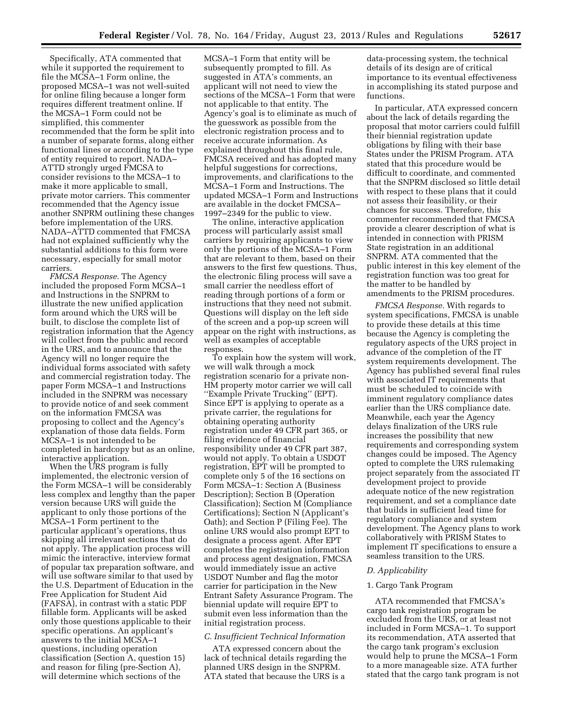Specifically, ATA commented that while it supported the requirement to file the MCSA–1 Form online, the proposed MCSA–1 was not well-suited for online filing because a longer form requires different treatment online. If the MCSA–1 Form could not be simplified, this commenter recommended that the form be split into a number of separate forms, along either functional lines or according to the type of entity required to report. NADA– ATTD strongly urged FMCSA to consider revisions to the MCSA–1 to make it more applicable to small, private motor carriers. This commenter recommended that the Agency issue another SNPRM outlining these changes before implementation of the URS. NADA–ATTD commented that FMCSA had not explained sufficiently why the substantial additions to this form were necessary, especially for small motor carriers.

*FMCSA Response.* The Agency included the proposed Form MCSA–1 and Instructions in the SNPRM to illustrate the new unified application form around which the URS will be built, to disclose the complete list of registration information that the Agency will collect from the public and record in the URS, and to announce that the Agency will no longer require the individual forms associated with safety and commercial registration today. The paper Form MCSA–1 and Instructions included in the SNPRM was necessary to provide notice of and seek comment on the information FMCSA was proposing to collect and the Agency's explanation of those data fields. Form MCSA–1 is not intended to be completed in hardcopy but as an online, interactive application.

When the URS program is fully implemented, the electronic version of the Form MCSA–1 will be considerably less complex and lengthy than the paper version because URS will guide the applicant to only those portions of the MCSA–1 Form pertinent to the particular applicant's operations, thus skipping all irrelevant sections that do not apply. The application process will mimic the interactive, interview format of popular tax preparation software, and will use software similar to that used by the U.S. Department of Education in the Free Application for Student Aid (FAFSA), in contrast with a static PDF fillable form. Applicants will be asked only those questions applicable to their specific operations. An applicant's answers to the initial MCSA–1 questions, including operation classification (Section A, question 15) and reason for filing (pre-Section A), will determine which sections of the

MCSA–1 Form that entity will be subsequently prompted to fill. As suggested in ATA's comments, an applicant will not need to view the sections of the MCSA–1 Form that were not applicable to that entity. The Agency's goal is to eliminate as much of the guesswork as possible from the electronic registration process and to receive accurate information. As explained throughout this final rule, FMCSA received and has adopted many helpful suggestions for corrections, improvements, and clarifications to the MCSA–1 Form and Instructions. The updated MCSA–1 Form and Instructions are available in the docket FMCSA– 1997–2349 for the public to view.

The online, interactive application process will particularly assist small carriers by requiring applicants to view only the portions of the MCSA–1 Form that are relevant to them, based on their answers to the first few questions. Thus, the electronic filing process will save a small carrier the needless effort of reading through portions of a form or instructions that they need not submit. Questions will display on the left side of the screen and a pop-up screen will appear on the right with instructions, as well as examples of acceptable responses.

To explain how the system will work, we will walk through a mock registration scenario for a private non-HM property motor carrier we will call ''Example Private Trucking'' (EPT). Since EPT is applying to operate as a private carrier, the regulations for obtaining operating authority registration under 49 CFR part 365, or filing evidence of financial responsibility under 49 CFR part 387, would not apply. To obtain a USDOT registration, EPT will be prompted to complete only 5 of the 16 sections on Form MCSA–1: Section A (Business Description); Section B (Operation Classification); Section M (Compliance Certifications); Section N (Applicant's Oath); and Section P (Filing Fee). The online URS would also prompt EPT to designate a process agent. After EPT completes the registration information and process agent designation, FMCSA would immediately issue an active USDOT Number and flag the motor carrier for participation in the New Entrant Safety Assurance Program. The biennial update will require EPT to submit even less information than the initial registration process.

# *C. Insufficient Technical Information*

ATA expressed concern about the lack of technical details regarding the planned URS design in the SNPRM. ATA stated that because the URS is a

data-processing system, the technical details of its design are of critical importance to its eventual effectiveness in accomplishing its stated purpose and functions.

In particular, ATA expressed concern about the lack of details regarding the proposal that motor carriers could fulfill their biennial registration update obligations by filing with their base States under the PRISM Program. ATA stated that this procedure would be difficult to coordinate, and commented that the SNPRM disclosed so little detail with respect to these plans that it could not assess their feasibility, or their chances for success. Therefore, this commenter recommended that FMCSA provide a clearer description of what is intended in connection with PRISM State registration in an additional SNPRM. ATA commented that the public interest in this key element of the registration function was too great for the matter to be handled by amendments to the PRISM procedures.

*FMCSA Response.* With regards to system specifications, FMCSA is unable to provide these details at this time because the Agency is completing the regulatory aspects of the URS project in advance of the completion of the IT system requirements development. The Agency has published several final rules with associated IT requirements that must be scheduled to coincide with imminent regulatory compliance dates earlier than the URS compliance date. Meanwhile, each year the Agency delays finalization of the URS rule increases the possibility that new requirements and corresponding system changes could be imposed. The Agency opted to complete the URS rulemaking project separately from the associated IT development project to provide adequate notice of the new registration requirement, and set a compliance date that builds in sufficient lead time for regulatory compliance and system development. The Agency plans to work collaboratively with PRISM States to implement IT specifications to ensure a seamless transition to the URS.

#### *D. Applicability*

#### 1. Cargo Tank Program

ATA recommended that FMCSA's cargo tank registration program be excluded from the URS, or at least not included in Form MCSA–1. To support its recommendation, ATA asserted that the cargo tank program's exclusion would help to prune the MCSA–1 Form to a more manageable size. ATA further stated that the cargo tank program is not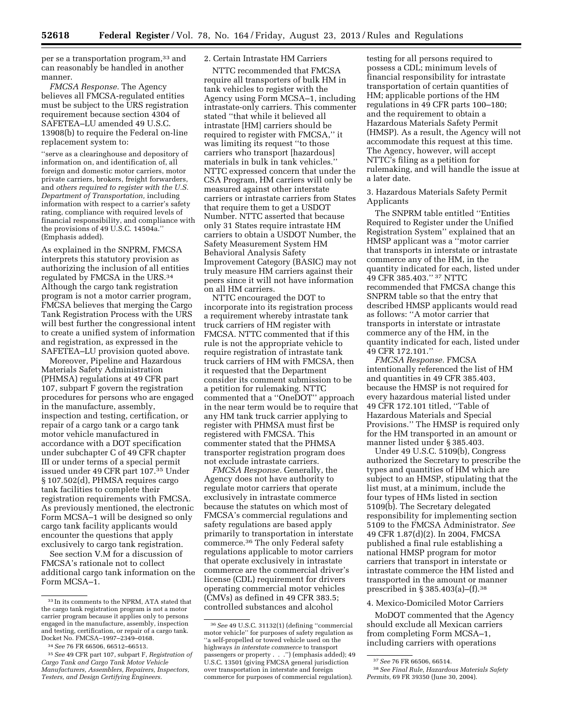per se a transportation program,<sup>33</sup> and can reasonably be handled in another manner.

*FMCSA Response.* The Agency believes all FMCSA-regulated entities must be subject to the URS registration requirement because section 4304 of SAFETEA–LU amended 49 U.S.C. 13908(b) to require the Federal on-line replacement system to:

''serve as a clearinghouse and depository of information on, and identification of, all foreign and domestic motor carriers, motor private carriers, brokers, freight forwarders, and *others required to register with the U.S. Department of Transportation,* including information with respect to a carrier's safety rating, compliance with required levels of financial responsibility, and compliance with the provisions of 49 U.S.C. 14504a.'' (Emphasis added).

As explained in the SNPRM, FMCSA interprets this statutory provision as authorizing the inclusion of all entities regulated by FMCSA in the URS.34 Although the cargo tank registration program is not a motor carrier program, FMCSA believes that merging the Cargo Tank Registration Process with the URS will best further the congressional intent to create a unified system of information and registration, as expressed in the SAFETEA–LU provision quoted above.

Moreover, Pipeline and Hazardous Materials Safety Administration (PHMSA) regulations at 49 CFR part 107, subpart F govern the registration procedures for persons who are engaged in the manufacture, assembly, inspection and testing, certification, or repair of a cargo tank or a cargo tank motor vehicle manufactured in accordance with a DOT specification under subchapter C of 49 CFR chapter III or under terms of a special permit issued under 49 CFR part 107.35 Under § 107.502(d), PHMSA requires cargo tank facilities to complete their registration requirements with FMCSA. As previously mentioned, the electronic Form MCSA–1 will be designed so only cargo tank facility applicants would encounter the questions that apply exclusively to cargo tank registration.

See section V.M for a discussion of FMCSA's rationale not to collect additional cargo tank information on the Form MCSA–1.

#### 2. Certain Intrastate HM Carriers

NTTC recommended that FMCSA require all transporters of bulk HM in tank vehicles to register with the Agency using Form MCSA–1, including intrastate-only carriers. This commenter stated ''that while it believed all intrastate [HM] carriers should be required to register with FMCSA,'' it was limiting its request ''to those carriers who transport [hazardous] materials in bulk in tank vehicles.'' NTTC expressed concern that under the CSA Program, HM carriers will only be measured against other interstate carriers or intrastate carriers from States that require them to get a USDOT Number. NTTC asserted that because only 31 States require intrastate HM carriers to obtain a USDOT Number, the Safety Measurement System HM Behavioral Analysis Safety Improvement Category (BASIC) may not truly measure HM carriers against their peers since it will not have information on all HM carriers.

NTTC encouraged the DOT to incorporate into its registration process a requirement whereby intrastate tank truck carriers of HM register with FMCSA. NTTC commented that if this rule is not the appropriate vehicle to require registration of intrastate tank truck carriers of HM with FMCSA, then it requested that the Department consider its comment submission to be a petition for rulemaking. NTTC commented that a ''OneDOT'' approach in the near term would be to require that any HM tank truck carrier applying to register with PHMSA must first be registered with FMCSA. This commenter stated that the PHMSA transporter registration program does not exclude intrastate carriers.

*FMCSA Response.* Generally, the Agency does not have authority to regulate motor carriers that operate exclusively in intrastate commerce because the statutes on which most of FMCSA's commercial regulations and safety regulations are based apply primarily to transportation in interstate commerce.36 The only Federal safety regulations applicable to motor carriers that operate exclusively in intrastate commerce are the commercial driver's license (CDL) requirement for drivers operating commercial motor vehicles (CMVs) as defined in 49 CFR 383.5; controlled substances and alcohol

testing for all persons required to possess a CDL; minimum levels of financial responsibility for intrastate transportation of certain quantities of HM; applicable portions of the HM regulations in 49 CFR parts 100–180; and the requirement to obtain a Hazardous Materials Safety Permit (HMSP). As a result, the Agency will not accommodate this request at this time. The Agency, however, will accept NTTC's filing as a petition for rulemaking, and will handle the issue at a later date.

# 3. Hazardous Materials Safety Permit Applicants

The SNPRM table entitled ''Entities Required to Register under the Unified Registration System'' explained that an HMSP applicant was a ''motor carrier that transports in interstate or intrastate commerce any of the HM, in the quantity indicated for each, listed under 49 CFR 385.403.'' 37 NTTC recommended that FMCSA change this SNPRM table so that the entry that described HMSP applicants would read as follows: ''A motor carrier that transports in interstate or intrastate commerce any of the HM, in the quantity indicated for each, listed under 49 CFR 172.101.''

*FMCSA Response.* FMCSA intentionally referenced the list of HM and quantities in 49 CFR 385.403, because the HMSP is not required for every hazardous material listed under 49 CFR 172.101 titled, ''Table of Hazardous Materials and Special Provisions.'' The HMSP is required only for the HM transported in an amount or manner listed under § 385.403.

Under 49 U.S.C. 5109(b), Congress authorized the Secretary to prescribe the types and quantities of HM which are subject to an HMSP, stipulating that the list must, at a minimum, include the four types of HMs listed in section 5109(b). The Secretary delegated responsibility for implementing section 5109 to the FMCSA Administrator. *See*  49 CFR 1.87(d)(2). In 2004, FMCSA published a final rule establishing a national HMSP program for motor carriers that transport in interstate or intrastate commerce the HM listed and transported in the amount or manner prescribed in § 385.403(a)–(f).38

#### 4. Mexico-Domiciled Motor Carriers

MoDOT commented that the Agency should exclude all Mexican carriers from completing Form MCSA–1, including carriers with operations

<sup>33</sup> In its comments to the NPRM, ATA stated that the cargo tank registration program is not a motor carrier program because it applies only to persons engaged in the manufacture, assembly, inspection and testing, certification, or repair of a cargo tank. Docket No. FMCSA–1997–2349–0168.

<sup>34</sup>*See* 76 FR 66506, 66512–66513.

<sup>35</sup>*See* 49 CFR part 107, subpart F, *Registration of Cargo Tank and Cargo Tank Motor Vehicle Manufacturers, Assemblers, Repairers, Inspectors, Testers, and Design Certifying Engineers.* 

<sup>36</sup>*See* 49 U.S.C. 31132(1) (defining ''commercial motor vehicle'' for purposes of safety regulation as ''a self-propelled or towed vehicle used on the highways *in interstate commerce* to transport passengers or property . . .'') (emphasis added); 49 U.S.C. 13501 (giving FMCSA general jurisdiction over transportation in interstate and foreign commerce for purposes of commercial regulation).

<sup>37</sup>*See* 76 FR 66506, 66514.

<sup>38</sup>*See Final Rule, Hazardous Materials Safety Permits,* 69 FR 39350 (June 30, 2004).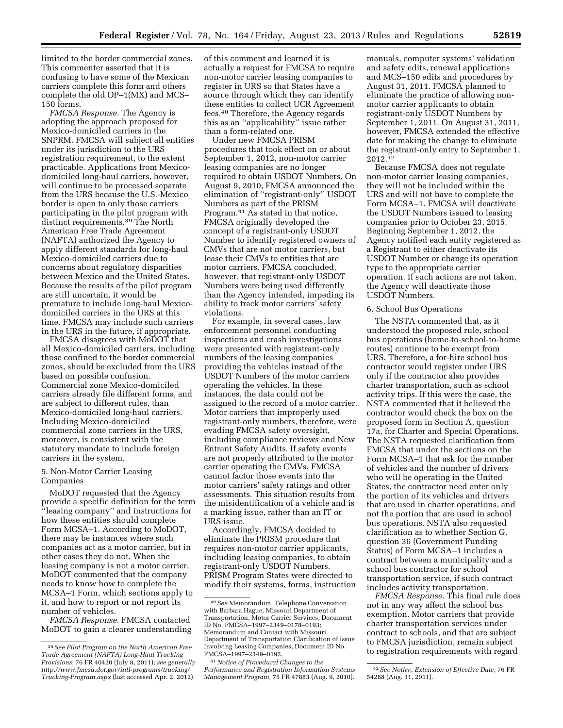limited to the border commercial zones. This commenter asserted that it is confusing to have some of the Mexican carriers complete this form and others complete the old OP–1(MX) and MCS– 150 forms.

*FMCSA Response.* The Agency is adopting the approach proposed for Mexico-domiciled carriers in the SNPRM. FMCSA will subject all entities under its jurisdiction to the URS registration requirement, to the extent practicable. Applications from Mexicodomiciled long-haul carriers, however, will continue to be processed separate from the URS because the U.S.-Mexico border is open to only those carriers participating in the pilot program with distinct requirements.39 The North American Free Trade Agreement (NAFTA) authorized the Agency to apply different standards for long-haul Mexico-domiciled carriers due to concerns about regulatory disparities between Mexico and the United States. Because the results of the pilot program are still uncertain, it would be premature to include long-haul Mexicodomiciled carriers in the URS at this time. FMCSA may include such carriers in the URS in the future, if appropriate.

FMCSA disagrees with MoDOT that all Mexico-domiciled carriers, including those confined to the border commercial zones, should be excluded from the URS based on possible confusion. Commercial zone Mexico-domiciled carriers already file different forms, and are subject to different rules, than Mexico-domiciled long-haul carriers. Including Mexico-domiciled commercial zone carriers in the URS, moreover, is consistent with the statutory mandate to include foreign carriers in the system.

#### 5. Non-Motor Carrier Leasing Companies

MoDOT requested that the Agency provide a specific definition for the term ''leasing company'' and instructions for how these entities should complete Form MCSA–1. According to MoDOT, there may be instances where such companies act as a motor carrier, but in other cases they do not. When the leasing company is not a motor carrier, MoDOT commented that the company needs to know how to complete the MCSA–1 Form, which sections apply to it, and how to report or not report its number of vehicles.

*FMCSA Response.* FMCSA contacted MoDOT to gain a clearer understanding of this comment and learned it is actually a request for FMCSA to require non-motor carrier leasing companies to register in URS so that States have a source through which they can identify these entities to collect UCR Agreement fees.40 Therefore, the Agency regards this as an ''applicability'' issue rather than a form-related one.

Under new FMCSA PRISM procedures that took effect on or about September 1, 2012, non-motor carrier leasing companies are no longer required to obtain USDOT Numbers. On August 9, 2010, FMCSA announced the elimination of ''registrant-only'' USDOT Numbers as part of the PRISM Program.41 As stated in that notice, FMCSA originally developed the concept of a registrant-only USDOT Number to identify registered owners of CMVs that are not motor carriers, but lease their CMVs to entities that are motor carriers. FMCSA concluded, however, that registrant-only USDOT Numbers were being used differently than the Agency intended, impeding its ability to track motor carriers' safety violations.

For example, in several cases, law enforcement personnel conducting inspections and crash investigations were presented with registrant-only numbers of the leasing companies providing the vehicles instead of the USDOT Numbers of the motor carriers operating the vehicles. In these instances, the data could not be assigned to the record of a motor carrier. Motor carriers that improperly used registrant-only numbers, therefore, were evading FMCSA safety oversight, including compliance reviews and New Entrant Safety Audits. If safety events are not properly attributed to the motor carrier operating the CMVs, FMCSA cannot factor those events into the motor carriers' safety ratings and other assessments. This situation results from the misidentification of a vehicle and is a marking issue, rather than an IT or URS issue.

Accordingly, FMCSA decided to eliminate the PRISM procedure that requires non-motor carrier applicants, including leasing companies, to obtain registrant-only USDOT Numbers. PRISM Program States were directed to modify their systems, forms, instruction manuals, computer systems' validation and safety edits, renewal applications and MCS–150 edits and procedures by August 31, 2011. FMCSA planned to eliminate the practice of allowing nonmotor carrier applicants to obtain registrant-only USDOT Numbers by September 1, 2011. On August 31, 2011, however, FMCSA extended the effective date for making the change to eliminate the registrant-only entry to September 1,  $2012.\check{4}2$ 

Because FMCSA does not regulate non-motor carrier leasing companies, they will not be included within the URS and will not have to complete the Form MCSA–1. FMCSA will deactivate the USDOT Numbers issued to leasing companies prior to October 23, 2015. Beginning September 1, 2012, the Agency notified each entity registered as a Registrant to either deactivate its USDOT Number or change its operation type to the appropriate carrier operation. If such actions are not taken, the Agency will deactivate those USDOT Numbers.

# 6. School Bus Operations

The NSTA commented that, as it understood the proposed rule, school bus operations (home-to-school-to-home routes) continue to be exempt from URS. Therefore, a for-hire school bus contractor would register under URS only if the contractor also provides charter transportation, such as school activity trips. If this were the case, the NSTA commented that it believed the contractor would check the box on the proposed form in Section A, question 17a, for Charter and Special Operations. The NSTA requested clarification from FMCSA that under the sections on the Form MCSA–1 that ask for the number of vehicles and the number of drivers who will be operating in the United States, the contractor need enter only the portion of its vehicles and drivers that are used in charter operations, and not the portion that are used in school bus operations. NSTA also requested clarification as to whether Section G, question 36 (Government Funding Status) of Form MCSA–1 includes a contract between a municipality and a school bus contractor for school transportation service, if such contract includes activity transportation.

*FMCSA Response.* This final rule does not in any way affect the school bus exemption. Motor carriers that provide charter transportation services under contract to schools, and that are subject to FMCSA jurisdiction, remain subject to registration requirements with regard

<sup>39</sup>*See Pilot Program on the North American Free Trade Agreement (NAFTA) Long-Haul Trucking Provisions,* 76 FR 40420 (July 8, 2011); *see generally [http://www.fmcsa.dot.gov/intl-programs/trucking/](http://www.fmcsa.dot.gov/intl-programs/trucking/Trucking-Program.aspx) [Trucking-Program.aspx](http://www.fmcsa.dot.gov/intl-programs/trucking/Trucking-Program.aspx)* (last accessed Apr. 2, 2012).

<sup>40</sup>*See* Memorandum, Telephone Conversation with Barbara Hague, Missouri Department of Transportation, Motor Carrier Services, Document ID No. FMCSA–1997–2349–0178–0193; Memorandum and Contact with Missouri Department of Transportation Clarification of Issue Involving Leasing Companies, Document ID No. FMCSA–1997–2349–0192.

<sup>41</sup>*Notice of Procedural Changes to the Performance and Registration Information Systems Management Program,* 75 FR 47883 (Aug. 9, 2010).

<sup>42</sup>*See Notice, Extension of Effective Date,* 76 FR 54288 (Aug. 31, 2011).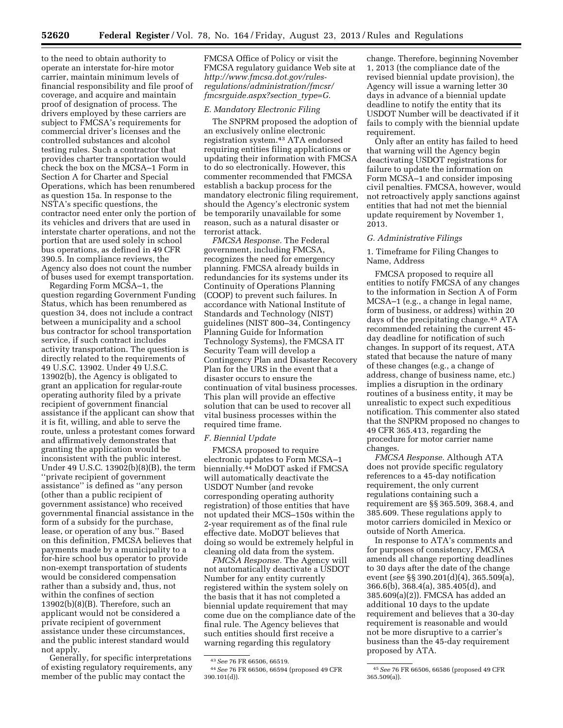to the need to obtain authority to operate an interstate for-hire motor carrier, maintain minimum levels of financial responsibility and file proof of coverage, and acquire and maintain proof of designation of process. The drivers employed by these carriers are subject to FMCSA's requirements for commercial driver's licenses and the controlled substances and alcohol testing rules. Such a contractor that provides charter transportation would check the box on the MCSA–1 Form in Section A for Charter and Special Operations, which has been renumbered as question 15a. In response to the NSTA's specific questions, the contractor need enter only the portion of its vehicles and drivers that are used in interstate charter operations, and not the portion that are used solely in school bus operations, as defined in 49 CFR 390.5. In compliance reviews, the Agency also does not count the number of buses used for exempt transportation.

Regarding Form MCSA–1, the question regarding Government Funding Status, which has been renumbered as question 34, does not include a contract between a municipality and a school bus contractor for school transportation service, if such contract includes activity transportation. The question is directly related to the requirements of 49 U.S.C. 13902. Under 49 U.S.C. 13902(b), the Agency is obligated to grant an application for regular-route operating authority filed by a private recipient of government financial assistance if the applicant can show that it is fit, willing, and able to serve the route, unless a protestant comes forward and affirmatively demonstrates that granting the application would be inconsistent with the public interest. Under 49 U.S.C. 13902(b)(8)(B), the term ''private recipient of government assistance'' is defined as ''any person (other than a public recipient of government assistance) who received governmental financial assistance in the form of a subsidy for the purchase, lease, or operation of any bus.'' Based on this definition, FMCSA believes that payments made by a municipality to a for-hire school bus operator to provide non-exempt transportation of students would be considered compensation rather than a subsidy and, thus, not within the confines of section 13902(b)(8)(B). Therefore, such an applicant would not be considered a private recipient of government assistance under these circumstances, and the public interest standard would not apply.

Generally, for specific interpretations of existing regulatory requirements, any member of the public may contact the

FMCSA Office of Policy or visit the FMCSA regulatory guidance Web site at *[http://www.fmcsa.dot.gov/rules](http://www.fmcsa.dot.gov/rules-regulations/administration/fmcsr/fmcsrguide.aspx?section_type=G)[regulations/administration/fmcsr/](http://www.fmcsa.dot.gov/rules-regulations/administration/fmcsr/fmcsrguide.aspx?section_type=G) [fmcsrguide.aspx?section](http://www.fmcsa.dot.gov/rules-regulations/administration/fmcsr/fmcsrguide.aspx?section_type=G)*\_*type=G.* 

#### *E. Mandatory Electronic Filing*

The SNPRM proposed the adoption of an exclusively online electronic registration system.43 ATA endorsed requiring entities filing applications or updating their information with FMCSA to do so electronically. However, this commenter recommended that FMCSA establish a backup process for the mandatory electronic filing requirement, should the Agency's electronic system be temporarily unavailable for some reason, such as a natural disaster or terrorist attack.

*FMCSA Response.* The Federal government, including FMCSA, recognizes the need for emergency planning. FMCSA already builds in redundancies for its systems under its Continuity of Operations Planning (COOP) to prevent such failures. In accordance with National Institute of Standards and Technology (NIST) guidelines (NIST 800–34, Contingency Planning Guide for Information Technology Systems), the FMCSA IT Security Team will develop a Contingency Plan and Disaster Recovery Plan for the URS in the event that a disaster occurs to ensure the continuation of vital business processes. This plan will provide an effective solution that can be used to recover all vital business processes within the required time frame.

#### *F. Biennial Update*

FMCSA proposed to require electronic updates to Form MCSA–1 biennially.44 MoDOT asked if FMCSA will automatically deactivate the USDOT Number (and revoke corresponding operating authority registration) of those entities that have not updated their MCS–150s within the 2-year requirement as of the final rule effective date. MoDOT believes that doing so would be extremely helpful in cleaning old data from the system.

*FMCSA Response.* The Agency will not automatically deactivate a USDOT Number for any entity currently registered within the system solely on the basis that it has not completed a biennial update requirement that may come due on the compliance date of the final rule. The Agency believes that such entities should first receive a warning regarding this regulatory

change. Therefore, beginning November 1, 2013 (the compliance date of the revised biennial update provision), the Agency will issue a warning letter 30 days in advance of a biennial update deadline to notify the entity that its USDOT Number will be deactivated if it fails to comply with the biennial update requirement.

Only after an entity has failed to heed that warning will the Agency begin deactivating USDOT registrations for failure to update the information on Form MCSA–1 and consider imposing civil penalties. FMCSA, however, would not retroactively apply sanctions against entities that had not met the biennial update requirement by November 1, 2013.

# *G. Administrative Filings*

1. Timeframe for Filing Changes to Name, Address

FMCSA proposed to require all entities to notify FMCSA of any changes to the information in Section A of Form MCSA–1 (e.g., a change in legal name, form of business, or address) within 20 days of the precipitating change.45 ATA recommended retaining the current 45 day deadline for notification of such changes. In support of its request, ATA stated that because the nature of many of these changes (e.g., a change of address, change of business name, etc.) implies a disruption in the ordinary routines of a business entity, it may be unrealistic to expect such expeditious notification. This commenter also stated that the SNPRM proposed no changes to 49 CFR 365.413, regarding the procedure for motor carrier name changes.

*FMCSA Response.* Although ATA does not provide specific regulatory references to a 45-day notification requirement, the only current regulations containing such a requirement are §§ 365.509, 368.4, and 385.609. These regulations apply to motor carriers domiciled in Mexico or outside of North America.

In response to ATA's comments and for purposes of consistency, FMCSA amends all change reporting deadlines to 30 days after the date of the change event (*see* §§ 390.201(d)(4), 365.509(a), 366.6(b), 368.4(a), 385.405(d), and 385.609(a)(2)). FMCSA has added an additional 10 days to the update requirement and believes that a 30-day requirement is reasonable and would not be more disruptive to a carrier's business than the 45-day requirement proposed by ATA.

<sup>43</sup>*See* 76 FR 66506, 66519.

<sup>44</sup>*See* 76 FR 66506, 66594 (proposed 49 CFR 390.101(d)).

<sup>45</sup>*See* 76 FR 66506, 66586 (proposed 49 CFR 365.509(a)).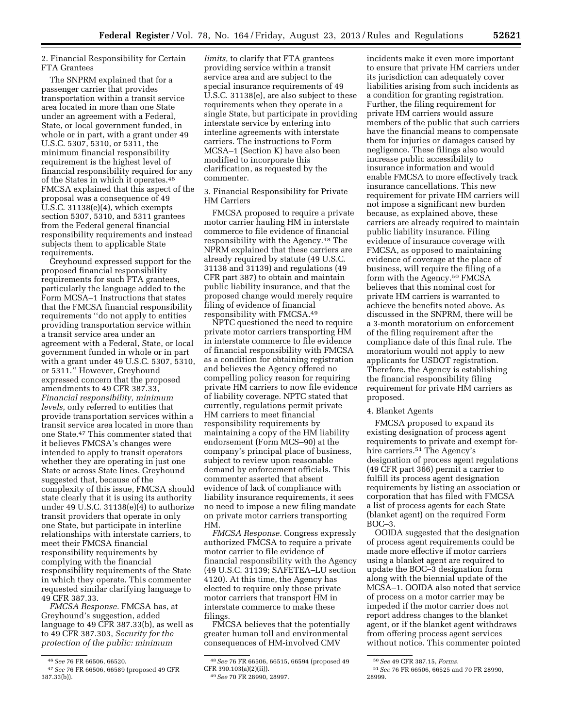2. Financial Responsibility for Certain FTA Grantees

The SNPRM explained that for a passenger carrier that provides transportation within a transit service area located in more than one State under an agreement with a Federal, State, or local government funded, in whole or in part, with a grant under 49 U.S.C. 5307, 5310, or 5311, the minimum financial responsibility requirement is the highest level of financial responsibility required for any of the States in which it operates.46 FMCSA explained that this aspect of the proposal was a consequence of 49 U.S.C. 31138(e)(4), which exempts section 5307, 5310, and 5311 grantees from the Federal general financial responsibility requirements and instead subjects them to applicable State requirements.

Greyhound expressed support for the proposed financial responsibility requirements for such FTA grantees, particularly the language added to the Form MCSA–1 Instructions that states that the FMCSA financial responsibility requirements ''do not apply to entities providing transportation service within a transit service area under an agreement with a Federal, State, or local government funded in whole or in part with a grant under 49 U.S.C. 5307, 5310, or 5311.'' However, Greyhound expressed concern that the proposed amendments to 49 CFR 387.33, *Financial responsibility, minimum levels,* only referred to entities that provide transportation services within a transit service area located in more than one State.47 This commenter stated that it believes FMCSA's changes were intended to apply to transit operators whether they are operating in just one State or across State lines. Greyhound suggested that, because of the complexity of this issue, FMCSA should state clearly that it is using its authority under 49 U.S.C. 31138(e)(4) to authorize transit providers that operate in only one State, but participate in interline relationships with interstate carriers, to meet their FMCSA financial responsibility requirements by complying with the financial responsibility requirements of the State in which they operate. This commenter requested similar clarifying language to 49 CFR 387.33.

*FMCSA Response.* FMCSA has, at Greyhound's suggestion, added language to 49 CFR 387.33(b), as well as to 49 CFR 387.303, *Security for the protection of the public: minimum* 

*limits*, to clarify that FTA grantees providing service within a transit service area and are subject to the special insurance requirements of 49 U.S.C. 31138(e), are also subject to these requirements when they operate in a single State, but participate in providing interstate service by entering into interline agreements with interstate carriers. The instructions to Form MCSA–1 (Section K) have also been modified to incorporate this clarification, as requested by the commenter.

3. Financial Responsibility for Private HM Carriers

FMCSA proposed to require a private motor carrier hauling HM in interstate commerce to file evidence of financial responsibility with the Agency.48 The NPRM explained that these carriers are already required by statute (49 U.S.C. 31138 and 31139) and regulations (49 CFR part 387) to obtain and maintain public liability insurance, and that the proposed change would merely require filing of evidence of financial responsibility with FMCSA.49

NPTC questioned the need to require private motor carriers transporting HM in interstate commerce to file evidence of financial responsibility with FMCSA as a condition for obtaining registration and believes the Agency offered no compelling policy reason for requiring private HM carriers to now file evidence of liability coverage. NPTC stated that currently, regulations permit private HM carriers to meet financial responsibility requirements by maintaining a copy of the HM liability endorsement (Form MCS–90) at the company's principal place of business, subject to review upon reasonable demand by enforcement officials. This commenter asserted that absent evidence of lack of compliance with liability insurance requirements, it sees no need to impose a new filing mandate on private motor carriers transporting HM.

*FMCSA Response.* Congress expressly authorized FMCSA to require a private motor carrier to file evidence of financial responsibility with the Agency (49 U.S.C. 31139; SAFETEA–LU section 4120). At this time, the Agency has elected to require only those private motor carriers that transport HM in interstate commerce to make these filings.

FMCSA believes that the potentially greater human toll and environmental consequences of HM-involved CMV

incidents make it even more important to ensure that private HM carriers under its jurisdiction can adequately cover liabilities arising from such incidents as a condition for granting registration. Further, the filing requirement for private HM carriers would assure members of the public that such carriers have the financial means to compensate them for injuries or damages caused by negligence. These filings also would increase public accessibility to insurance information and would enable FMCSA to more effectively track insurance cancellations. This new requirement for private HM carriers will not impose a significant new burden because, as explained above, these carriers are already required to maintain public liability insurance. Filing evidence of insurance coverage with FMCSA, as opposed to maintaining evidence of coverage at the place of business, will require the filing of a form with the Agency.50 FMCSA believes that this nominal cost for private HM carriers is warranted to achieve the benefits noted above. As discussed in the SNPRM, there will be a 3-month moratorium on enforcement of the filing requirement after the compliance date of this final rule. The moratorium would not apply to new applicants for USDOT registration. Therefore, the Agency is establishing the financial responsibility filing requirement for private HM carriers as proposed.

# 4. Blanket Agents

FMCSA proposed to expand its existing designation of process agent requirements to private and exempt forhire carriers.<sup>51</sup> The Agency's designation of process agent regulations (49 CFR part 366) permit a carrier to fulfill its process agent designation requirements by listing an association or corporation that has filed with FMCSA a list of process agents for each State (blanket agent) on the required Form BOC–3.

OOIDA suggested that the designation of process agent requirements could be made more effective if motor carriers using a blanket agent are required to update the BOC–3 designation form along with the biennial update of the MCSA–1. OOIDA also noted that service of process on a motor carrier may be impeded if the motor carrier does not report address changes to the blanket agent, or if the blanket agent withdraws from offering process agent services without notice. This commenter pointed

<sup>46</sup>*See* 76 FR 66506, 66520.

<sup>47</sup>*See* 76 FR 66506, 66589 (proposed 49 CFR 387.33(b)).

<sup>48</sup>*See* 76 FR 66506, 66515, 66594 (proposed 49 CFR 390.103(a)(2)(ii)).

<sup>49</sup>*See* 70 FR 28990, 28997.

<sup>50</sup>*See* 49 CFR 387.15, *Forms.* 

<sup>51</sup>*See* 76 FR 66506, 66525 and 70 FR 28990, 28999.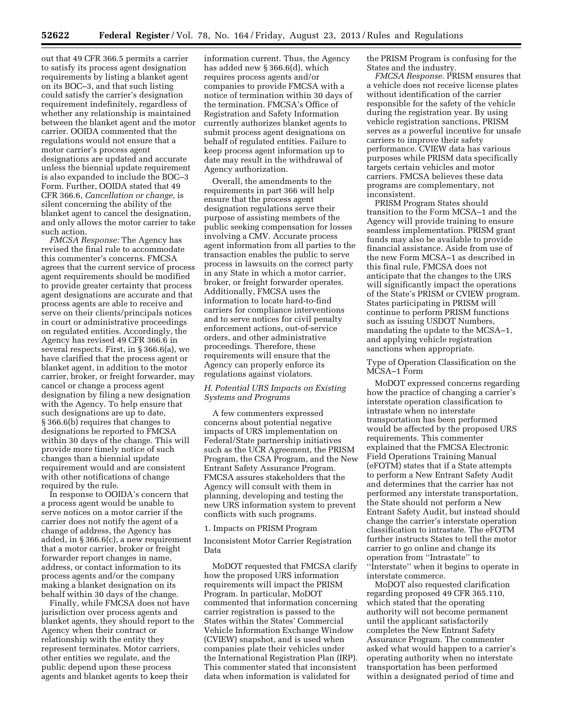out that 49 CFR 366.5 permits a carrier to satisfy its process agent designation requirements by listing a blanket agent on its BOC–3, and that such listing could satisfy the carrier's designation requirement indefinitely, regardless of whether any relationship is maintained between the blanket agent and the motor carrier. OOIDA commented that the regulations would not ensure that a motor carrier's process agent designations are updated and accurate unless the biennial update requirement is also expanded to include the BOC–3 Form. Further, OOIDA stated that 49 CFR 366.6, *Cancellation or change,* is silent concerning the ability of the blanket agent to cancel the designation, and only allows the motor carrier to take such action.

*FMCSA Response:* The Agency has revised the final rule to accommodate this commenter's concerns. FMCSA agrees that the current service of process agent requirements should be modified to provide greater certainty that process agent designations are accurate and that process agents are able to receive and serve on their clients/principals notices in court or administrative proceedings on regulated entities. Accordingly, the Agency has revised 49 CFR 366.6 in several respects. First, in § 366.6(a), we have clarified that the process agent or blanket agent, in addition to the motor carrier, broker, or freight forwarder, may cancel or change a process agent designation by filing a new designation with the Agency. To help ensure that such designations are up to date, § 366.6(b) requires that changes to designations be reported to FMCSA within 30 days of the change. This will provide more timely notice of such changes than a biennial update requirement would and are consistent with other notifications of change required by the rule.

In response to OOIDA's concern that a process agent would be unable to serve notices on a motor carrier if the carrier does not notify the agent of a change of address, the Agency has added, in § 366.6(c), a new requirement that a motor carrier, broker or freight forwarder report changes in name, address, or contact information to its process agents and/or the company making a blanket designation on its behalf within 30 days of the change.

Finally, while FMCSA does not have jurisdiction over process agents and blanket agents, they should report to the Agency when their contract or relationship with the entity they represent terminates. Motor carriers, other entities we regulate, and the public depend upon these process agents and blanket agents to keep their

information current. Thus, the Agency has added new § 366.6(d), which requires process agents and/or companies to provide FMCSA with a notice of termination within 30 days of the termination. FMCSA's Office of Registration and Safety Information currently authorizes blanket agents to submit process agent designations on behalf of regulated entities. Failure to keep process agent information up to date may result in the withdrawal of Agency authorization.

Overall, the amendments to the requirements in part 366 will help ensure that the process agent designation regulations serve their purpose of assisting members of the public seeking compensation for losses involving a CMV. Accurate process agent information from all parties to the transaction enables the public to serve process in lawsuits on the correct party in any State in which a motor carrier, broker, or freight forwarder operates. Additionally, FMCSA uses the information to locate hard-to-find carriers for compliance interventions and to serve notices for civil penalty enforcement actions, out-of-service orders, and other administrative proceedings. Therefore, these requirements will ensure that the Agency can properly enforce its regulations against violators.

# *H. Potential URS Impacts on Existing Systems and Programs*

A few commenters expressed concerns about potential negative impacts of URS implementation on Federal/State partnership initiatives such as the UCR Agreement, the PRISM Program, the CSA Program, and the New Entrant Safety Assurance Program. FMCSA assures stakeholders that the Agency will consult with them in planning, developing and testing the new URS information system to prevent conflicts with such programs.

#### 1. Impacts on PRISM Program

Inconsistent Motor Carrier Registration Data

MoDOT requested that FMCSA clarify how the proposed URS information requirements will impact the PRISM Program. In particular, MoDOT commented that information concerning carrier registration is passed to the States within the States' Commercial Vehicle Information Exchange Window (CVIEW) snapshot, and is used when companies plate their vehicles under the International Registration Plan (IRP). This commenter stated that inconsistent data when information is validated for

the PRISM Program is confusing for the States and the industry.

*FMCSA Response.* PRISM ensures that a vehicle does not receive license plates without identification of the carrier responsible for the safety of the vehicle during the registration year. By using vehicle registration sanctions, PRISM serves as a powerful incentive for unsafe carriers to improve their safety performance. CVIEW data has various purposes while PRISM data specifically targets certain vehicles and motor carriers. FMCSA believes these data programs are complementary, not inconsistent.

PRISM Program States should transition to the Form MCSA–1 and the Agency will provide training to ensure seamless implementation. PRISM grant funds may also be available to provide financial assistance. Aside from use of the new Form MCSA–1 as described in this final rule, FMCSA does not anticipate that the changes to the URS will significantly impact the operations of the State's PRISM or CVIEW program. States participating in PRISM will continue to perform PRISM functions such as issuing USDOT Numbers, mandating the update to the MCSA–1, and applying vehicle registration sanctions when appropriate.

Type of Operation Classification on the MCSA–1 Form

MoDOT expressed concerns regarding how the practice of changing a carrier's interstate operation classification to intrastate when no interstate transportation has been performed would be affected by the proposed URS requirements. This commenter explained that the FMCSA Electronic Field Operations Training Manual (eFOTM) states that if a State attempts to perform a New Entrant Safety Audit and determines that the carrier has not performed any interstate transportation, the State should not perform a New Entrant Safety Audit, but instead should change the carrier's interstate operation classification to intrastate. The eFOTM further instructs States to tell the motor carrier to go online and change its operation from ''Intrastate'' to ''Interstate'' when it begins to operate in interstate commerce.

MoDOT also requested clarification regarding proposed 49 CFR 365.110, which stated that the operating authority will not become permanent until the applicant satisfactorily completes the New Entrant Safety Assurance Program. The commenter asked what would happen to a carrier's operating authority when no interstate transportation has been performed within a designated period of time and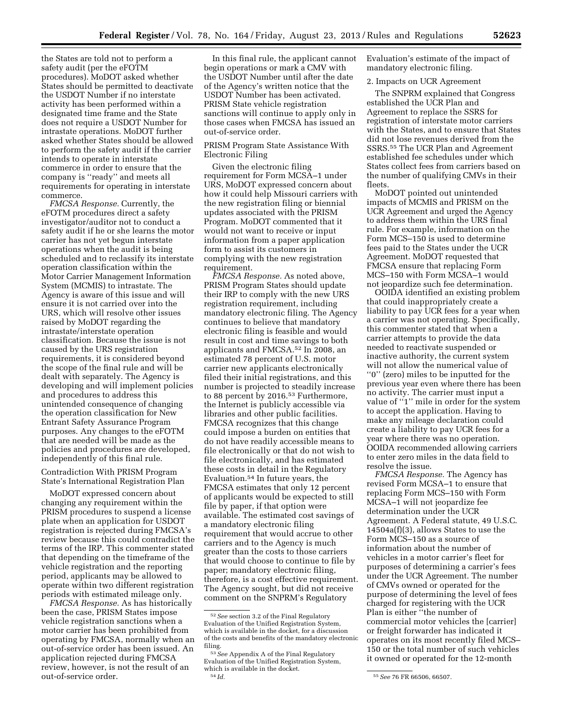the States are told not to perform a safety audit (per the eFOTM procedures). MoDOT asked whether States should be permitted to deactivate the USDOT Number if no interstate activity has been performed within a designated time frame and the State does not require a USDOT Number for intrastate operations. MoDOT further asked whether States should be allowed to perform the safety audit if the carrier intends to operate in interstate commerce in order to ensure that the company is ''ready'' and meets all requirements for operating in interstate commerce.

*FMCSA Response.* Currently, the eFOTM procedures direct a safety investigator/auditor not to conduct a safety audit if he or she learns the motor carrier has not yet begun interstate operations when the audit is being scheduled and to reclassify its interstate operation classification within the Motor Carrier Management Information System (MCMIS) to intrastate. The Agency is aware of this issue and will ensure it is not carried over into the URS, which will resolve other issues raised by MoDOT regarding the intrastate/interstate operation classification. Because the issue is not caused by the URS registration requirements, it is considered beyond the scope of the final rule and will be dealt with separately. The Agency is developing and will implement policies and procedures to address this unintended consequence of changing the operation classification for New Entrant Safety Assurance Program purposes. Any changes to the eFOTM that are needed will be made as the policies and procedures are developed, independently of this final rule.

Contradiction With PRISM Program State's International Registration Plan

MoDOT expressed concern about changing any requirement within the PRISM procedures to suspend a license plate when an application for USDOT registration is rejected during FMCSA's review because this could contradict the terms of the IRP. This commenter stated that depending on the timeframe of the vehicle registration and the reporting period, applicants may be allowed to operate within two different registration periods with estimated mileage only.

*FMCSA Response.* As has historically been the case, PRISM States impose vehicle registration sanctions when a motor carrier has been prohibited from operating by FMCSA, normally when an out-of-service order has been issued. An application rejected during FMCSA review, however, is not the result of an out-of-service order.

In this final rule, the applicant cannot begin operations or mark a CMV with the USDOT Number until after the date of the Agency's written notice that the USDOT Number has been activated. PRISM State vehicle registration sanctions will continue to apply only in those cases when FMCSA has issued an out-of-service order.

# PRISM Program State Assistance With Electronic Filing

Given the electronic filing requirement for Form MCSA–1 under URS, MoDOT expressed concern about how it could help Missouri carriers with the new registration filing or biennial updates associated with the PRISM Program. MoDOT commented that it would not want to receive or input information from a paper application form to assist its customers in complying with the new registration requirement.

*FMCSA Response.* As noted above, PRISM Program States should update their IRP to comply with the new URS registration requirement, including mandatory electronic filing. The Agency continues to believe that mandatory electronic filing is feasible and would result in cost and time savings to both applicants and FMCSA.52 In 2008, an estimated 78 percent of U.S. motor carrier new applicants electronically filed their initial registrations, and this number is projected to steadily increase to 88 percent by 2016.53 Furthermore, the Internet is publicly accessible via libraries and other public facilities. FMCSA recognizes that this change could impose a burden on entities that do not have readily accessible means to file electronically or that do not wish to file electronically, and has estimated these costs in detail in the Regulatory Evaluation.54 In future years, the FMCSA estimates that only 12 percent of applicants would be expected to still file by paper, if that option were available. The estimated cost savings of a mandatory electronic filing requirement that would accrue to other carriers and to the Agency is much greater than the costs to those carriers that would choose to continue to file by paper; mandatory electronic filing, therefore, is a cost effective requirement. The Agency sought, but did not receive comment on the SNPRM's Regulatory

Evaluation's estimate of the impact of mandatory electronic filing.

#### 2. Impacts on UCR Agreement

The SNPRM explained that Congress established the UCR Plan and Agreement to replace the SSRS for registration of interstate motor carriers with the States, and to ensure that States did not lose revenues derived from the SSRS.55 The UCR Plan and Agreement established fee schedules under which States collect fees from carriers based on the number of qualifying CMVs in their fleets.

MoDOT pointed out unintended impacts of MCMIS and PRISM on the UCR Agreement and urged the Agency to address them within the URS final rule. For example, information on the Form MCS–150 is used to determine fees paid to the States under the UCR Agreement. MoDOT requested that FMCSA ensure that replacing Form MCS–150 with Form MCSA–1 would not jeopardize such fee determination.

OOIDA identified an existing problem that could inappropriately create a liability to pay UCR fees for a year when a carrier was not operating. Specifically, this commenter stated that when a carrier attempts to provide the data needed to reactivate suspended or inactive authority, the current system will not allow the numerical value of ''0'' (zero) miles to be inputted for the previous year even where there has been no activity. The carrier must input a value of "1" mile in order for the system to accept the application. Having to make any mileage declaration could create a liability to pay UCR fees for a year where there was no operation. OOIDA recommended allowing carriers to enter zero miles in the data field to resolve the issue.

*FMCSA Response.* The Agency has revised Form MCSA–1 to ensure that replacing Form MCS–150 with Form MCSA–1 will not jeopardize fee determination under the UCR Agreement. A Federal statute, 49 U.S.C. 14504a(f)(3), allows States to use the Form MCS–150 as a source of information about the number of vehicles in a motor carrier's fleet for purposes of determining a carrier's fees under the UCR Agreement. The number of CMVs owned or operated for the purpose of determining the level of fees charged for registering with the UCR Plan is either ''the number of commercial motor vehicles the [carrier] or freight forwarder has indicated it operates on its most recently filed MCS– 150 or the total number of such vehicles it owned or operated for the 12-month

<sup>52</sup>*See* section 3.2 of the Final Regulatory Evaluation of the Unified Registration System, which is available in the docket, for a discussion of the costs and benefits of the mandatory electronic filing.

<sup>53</sup>*See* Appendix A of the Final Regulatory Evaluation of the Unified Registration System, which is available in the docket. 54 *Id.* 55*See* 76 FR 66506, 66507.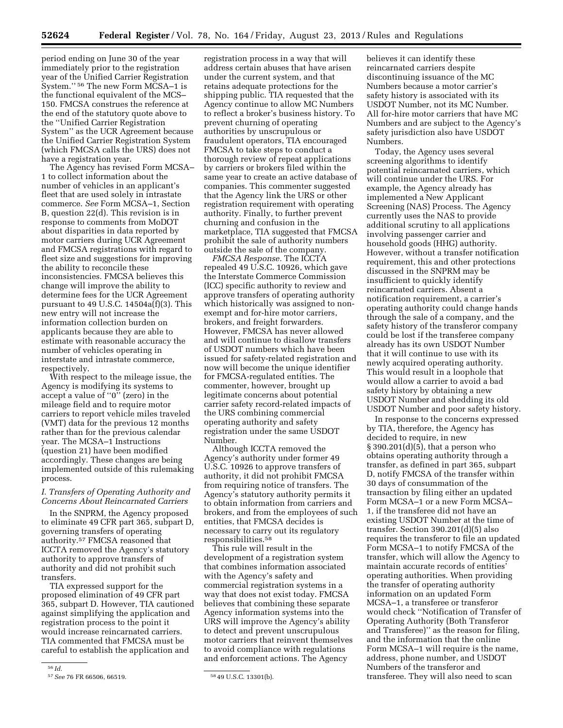period ending on June 30 of the year immediately prior to the registration year of the Unified Carrier Registration System.'' 56 The new Form MCSA–1 is the functional equivalent of the MCS– 150. FMCSA construes the reference at the end of the statutory quote above to the ''Unified Carrier Registration System'' as the UCR Agreement because the Unified Carrier Registration System (which FMCSA calls the URS) does not have a registration year.

The Agency has revised Form MCSA– 1 to collect information about the number of vehicles in an applicant's fleet that are used solely in intrastate commerce. *See* Form MCSA–1, Section B, question 22(d). This revision is in response to comments from MoDOT about disparities in data reported by motor carriers during UCR Agreement and FMCSA registrations with regard to fleet size and suggestions for improving the ability to reconcile these inconsistencies. FMCSA believes this change will improve the ability to determine fees for the UCR Agreement pursuant to 49 U.S.C.  $14504a(f)(3)$ . This new entry will not increase the information collection burden on applicants because they are able to estimate with reasonable accuracy the number of vehicles operating in interstate and intrastate commerce, respectively.

With respect to the mileage issue, the Agency is modifying its systems to accept a value of ''0'' (zero) in the mileage field and to require motor carriers to report vehicle miles traveled (VMT) data for the previous 12 months rather than for the previous calendar year. The MCSA–1 Instructions (question 21) have been modified accordingly. These changes are being implemented outside of this rulemaking process.

# *I. Transfers of Operating Authority and Concerns About Reincarnated Carriers*

In the SNPRM, the Agency proposed to eliminate 49 CFR part 365, subpart D, governing transfers of operating authority.57 FMCSA reasoned that ICCTA removed the Agency's statutory authority to approve transfers of authority and did not prohibit such transfers.

TIA expressed support for the proposed elimination of 49 CFR part 365, subpart D. However, TIA cautioned against simplifying the application and registration process to the point it would increase reincarnated carriers. TIA commented that FMCSA must be careful to establish the application and

registration process in a way that will address certain abuses that have arisen under the current system, and that retains adequate protections for the shipping public. TIA requested that the Agency continue to allow MC Numbers to reflect a broker's business history. To prevent churning of operating authorities by unscrupulous or fraudulent operators, TIA encouraged FMCSA to take steps to conduct a thorough review of repeat applications by carriers or brokers filed within the same year to create an active database of companies. This commenter suggested that the Agency link the URS or other registration requirement with operating authority. Finally, to further prevent churning and confusion in the marketplace, TIA suggested that FMCSA prohibit the sale of authority numbers outside the sale of the company.

*FMCSA Response.* The ICCTA repealed 49 U.S.C. 10926, which gave the Interstate Commerce Commission (ICC) specific authority to review and approve transfers of operating authority which historically was assigned to nonexempt and for-hire motor carriers, brokers, and freight forwarders. However, FMCSA has never allowed and will continue to disallow transfers of USDOT numbers which have been issued for safety-related registration and now will become the unique identifier for FMCSA-regulated entities. The commenter, however, brought up legitimate concerns about potential carrier safety record-related impacts of the URS combining commercial operating authority and safety registration under the same USDOT Number.

Although ICCTA removed the Agency's authority under former 49 U.S.C. 10926 to approve transfers of authority, it did not prohibit FMCSA from requiring notice of transfers. The Agency's statutory authority permits it to obtain information from carriers and brokers, and from the employees of such entities, that FMCSA decides is necessary to carry out its regulatory responsibilities.58

This rule will result in the development of a registration system that combines information associated with the Agency's safety and commercial registration systems in a way that does not exist today. FMCSA believes that combining these separate Agency information systems into the URS will improve the Agency's ability to detect and prevent unscrupulous motor carriers that reinvent themselves to avoid compliance with regulations and enforcement actions. The Agency

believes it can identify these reincarnated carriers despite discontinuing issuance of the MC Numbers because a motor carrier's safety history is associated with its USDOT Number, not its MC Number. All for-hire motor carriers that have MC Numbers and are subject to the Agency's safety jurisdiction also have USDOT Numbers.

Today, the Agency uses several screening algorithms to identify potential reincarnated carriers, which will continue under the URS. For example, the Agency already has implemented a New Applicant Screening (NAS) Process. The Agency currently uses the NAS to provide additional scrutiny to all applications involving passenger carrier and household goods (HHG) authority. However, without a transfer notification requirement, this and other protections discussed in the SNPRM may be insufficient to quickly identify reincarnated carriers. Absent a notification requirement, a carrier's operating authority could change hands through the sale of a company, and the safety history of the transferor company could be lost if the transferee company already has its own USDOT Number that it will continue to use with its newly acquired operating authority. This would result in a loophole that would allow a carrier to avoid a bad safety history by obtaining a new USDOT Number and shedding its old USDOT Number and poor safety history.

In response to the concerns expressed by TIA, therefore, the Agency has decided to require, in new § 390.201(d)(5), that a person who obtains operating authority through a transfer, as defined in part 365, subpart D, notify FMCSA of the transfer within 30 days of consummation of the transaction by filing either an updated Form MCSA–1 or a new Form MCSA– 1, if the transferee did not have an existing USDOT Number at the time of transfer. Section 390.201(d)(5) also requires the transferor to file an updated Form MCSA–1 to notify FMCSA of the transfer, which will allow the Agency to maintain accurate records of entities' operating authorities. When providing the transfer of operating authority information on an updated Form MCSA–1, a transferee or transferor would check ''Notification of Transfer of Operating Authority (Both Transferor and Transferee)'' as the reason for filing, and the information that the online Form MCSA–1 will require is the name, address, phone number, and USDOT Numbers of the transferor and transferee. They will also need to scan

<sup>56</sup> *Id.* 

<sup>57</sup>*See* 76 FR 66506, 66519. 58 49 U.S.C. 13301(b).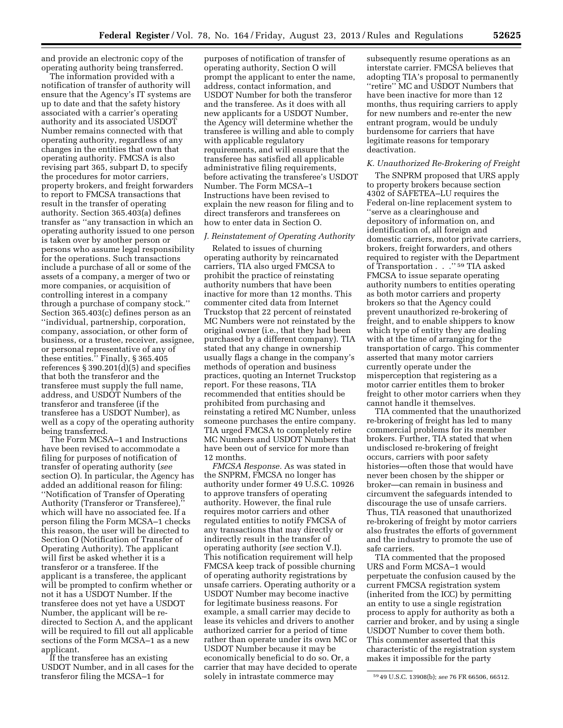and provide an electronic copy of the operating authority being transferred.

The information provided with a notification of transfer of authority will ensure that the Agency's IT systems are up to date and that the safety history associated with a carrier's operating authority and its associated USDOT Number remains connected with that operating authority, regardless of any changes in the entities that own that operating authority. FMCSA is also revising part 365, subpart D, to specify the procedures for motor carriers, property brokers, and freight forwarders to report to FMCSA transactions that result in the transfer of operating authority. Section 365.403(a) defines transfer as ''any transaction in which an operating authority issued to one person is taken over by another person or persons who assume legal responsibility for the operations. Such transactions include a purchase of all or some of the assets of a company, a merger of two or more companies, or acquisition of controlling interest in a company through a purchase of company stock.'' Section 365.403(c) defines person as an ''individual, partnership, corporation, company, association, or other form of business, or a trustee, receiver, assignee, or personal representative of any of these entities.'' Finally, § 365.405 references § 390.201(d)(5) and specifies that both the transferor and the transferee must supply the full name, address, and USDOT Numbers of the transferor and transferee (if the transferee has a USDOT Number), as well as a copy of the operating authority being transferred.

The Form MCSA–1 and Instructions have been revised to accommodate a filing for purposes of notification of transfer of operating authority (*see*  section O). In particular, the Agency has added an additional reason for filing: ''Notification of Transfer of Operating Authority (Transferor or Transferee), which will have no associated fee. If a person filing the Form MCSA–1 checks this reason, the user will be directed to Section O (Notification of Transfer of Operating Authority). The applicant will first be asked whether it is a transferor or a transferee. If the applicant is a transferee, the applicant will be prompted to confirm whether or not it has a USDOT Number. If the transferee does not yet have a USDOT Number, the applicant will be redirected to Section A, and the applicant will be required to fill out all applicable sections of the Form MCSA–1 as a new applicant.

If the transferee has an existing USDOT Number, and in all cases for the transferor filing the MCSA–1 for

purposes of notification of transfer of operating authority, Section O will prompt the applicant to enter the name, address, contact information, and USDOT Number for both the transferor and the transferee. As it does with all new applicants for a USDOT Number, the Agency will determine whether the transferee is willing and able to comply with applicable regulatory requirements, and will ensure that the transferee has satisfied all applicable administrative filing requirements, before activating the transferee's USDOT Number. The Form MCSA–1 Instructions have been revised to explain the new reason for filing and to direct transferors and transferees on how to enter data in Section O.

# *J. Reinstatement of Operating Authority*

Related to issues of churning operating authority by reincarnated carriers, TIA also urged FMCSA to prohibit the practice of reinstating authority numbers that have been inactive for more than 12 months. This commenter cited data from Internet Truckstop that 22 percent of reinstated MC Numbers were not reinstated by the original owner (i.e., that they had been purchased by a different company). TIA stated that any change in ownership usually flags a change in the company's methods of operation and business practices, quoting an Internet Truckstop report. For these reasons, TIA recommended that entities should be prohibited from purchasing and reinstating a retired MC Number, unless someone purchases the entire company. TIA urged FMCSA to completely retire MC Numbers and USDOT Numbers that have been out of service for more than 12 months.

*FMCSA Response.* As was stated in the SNPRM, FMCSA no longer has authority under former 49 U.S.C. 10926 to approve transfers of operating authority. However, the final rule requires motor carriers and other regulated entities to notify FMCSA of any transactions that may directly or indirectly result in the transfer of operating authority (*see* section V.I). This notification requirement will help FMCSA keep track of possible churning of operating authority registrations by unsafe carriers. Operating authority or a USDOT Number may become inactive for legitimate business reasons. For example, a small carrier may decide to lease its vehicles and drivers to another authorized carrier for a period of time rather than operate under its own MC or USDOT Number because it may be economically beneficial to do so. Or, a carrier that may have decided to operate solely in intrastate commerce may

subsequently resume operations as an interstate carrier. FMCSA believes that adopting TIA's proposal to permanently ''retire'' MC and USDOT Numbers that have been inactive for more than 12 months, thus requiring carriers to apply for new numbers and re-enter the new entrant program, would be unduly burdensome for carriers that have legitimate reasons for temporary deactivation.

#### *K. Unauthorized Re-Brokering of Freight*

The SNPRM proposed that URS apply to property brokers because section 4302 of SAFETEA–LU requires the Federal on-line replacement system to ''serve as a clearinghouse and depository of information on, and identification of, all foreign and domestic carriers, motor private carriers, brokers, freight forwarders, and others required to register with the Department of Transportation . . .'' 59 TIA asked FMCSA to issue separate operating authority numbers to entities operating as both motor carriers and property brokers so that the Agency could prevent unauthorized re-brokering of freight, and to enable shippers to know which type of entity they are dealing with at the time of arranging for the transportation of cargo. This commenter asserted that many motor carriers currently operate under the misperception that registering as a motor carrier entitles them to broker freight to other motor carriers when they cannot handle it themselves.

TIA commented that the unauthorized re-brokering of freight has led to many commercial problems for its member brokers. Further, TIA stated that when undisclosed re-brokering of freight occurs, carriers with poor safety histories—often those that would have never been chosen by the shipper or broker—can remain in business and circumvent the safeguards intended to discourage the use of unsafe carriers. Thus, TIA reasoned that unauthorized re-brokering of freight by motor carriers also frustrates the efforts of government and the industry to promote the use of safe carriers.

TIA commented that the proposed URS and Form MCSA–1 would perpetuate the confusion caused by the current FMCSA registration system (inherited from the ICC) by permitting an entity to use a single registration process to apply for authority as both a carrier and broker, and by using a single USDOT Number to cover them both. This commenter asserted that this characteristic of the registration system makes it impossible for the party

<sup>59</sup> 49 U.S.C. 13908(b); *see* 76 FR 66506, 66512.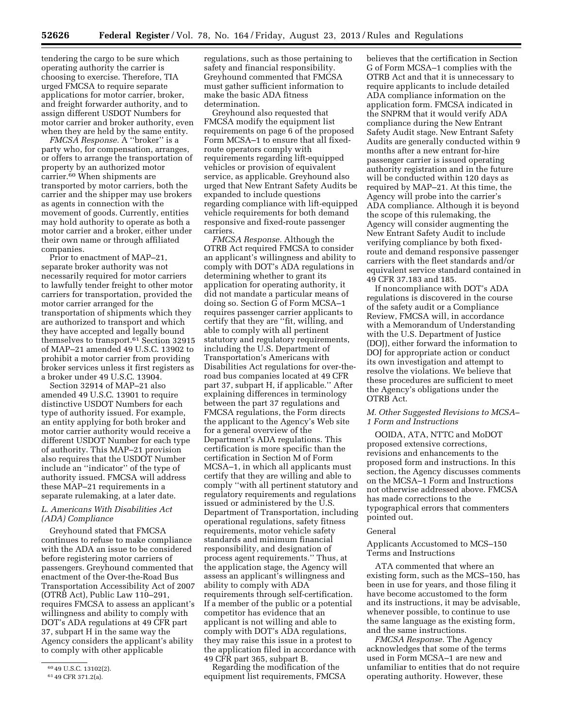tendering the cargo to be sure which operating authority the carrier is choosing to exercise. Therefore, TIA urged FMCSA to require separate applications for motor carrier, broker, and freight forwarder authority, and to assign different USDOT Numbers for motor carrier and broker authority, even when they are held by the same entity.

*FMCSA Response.* A ''broker'' is a party who, for compensation, arranges, or offers to arrange the transportation of property by an authorized motor carrier.60 When shipments are transported by motor carriers, both the carrier and the shipper may use brokers as agents in connection with the movement of goods. Currently, entities may hold authority to operate as both a motor carrier and a broker, either under their own name or through affiliated companies.

Prior to enactment of MAP–21, separate broker authority was not necessarily required for motor carriers to lawfully tender freight to other motor carriers for transportation, provided the motor carrier arranged for the transportation of shipments which they are authorized to transport and which they have accepted and legally bound themselves to transport.61 Section 32915 of MAP–21 amended 49 U.S.C. 13902 to prohibit a motor carrier from providing broker services unless it first registers as a broker under 49 U.S.C. 13904.

Section 32914 of MAP–21 also amended 49 U.S.C. 13901 to require distinctive USDOT Numbers for each type of authority issued. For example, an entity applying for both broker and motor carrier authority would receive a different USDOT Number for each type of authority. This MAP–21 provision also requires that the USDOT Number include an ''indicator'' of the type of authority issued. FMCSA will address these MAP–21 requirements in a separate rulemaking, at a later date.

# *L. Americans With Disabilities Act (ADA) Compliance*

Greyhound stated that FMCSA continues to refuse to make compliance with the ADA an issue to be considered before registering motor carriers of passengers. Greyhound commented that enactment of the Over-the-Road Bus Transportation Accessibility Act of 2007 (OTRB Act), Public Law 110–291, requires FMCSA to assess an applicant's willingness and ability to comply with DOT's ADA regulations at 49 CFR part 37, subpart H in the same way the Agency considers the applicant's ability to comply with other applicable

regulations, such as those pertaining to safety and financial responsibility. Greyhound commented that FMCSA must gather sufficient information to make the basic ADA fitness determination.

Greyhound also requested that FMCSA modify the equipment list requirements on page 6 of the proposed Form MCSA–1 to ensure that all fixedroute operators comply with requirements regarding lift-equipped vehicles or provision of equivalent service, as applicable. Greyhound also urged that New Entrant Safety Audits be expanded to include questions regarding compliance with lift-equipped vehicle requirements for both demand responsive and fixed-route passenger carriers.

*FMCSA Response.* Although the OTRB Act required FMCSA to consider an applicant's willingness and ability to comply with DOT's ADA regulations in determining whether to grant its application for operating authority, it did not mandate a particular means of doing so. Section G of Form MCSA–1 requires passenger carrier applicants to certify that they are ''fit, willing, and able to comply with all pertinent statutory and regulatory requirements, including the U.S. Department of Transportation's Americans with Disabilities Act regulations for over-theroad bus companies located at 49 CFR part 37, subpart H, if applicable.'' After explaining differences in terminology between the part 37 regulations and FMCSA regulations, the Form directs the applicant to the Agency's Web site for a general overview of the Department's ADA regulations. This certification is more specific than the certification in Section M of Form MCSA–1, in which all applicants must certify that they are willing and able to comply ''with all pertinent statutory and regulatory requirements and regulations issued or administered by the U.S. Department of Transportation, including operational regulations, safety fitness requirements, motor vehicle safety standards and minimum financial responsibility, and designation of process agent requirements.'' Thus, at the application stage, the Agency will assess an applicant's willingness and ability to comply with ADA requirements through self-certification. If a member of the public or a potential competitor has evidence that an applicant is not willing and able to comply with DOT's ADA regulations, they may raise this issue in a protest to the application filed in accordance with 49 CFR part 365, subpart B.

Regarding the modification of the equipment list requirements, FMCSA

believes that the certification in Section G of Form MCSA–1 complies with the OTRB Act and that it is unnecessary to require applicants to include detailed ADA compliance information on the application form. FMCSA indicated in the SNPRM that it would verify ADA compliance during the New Entrant Safety Audit stage. New Entrant Safety Audits are generally conducted within 9 months after a new entrant for-hire passenger carrier is issued operating authority registration and in the future will be conducted within 120 days as required by MAP–21. At this time, the Agency will probe into the carrier's ADA compliance. Although it is beyond the scope of this rulemaking, the Agency will consider augmenting the New Entrant Safety Audit to include verifying compliance by both fixedroute and demand responsive passenger carriers with the fleet standards and/or equivalent service standard contained in 49 CFR 37.183 and 185.

If noncompliance with DOT's ADA regulations is discovered in the course of the safety audit or a Compliance Review, FMCSA will, in accordance with a Memorandum of Understanding with the U.S. Department of Justice (DOJ), either forward the information to DOJ for appropriate action or conduct its own investigation and attempt to resolve the violations. We believe that these procedures are sufficient to meet the Agency's obligations under the OTRB Act.

# *M. Other Suggested Revisions to MCSA– 1 Form and Instructions*

OOIDA, ATA, NTTC and MoDOT proposed extensive corrections, revisions and enhancements to the proposed form and instructions. In this section, the Agency discusses comments on the MCSA–1 Form and Instructions not otherwise addressed above. FMCSA has made corrections to the typographical errors that commenters pointed out.

#### General

Applicants Accustomed to MCS–150 Terms and Instructions

ATA commented that where an existing form, such as the MCS–150, has been in use for years, and those filing it have become accustomed to the form and its instructions, it may be advisable, whenever possible, to continue to use the same language as the existing form, and the same instructions.

*FMCSA Response.* The Agency acknowledges that some of the terms used in Form MCSA–1 are new and unfamiliar to entities that do not require operating authority. However, these

<sup>60</sup> 49 U.S.C. 13102(2).

<sup>61</sup> 49 CFR 371.2(a).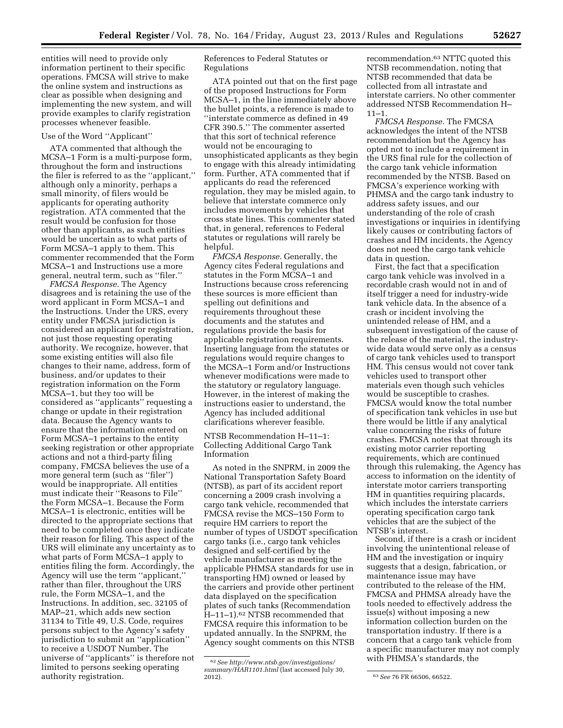entities will need to provide only information pertinent to their specific operations. FMCSA will strive to make the online system and instructions as clear as possible when designing and implementing the new system, and will provide examples to clarify registration processes whenever feasible.

# Use of the Word ''Applicant''

ATA commented that although the MCSA–1 Form is a multi-purpose form, throughout the form and instructions the filer is referred to as the ''applicant,'' although only a minority, perhaps a small minority, of filers would be applicants for operating authority registration. ATA commented that the result would be confusion for those other than applicants, as such entities would be uncertain as to what parts of Form MCSA–1 apply to them. This commenter recommended that the Form MCSA–1 and Instructions use a more general, neutral term, such as ''filer.''

*FMCSA Response.* The Agency disagrees and is retaining the use of the word applicant in Form MCSA–1 and the Instructions. Under the URS, every entity under FMCSA jurisdiction is considered an applicant for registration, not just those requesting operating authority. We recognize, however, that some existing entities will also file changes to their name, address, form of business, and/or updates to their registration information on the Form MCSA–1, but they too will be considered as ''applicants'' requesting a change or update in their registration data. Because the Agency wants to ensure that the information entered on Form MCSA–1 pertains to the entity seeking registration or other appropriate actions and not a third-party filing company, FMCSA believes the use of a more general term (such as ''filer'') would be inappropriate. All entities must indicate their ''Reasons to File'' the Form MCSA–1. Because the Form MCSA–1 is electronic, entities will be directed to the appropriate sections that need to be completed once they indicate their reason for filing. This aspect of the URS will eliminate any uncertainty as to what parts of Form MCSA–1 apply to entities filing the form. Accordingly, the Agency will use the term ''applicant,'' rather than filer, throughout the URS rule, the Form MCSA–1, and the Instructions. In addition, sec. 32105 of MAP–21, which adds new section 31134 to Title 49, U.S. Code, requires persons subject to the Agency's safety jurisdiction to submit an ''application'' to receive a USDOT Number. The universe of ''applicants'' is therefore not limited to persons seeking operating authority registration.

# References to Federal Statutes or Regulations

ATA pointed out that on the first page of the proposed Instructions for Form MCSA–1, in the line immediately above the bullet points, a reference is made to ''interstate commerce as defined in 49 CFR 390.5.'' The commenter asserted that this sort of technical reference would not be encouraging to unsophisticated applicants as they begin to engage with this already intimidating form. Further, ATA commented that if applicants do read the referenced regulation, they may be misled again, to believe that interstate commerce only includes movements by vehicles that cross state lines. This commenter stated that, in general, references to Federal statutes or regulations will rarely be helpful.

*FMCSA Response.* Generally, the Agency cites Federal regulations and statutes in the Form MCSA–1 and Instructions because cross referencing these sources is more efficient than spelling out definitions and requirements throughout these documents and the statutes and regulations provide the basis for applicable registration requirements. Inserting language from the statutes or regulations would require changes to the MCSA–1 Form and/or Instructions whenever modifications were made to the statutory or regulatory language. However, in the interest of making the instructions easier to understand, the Agency has included additional clarifications wherever feasible.

NTSB Recommendation H–11–1: Collecting Additional Cargo Tank Information

As noted in the SNPRM, in 2009 the National Transportation Safety Board (NTSB), as part of its accident report concerning a 2009 crash involving a cargo tank vehicle, recommended that FMCSA revise the MCS–150 Form to require HM carriers to report the number of types of USDOT specification cargo tanks (i.e., cargo tank vehicles designed and self-certified by the vehicle manufacturer as meeting the applicable PHMSA standards for use in transporting HM) owned or leased by the carriers and provide other pertinent data displayed on the specification plates of such tanks (Recommendation H–11–1).62 NTSB recommended that FMCSA require this information to be updated annually. In the SNPRM, the Agency sought comments on this NTSB

recommendation.63 NTTC quoted this NTSB recommendation, noting that NTSB recommended that data be collected from all intrastate and interstate carriers. No other commenter addressed NTSB Recommendation H–  $11 - 1$ .

*FMCSA Response.* The FMCSA acknowledges the intent of the NTSB recommendation but the Agency has opted not to include a requirement in the URS final rule for the collection of the cargo tank vehicle information recommended by the NTSB. Based on FMCSA's experience working with PHMSA and the cargo tank industry to address safety issues, and our understanding of the role of crash investigations or inquiries in identifying likely causes or contributing factors of crashes and HM incidents, the Agency does not need the cargo tank vehicle data in question.

First, the fact that a specification cargo tank vehicle was involved in a recordable crash would not in and of itself trigger a need for industry-wide tank vehicle data. In the absence of a crash or incident involving the unintended release of HM, and a subsequent investigation of the cause of the release of the material, the industrywide data would serve only as a census of cargo tank vehicles used to transport HM. This census would not cover tank vehicles used to transport other materials even though such vehicles would be susceptible to crashes. FMCSA would know the total number of specification tank vehicles in use but there would be little if any analytical value concerning the risks of future crashes. FMCSA notes that through its existing motor carrier reporting requirements, which are continued through this rulemaking, the Agency has access to information on the identity of interstate motor carriers transporting HM in quantities requiring placards, which includes the interstate carriers operating specification cargo tank vehicles that are the subject of the NTSB's interest.

Second, if there is a crash or incident involving the unintentional release of HM and the investigation or inquiry suggests that a design, fabrication, or maintenance issue may have contributed to the release of the HM, FMCSA and PHMSA already have the tools needed to effectively address the issue(s) without imposing a new information collection burden on the transportation industry. If there is a concern that a cargo tank vehicle from a specific manufacturer may not comply with PHMSA's standards, the

<sup>62</sup>*See [http://www.ntsb.gov/investigations/](http://www.ntsb.gov/investigations/summary/HAR1101.html) [summary/HAR1101.html](http://www.ntsb.gov/investigations/summary/HAR1101.html)* (last accessed July 30,

<sup>2012). 63</sup>*See* 76 FR 66506, 66522.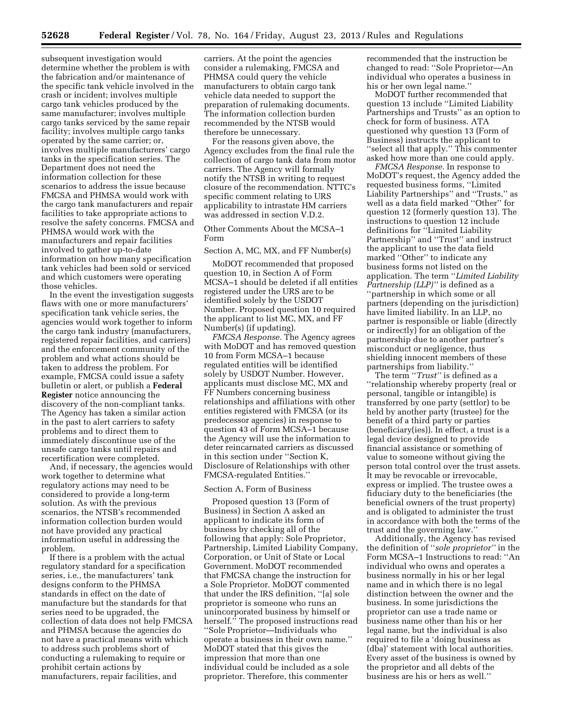subsequent investigation would determine whether the problem is with the fabrication and/or maintenance of the specific tank vehicle involved in the crash or incident; involves multiple cargo tank vehicles produced by the same manufacturer; involves multiple cargo tanks serviced by the same repair facility; involves multiple cargo tanks operated by the same carrier; or, involves multiple manufacturers' cargo tanks in the specification series. The Department does not need the information collection for these scenarios to address the issue because FMCSA and PHMSA would work with the cargo tank manufacturers and repair facilities to take appropriate actions to resolve the safety concerns. FMCSA and PHMSA would work with the manufacturers and repair facilities involved to gather up-to-date information on how many specification tank vehicles had been sold or serviced and which customers were operating those vehicles.

In the event the investigation suggests flaws with one or more manufacturers' specification tank vehicle series, the agencies would work together to inform the cargo tank industry (manufacturers, registered repair facilities, and carriers) and the enforcement community of the problem and what actions should be taken to address the problem. For example, FMCSA could issue a safety bulletin or alert, or publish a **Federal Register** notice announcing the discovery of the non-compliant tanks. The Agency has taken a similar action in the past to alert carriers to safety problems and to direct them to immediately discontinue use of the unsafe cargo tanks until repairs and recertification were completed.

And, if necessary, the agencies would work together to determine what regulatory actions may need to be considered to provide a long-term solution. As with the previous scenarios, the NTSB's recommended information collection burden would not have provided any practical information useful in addressing the problem.

If there is a problem with the actual regulatory standard for a specification series, i.e., the manufacturers' tank designs conform to the PHMSA standards in effect on the date of manufacture but the standards for that series need to be upgraded, the collection of data does not help FMCSA and PHMSA because the agencies do not have a practical means with which to address such problems short of conducting a rulemaking to require or prohibit certain actions by manufacturers, repair facilities, and

carriers. At the point the agencies consider a rulemaking, FMCSA and PHMSA could query the vehicle manufacturers to obtain cargo tank vehicle data needed to support the preparation of rulemaking documents. The information collection burden recommended by the NTSB would therefore be unnecessary.

For the reasons given above, the Agency excludes from the final rule the collection of cargo tank data from motor carriers. The Agency will formally notify the NTSB in writing to request closure of the recommendation. NTTC's specific comment relating to URS applicability to intrastate HM carriers was addressed in section V.D.2.

Other Comments About the MCSA–1 Form

Section A, MC, MX, and FF Number(s)

MoDOT recommended that proposed question 10, in Section A of Form MCSA–1 should be deleted if all entities registered under the URS are to be identified solely by the USDOT Number. Proposed question 10 required the applicant to list MC, MX, and FF Number(s) (if updating).

*FMCSA Response.* The Agency agrees with MoDOT and has removed question 10 from Form MCSA–1 because regulated entities will be identified solely by USDOT Number. However, applicants must disclose MC, MX and FF Numbers concerning business relationships and affiliations with other entities registered with FMCSA (or its predecessor agencies) in response to question 43 of Form MCSA–1 because the Agency will use the information to deter reincarnated carriers as discussed in this section under ''Section K, Disclosure of Relationships with other FMCSA-regulated Entities.''

# Section A, Form of Business

Proposed question 13 (Form of Business) in Section A asked an applicant to indicate its form of business by checking all of the following that apply: Sole Proprietor, Partnership, Limited Liability Company, Corporation, or Unit of State or Local Government. MoDOT recommended that FMCSA change the instruction for a Sole Proprietor. MoDOT commented that under the IRS definition, ''[a] sole proprietor is someone who runs an unincorporated business by himself or herself.'' The proposed instructions read ''Sole Proprietor—Individuals who operate a business in their own name.'' MoDOT stated that this gives the impression that more than one individual could be included as a sole proprietor. Therefore, this commenter

recommended that the instruction be changed to read: ''Sole Proprietor—An individual who operates a business in his or her own legal name.''

MoDOT further recommended that question 13 include ''Limited Liability Partnerships and Trusts'' as an option to check for form of business. ATA questioned why question 13 (Form of Business) instructs the applicant to ''select all that apply.'' This commenter asked how more than one could apply.

*FMCSA Response.* In response to MoDOT's request, the Agency added the requested business forms, ''Limited Liability Partnerships'' and ''Trusts,'' as well as a data field marked ''Other'' for question 12 (formerly question 13). The instructions to question 12 include definitions for ''Limited Liability Partnership'' and ''Trust'' and instruct the applicant to use the data field marked ''Other'' to indicate any business forms not listed on the application. The term ''*Limited Liability Partnership (LLP)''* is defined as a ''partnership in which some or all partners (depending on the jurisdiction) have limited liability. In an LLP, no partner is responsible or liable (directly or indirectly) for an obligation of the partnership due to another partner's misconduct or negligence, thus shielding innocent members of these partnerships from liability.''

The term ''*Trust''* is defined as a ''relationship whereby property (real or personal, tangible or intangible) is transferred by one party (settlor) to be held by another party (trustee) for the benefit of a third party or parties (beneficiary(ies)). In effect, a trust is a legal device designed to provide financial assistance or something of value to someone without giving the person total control over the trust assets. It may be revocable or irrevocable, express or implied. The trustee owes a fiduciary duty to the beneficiaries (the beneficial owners of the trust property) and is obligated to administer the trust in accordance with both the terms of the trust and the governing law.''

Additionally, the Agency has revised the definition of ''*sole proprietor''* in the Form MCSA–1 Instructions to read: ''An individual who owns and operates a business normally in his or her legal name and in which there is no legal distinction between the owner and the business. In some jurisdictions the proprietor can use a trade name or business name other than his or her legal name, but the individual is also required to file a 'doing business as (dba)' statement with local authorities. Every asset of the business is owned by the proprietor and all debts of the business are his or hers as well.''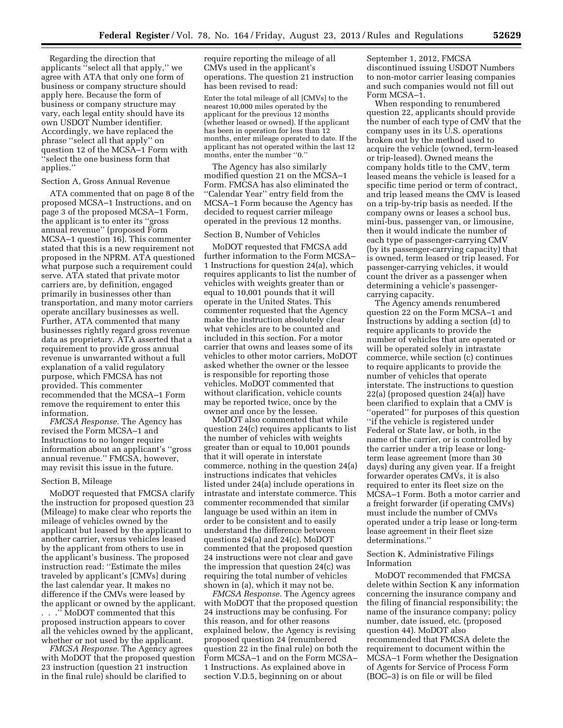Regarding the direction that applicants ''select all that apply,'' we agree with ATA that only one form of business or company structure should apply here. Because the form of business or company structure may vary, each legal entity should have its own USDOT Number identifier. Accordingly, we have replaced the phrase ''select all that apply'' on question 12 of the MCSA–1 Form with ''select the one business form that applies.''

#### Section A, Gross Annual Revenue

ATA commented that on page 8 of the proposed MCSA–1 Instructions, and on page 3 of the proposed MCSA–1 Form, the applicant is to enter its ''gross annual revenue'' (proposed Form MCSA–1 question 16). This commenter stated that this is a new requirement not proposed in the NPRM. ATA questioned what purpose such a requirement could serve. ATA stated that private motor carriers are, by definition, engaged primarily in businesses other than transportation, and many motor carriers operate ancillary businesses as well. Further, ATA commented that many businesses rightly regard gross revenue data as proprietary. ATA asserted that a requirement to provide gross annual revenue is unwarranted without a full explanation of a valid regulatory purpose, which FMCSA has not provided. This commenter recommended that the MCSA–1 Form remove the requirement to enter this information.

*FMCSA Response.* The Agency has revised the Form MCSA–1 and Instructions to no longer require information about an applicant's ''gross annual revenue.'' FMCSA, however, may revisit this issue in the future.

#### Section B, Mileage

MoDOT requested that FMCSA clarify the instruction for proposed question 23 (Mileage) to make clear who reports the mileage of vehicles owned by the applicant but leased by the applicant to another carrier, versus vehicles leased by the applicant from others to use in the applicant's business. The proposed instruction read: ''Estimate the miles traveled by applicant's [CMVs] during the last calendar year. It makes no difference if the CMVs were leased by the applicant or owned by the applicant.

. . .'' MoDOT commented that this proposed instruction appears to cover all the vehicles owned by the applicant, whether or not used by the applicant.

*FMCSA Response.* The Agency agrees with MoDOT that the proposed question 23 instruction (question 21 instruction in the final rule) should be clarified to

require reporting the mileage of all CMVs used in the applicant's operations. The question 21 instruction has been revised to read:

Enter the total mileage of all [CMVs] to the nearest 10,000 miles operated by the applicant for the previous 12 months (whether leased or owned). If the applicant has been in operation for less than 12 months, enter mileage operated to date. If the applicant has not operated within the last 12 months, enter the number "0."

The Agency has also similarly modified question 21 on the MCSA–1 Form. FMCSA has also eliminated the ''Calendar Year'' entry field from the MCSA–1 Form because the Agency has decided to request carrier mileage operated in the previous 12 months.

#### Section B, Number of Vehicles

MoDOT requested that FMCSA add further information to the Form MCSA– 1 Instructions for question 24(a), which requires applicants to list the number of vehicles with weights greater than or equal to 10,001 pounds that it will operate in the United States. This commenter requested that the Agency make the instruction absolutely clear what vehicles are to be counted and included in this section. For a motor carrier that owns and leases some of its vehicles to other motor carriers, MoDOT asked whether the owner or the lessee is responsible for reporting those vehicles. MoDOT commented that without clarification, vehicle counts may be reported twice, once by the owner and once by the lessee.

MoDOT also commented that while question 24(c) requires applicants to list the number of vehicles with weights greater than or equal to 10,001 pounds that it will operate in interstate commerce, nothing in the question 24(a) instructions indicates that vehicles listed under 24(a) include operations in intrastate and interstate commerce. This commenter recommended that similar language be used within an item in order to be consistent and to easily understand the difference between questions 24(a) and 24(c). MoDOT commented that the proposed question 24 instructions were not clear and gave the impression that question 24(c) was requiring the total number of vehicles shown in (a), which it may not be.

*FMCSA Response.* The Agency agrees with MoDOT that the proposed question 24 instructions may be confusing. For this reason, and for other reasons explained below, the Agency is revising proposed question 24 (renumbered question 22 in the final rule) on both the Form MCSA–1 and on the Form MCSA– 1 Instructions. As explained above in section V.D.5, beginning on or about

September 1, 2012, FMCSA discontinued issuing USDOT Numbers to non-motor carrier leasing companies and such companies would not fill out Form MCSA–1.

When responding to renumbered question 22, applicants should provide the number of each type of CMV that the company uses in its  $\overline{U}$ . S. operations broken out by the method used to acquire the vehicle (owned, term-leased or trip-leased). Owned means the company holds title to the CMV, term leased means the vehicle is leased for a specific time period or term of contract, and trip leased means the CMV is leased on a trip-by-trip basis as needed. If the company owns or leases a school bus, mini-bus, passenger van, or limousine, then it would indicate the number of each type of passenger-carrying CMV (by its passenger-carrying capacity) that is owned, term leased or trip leased. For passenger-carrying vehicles, it would count the driver as a passenger when determining a vehicle's passengercarrying capacity.

The Agency amends renumbered question 22 on the Form MCSA–1 and Instructions by adding a section (d) to require applicants to provide the number of vehicles that are operated or will be operated solely in intrastate commerce, while section (c) continues to require applicants to provide the number of vehicles that operate interstate. The instructions to question 22(a) (proposed question 24(a)) have been clarified to explain that a CMV is ''operated'' for purposes of this question ''if the vehicle is registered under Federal or State law, or both, in the name of the carrier, or is controlled by the carrier under a trip lease or longterm lease agreement (more than 30 days) during any given year. If a freight forwarder operates CMVs, it is also required to enter its fleet size on the MCSA–1 Form. Both a motor carrier and a freight forwarder (if operating CMVs) must include the number of CMVs operated under a trip lease or long-term lease agreement in their fleet size determinations.''

# Section K, Administrative Filings Information

MoDOT recommended that FMCSA delete within Section K any information concerning the insurance company and the filing of financial responsibility; the name of the insurance company; policy number, date issued, etc. (proposed question 44). MoDOT also recommended that FMCSA delete the requirement to document within the MCSA–1 Form whether the Designation of Agents for Service of Process Form (BOC–3) is on file or will be filed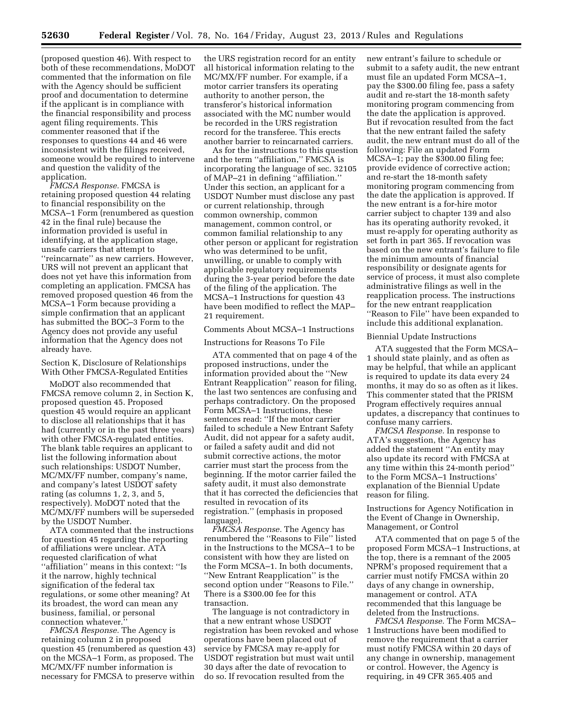(proposed question 46). With respect to both of these recommendations, MoDOT commented that the information on file with the Agency should be sufficient proof and documentation to determine if the applicant is in compliance with the financial responsibility and process agent filing requirements. This commenter reasoned that if the responses to questions 44 and 46 were inconsistent with the filings received, someone would be required to intervene and question the validity of the application.

*FMCSA Response.* FMCSA is retaining proposed question 44 relating to financial responsibility on the MCSA–1 Form (renumbered as question 42 in the final rule) because the information provided is useful in identifying, at the application stage, unsafe carriers that attempt to ''reincarnate'' as new carriers. However, URS will not prevent an applicant that does not yet have this information from completing an application. FMCSA has removed proposed question 46 from the MCSA–1 Form because providing a simple confirmation that an applicant has submitted the BOC–3 Form to the Agency does not provide any useful information that the Agency does not already have.

Section K, Disclosure of Relationships With Other FMCSA-Regulated Entities

MoDOT also recommended that FMCSA remove column 2, in Section K, proposed question 45. Proposed question 45 would require an applicant to disclose all relationships that it has had (currently or in the past three years) with other FMCSA-regulated entities. The blank table requires an applicant to list the following information about such relationships: USDOT Number, MC/MX/FF number, company's name, and company's latest USDOT safety rating (as columns 1, 2, 3, and 5, respectively). MoDOT noted that the MC/MX/FF numbers will be superseded by the USDOT Number.

ATA commented that the instructions for question 45 regarding the reporting of affiliations were unclear. ATA requested clarification of what ''affiliation'' means in this context: ''Is it the narrow, highly technical signification of the federal tax regulations, or some other meaning? At its broadest, the word can mean any business, familial, or personal connection whatever.''

*FMCSA Response.* The Agency is retaining column 2 in proposed question 45 (renumbered as question 43) on the MCSA–1 Form, as proposed. The MC/MX/FF number information is necessary for FMCSA to preserve within

the URS registration record for an entity all historical information relating to the MC/MX/FF number. For example, if a motor carrier transfers its operating authority to another person, the transferor's historical information associated with the MC number would be recorded in the URS registration record for the transferee. This erects another barrier to reincarnated carriers.

As for the instructions to this question and the term ''affiliation,'' FMCSA is incorporating the language of sec. 32105 of MAP–21 in defining ''affiliation.'' Under this section, an applicant for a USDOT Number must disclose any past or current relationship, through common ownership, common management, common control, or common familial relationship to any other person or applicant for registration who was determined to be unfit, unwilling, or unable to comply with applicable regulatory requirements during the 3-year period before the date of the filing of the application. The MCSA–1 Instructions for question 43 have been modified to reflect the MAP– 21 requirement.

# Comments About MCSA–1 Instructions

Instructions for Reasons To File

ATA commented that on page 4 of the proposed instructions, under the information provided about the ''New Entrant Reapplication'' reason for filing, the last two sentences are confusing and perhaps contradictory. On the proposed Form MCSA–1 Instructions, these sentences read: ''If the motor carrier failed to schedule a New Entrant Safety Audit, did not appear for a safety audit, or failed a safety audit and did not submit corrective actions, the motor carrier must start the process from the beginning. If the motor carrier failed the safety audit, it must also demonstrate that it has corrected the deficiencies that resulted in revocation of its registration.'' (emphasis in proposed language).

*FMCSA Response.* The Agency has renumbered the ''Reasons to File'' listed in the Instructions to the MCSA–1 to be consistent with how they are listed on the Form MCSA–1. In both documents, ''New Entrant Reapplication'' is the second option under ''Reasons to File.'' There is a \$300.00 fee for this transaction.

The language is not contradictory in that a new entrant whose USDOT registration has been revoked and whose operations have been placed out of service by FMCSA may re-apply for USDOT registration but must wait until 30 days after the date of revocation to do so. If revocation resulted from the

new entrant's failure to schedule or submit to a safety audit, the new entrant must file an updated Form MCSA–1, pay the \$300.00 filing fee, pass a safety audit and re-start the 18-month safety monitoring program commencing from the date the application is approved. But if revocation resulted from the fact that the new entrant failed the safety audit, the new entrant must do all of the following: File an updated Form MCSA–1; pay the \$300.00 filing fee; provide evidence of corrective action; and re-start the 18-month safety monitoring program commencing from the date the application is approved. If the new entrant is a for-hire motor carrier subject to chapter 139 and also has its operating authority revoked, it must re-apply for operating authority as set forth in part 365. If revocation was based on the new entrant's failure to file the minimum amounts of financial responsibility or designate agents for service of process, it must also complete administrative filings as well in the reapplication process. The instructions for the new entrant reapplication ''Reason to File'' have been expanded to include this additional explanation.

#### Biennial Update Instructions

ATA suggested that the Form MCSA– 1 should state plainly, and as often as may be helpful, that while an applicant is required to update its data every 24 months, it may do so as often as it likes. This commenter stated that the PRISM Program effectively requires annual updates, a discrepancy that continues to confuse many carriers.

*FMCSA Response.* In response to ATA's suggestion, the Agency has added the statement ''An entity may also update its record with FMCSA at any time within this 24-month period'' to the Form MCSA–1 Instructions' explanation of the Biennial Update reason for filing.

Instructions for Agency Notification in the Event of Change in Ownership, Management, or Control

ATA commented that on page 5 of the proposed Form MCSA–1 Instructions, at the top, there is a remnant of the 2005 NPRM's proposed requirement that a carrier must notify FMCSA within 20 days of any change in ownership, management or control. ATA recommended that this language be deleted from the Instructions.

*FMCSA Response.* The Form MCSA– 1 Instructions have been modified to remove the requirement that a carrier must notify FMCSA within 20 days of any change in ownership, management or control. However, the Agency is requiring, in 49 CFR 365.405 and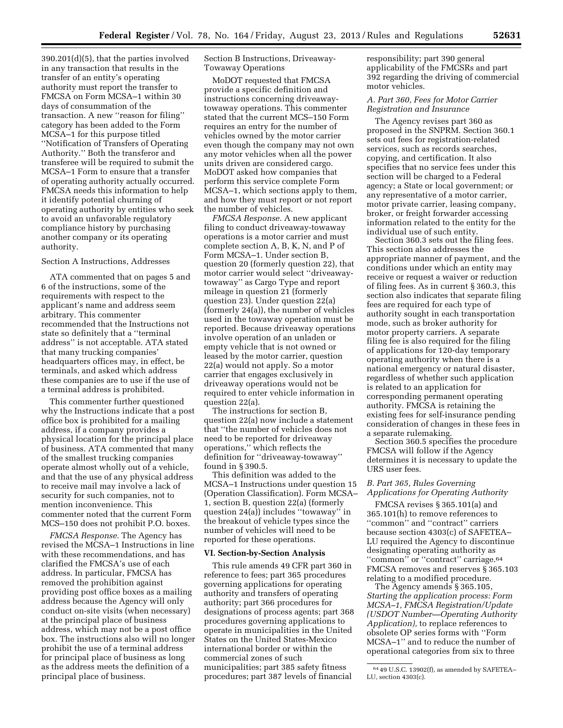390.201(d)(5), that the parties involved in any transaction that results in the transfer of an entity's operating authority must report the transfer to FMCSA on Form MCSA–1 within 30 days of consummation of the transaction. A new ''reason for filing'' category has been added to the Form MCSA–1 for this purpose titled ''Notification of Transfers of Operating Authority.'' Both the transferor and transferee will be required to submit the MCSA–1 Form to ensure that a transfer of operating authority actually occurred. FMCSA needs this information to help it identify potential churning of operating authority by entities who seek to avoid an unfavorable regulatory compliance history by purchasing another company or its operating authority.

#### Section A Instructions, Addresses

ATA commented that on pages 5 and 6 of the instructions, some of the requirements with respect to the applicant's name and address seem arbitrary. This commenter recommended that the Instructions not state so definitely that a ''terminal address'' is not acceptable. ATA stated that many trucking companies' headquarters offices may, in effect, be terminals, and asked which address these companies are to use if the use of a terminal address is prohibited.

This commenter further questioned why the Instructions indicate that a post office box is prohibited for a mailing address, if a company provides a physical location for the principal place of business. ATA commented that many of the smallest trucking companies operate almost wholly out of a vehicle, and that the use of any physical address to receive mail may involve a lack of security for such companies, not to mention inconvenience. This commenter noted that the current Form MCS–150 does not prohibit P.O. boxes.

*FMCSA Response.* The Agency has revised the MCSA–1 Instructions in line with these recommendations, and has clarified the FMCSA's use of each address. In particular, FMCSA has removed the prohibition against providing post office boxes as a mailing address because the Agency will only conduct on-site visits (when necessary) at the principal place of business address, which may not be a post office box. The instructions also will no longer prohibit the use of a terminal address for principal place of business as long as the address meets the definition of a principal place of business.

Section B Instructions, Driveaway-Towaway Operations

MoDOT requested that FMCSA provide a specific definition and instructions concerning driveawaytowaway operations. This commenter stated that the current MCS–150 Form requires an entry for the number of vehicles owned by the motor carrier even though the company may not own any motor vehicles when all the power units driven are considered cargo. MoDOT asked how companies that perform this service complete Form MCSA–1, which sections apply to them, and how they must report or not report the number of vehicles.

*FMCSA Response.* A new applicant filing to conduct driveaway-towaway operations is a motor carrier and must complete section A, B, K, N, and P of Form MCSA–1. Under section B, question 20 (formerly question 22), that motor carrier would select ''driveawaytowaway'' as Cargo Type and report mileage in question 21 (formerly question 23). Under question 22(a) (formerly 24(a)), the number of vehicles used in the towaway operation must be reported. Because driveaway operations involve operation of an unladen or empty vehicle that is not owned or leased by the motor carrier, question 22(a) would not apply. So a motor carrier that engages exclusively in driveaway operations would not be required to enter vehicle information in question 22(a).

The instructions for section B, question 22(a) now include a statement that ''the number of vehicles does not need to be reported for driveaway operations,'' which reflects the definition for ''driveaway-towaway'' found in § 390.5.

This definition was added to the MCSA–1 Instructions under question 15 (Operation Classification). Form MCSA– 1, section B, question 22(a) (formerly question 24(a)) includes ''towaway'' in the breakout of vehicle types since the number of vehicles will need to be reported for these operations.

#### **VI. Section-by-Section Analysis**

This rule amends 49 CFR part 360 in reference to fees; part 365 procedures governing applications for operating authority and transfers of operating authority; part 366 procedures for designations of process agents; part 368 procedures governing applications to operate in municipalities in the United States on the United States-Mexico international border or within the commercial zones of such municipalities; part 385 safety fitness procedures; part 387 levels of financial

responsibility; part 390 general applicability of the FMCSRs and part 392 regarding the driving of commercial motor vehicles.

# *A. Part 360, Fees for Motor Carrier Registration and Insurance*

The Agency revises part 360 as proposed in the SNPRM. Section 360.1 sets out fees for registration-related services, such as records searches, copying, and certification. It also specifies that no service fees under this section will be charged to a Federal agency; a State or local government; or any representative of a motor carrier, motor private carrier, leasing company, broker, or freight forwarder accessing information related to the entity for the individual use of such entity.

Section 360.3 sets out the filing fees. This section also addresses the appropriate manner of payment, and the conditions under which an entity may receive or request a waiver or reduction of filing fees. As in current § 360.3, this section also indicates that separate filing fees are required for each type of authority sought in each transportation mode, such as broker authority for motor property carriers. A separate filing fee is also required for the filing of applications for 120-day temporary operating authority when there is a national emergency or natural disaster, regardless of whether such application is related to an application for corresponding permanent operating authority. FMCSA is retaining the existing fees for self-insurance pending consideration of changes in these fees in a separate rulemaking.

Section 360.5 specifies the procedure FMCSA will follow if the Agency determines it is necessary to update the URS user fees.

## *B. Part 365, Rules Governing Applications for Operating Authority*

FMCSA revises § 365.101(a) and 365.101(h) to remove references to ''common'' and ''contract'' carriers because section 4303(c) of SAFETEA– LU required the Agency to discontinue designating operating authority as "common" or "contract" carriage.<sup>64</sup> FMCSA removes and reserves § 365.103 relating to a modified procedure.

The Agency amends § 365.105, *Starting the application process: Form MCSA–1, FMCSA Registration/Update (USDOT Number—Operating Authority Application),* to replace references to obsolete OP series forms with ''Form MCSA–1'' and to reduce the number of operational categories from six to three

<sup>64</sup> 49 U.S.C. 13902(f), as amended by SAFETEA– LU, section 4303(c).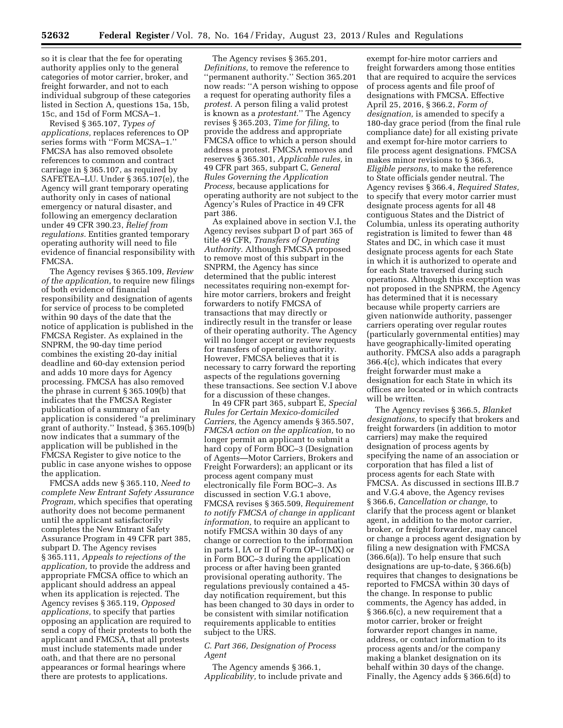so it is clear that the fee for operating authority applies only to the general categories of motor carrier, broker, and freight forwarder, and not to each individual subgroup of these categories listed in Section A, questions 15a, 15b, 15c, and 15d of Form MCSA–1.

Revised § 365.107, *Types of applications,* replaces references to OP series forms with ''Form MCSA–1.'' FMCSA has also removed obsolete references to common and contract carriage in § 365.107, as required by SAFETEA–LU. Under § 365.107(e), the Agency will grant temporary operating authority only in cases of national emergency or natural disaster, and following an emergency declaration under 49 CFR 390.23, *Relief from regulations.* Entities granted temporary operating authority will need to file evidence of financial responsibility with FMCSA.

The Agency revises § 365.109, *Review of the application,* to require new filings of both evidence of financial responsibility and designation of agents for service of process to be completed within 90 days of the date that the notice of application is published in the FMCSA Register. As explained in the SNPRM, the 90-day time period combines the existing 20-day initial deadline and 60-day extension period and adds 10 more days for Agency processing. FMCSA has also removed the phrase in current § 365.109(b) that indicates that the FMCSA Register publication of a summary of an application is considered ''a preliminary grant of authority.'' Instead, § 365.109(b) now indicates that a summary of the application will be published in the FMCSA Register to give notice to the public in case anyone wishes to oppose the application.

FMCSA adds new § 365.110, *Need to complete New Entrant Safety Assurance Program,* which specifies that operating authority does not become permanent until the applicant satisfactorily completes the New Entrant Safety Assurance Program in 49 CFR part 385, subpart D. The Agency revises § 365.111, *Appeals to rejections of the application,* to provide the address and appropriate FMCSA office to which an applicant should address an appeal when its application is rejected. The Agency revises § 365.119, *Opposed applications,* to specify that parties opposing an application are required to send a copy of their protests to both the applicant and FMCSA, that all protests must include statements made under oath, and that there are no personal appearances or formal hearings where there are protests to applications.

The Agency revises § 365.201, *Definitions,* to remove the reference to ''permanent authority.'' Section 365.201 now reads: ''A person wishing to oppose a request for operating authority files a *protest.* A person filing a valid protest is known as a *protestant.*'' The Agency revises § 365.203, *Time for filing,* to provide the address and appropriate FMCSA office to which a person should address a protest. FMCSA removes and reserves § 365.301, *Applicable rules,* in 49 CFR part 365, subpart C, *General Rules Governing the Application Process,* because applications for operating authority are not subject to the Agency's Rules of Practice in 49 CFR part 386.

As explained above in section V.I, the Agency revises subpart D of part 365 of title 49 CFR, *Transfers of Operating Authority.* Although FMCSA proposed to remove most of this subpart in the SNPRM, the Agency has since determined that the public interest necessitates requiring non-exempt forhire motor carriers, brokers and freight forwarders to notify FMCSA of transactions that may directly or indirectly result in the transfer or lease of their operating authority. The Agency will no longer accept or review requests for transfers of operating authority. However, FMCSA believes that it is necessary to carry forward the reporting aspects of the regulations governing these transactions. See section V.I above for a discussion of these changes.

In 49 CFR part 365, subpart E, *Special Rules for Certain Mexico-domiciled Carriers,* the Agency amends § 365.507, *FMCSA action on the application,* to no longer permit an applicant to submit a hard copy of Form BOC–3 (Designation of Agents—Motor Carriers, Brokers and Freight Forwarders); an applicant or its process agent company must electronically file Form BOC–3. As discussed in section V.G.1 above, FMCSA revises § 365.509, *Requirement to notify FMCSA of change in applicant information,* to require an applicant to notify FMCSA within 30 days of any change or correction to the information in parts I, IA or II of Form OP–1(MX) or in Form BOC–3 during the application process or after having been granted provisional operating authority. The regulations previously contained a 45 day notification requirement, but this has been changed to 30 days in order to be consistent with similar notification requirements applicable to entities subject to the URS.

### *C. Part 366, Designation of Process Agent*

The Agency amends § 366.1, *Applicability,* to include private and

exempt for-hire motor carriers and freight forwarders among those entities that are required to acquire the services of process agents and file proof of designations with FMCSA. Effective April 25, 2016, § 366.2, *Form of designation,* is amended to specify a 180-day grace period (from the final rule compliance date) for all existing private and exempt for-hire motor carriers to file process agent designations. FMCSA makes minor revisions to § 366.3, *Eligible persons,* to make the reference to State officials gender neutral. The Agency revises § 366.4, *Required States,*  to specify that every motor carrier must designate process agents for all 48 contiguous States and the District of Columbia, unless its operating authority registration is limited to fewer than 48 States and DC, in which case it must designate process agents for each State in which it is authorized to operate and for each State traversed during such operations. Although this exception was not proposed in the SNPRM, the Agency has determined that it is necessary because while property carriers are given nationwide authority, passenger carriers operating over regular routes (particularly governmental entities) may have geographically-limited operating authority. FMCSA also adds a paragraph 366.4(c), which indicates that every freight forwarder must make a designation for each State in which its offices are located or in which contracts will be written.

The Agency revises § 366.5, *Blanket designations,* to specify that brokers and freight forwarders (in addition to motor carriers) may make the required designation of process agents by specifying the name of an association or corporation that has filed a list of process agents for each State with FMCSA. As discussed in sections III.B.7 and V.G.4 above, the Agency revises § 366.6, *Cancellation or change,* to clarify that the process agent or blanket agent, in addition to the motor carrier, broker, or freight forwarder, may cancel or change a process agent designation by filing a new designation with FMCSA (366.6(a)). To help ensure that such designations are up-to-date, § 366.6(b) requires that changes to designations be reported to FMCSA within 30 days of the change. In response to public comments, the Agency has added, in § 366.6(c), a new requirement that a motor carrier, broker or freight forwarder report changes in name, address, or contact information to its process agents and/or the company making a blanket designation on its behalf within 30 days of the change. Finally, the Agency adds § 366.6(d) to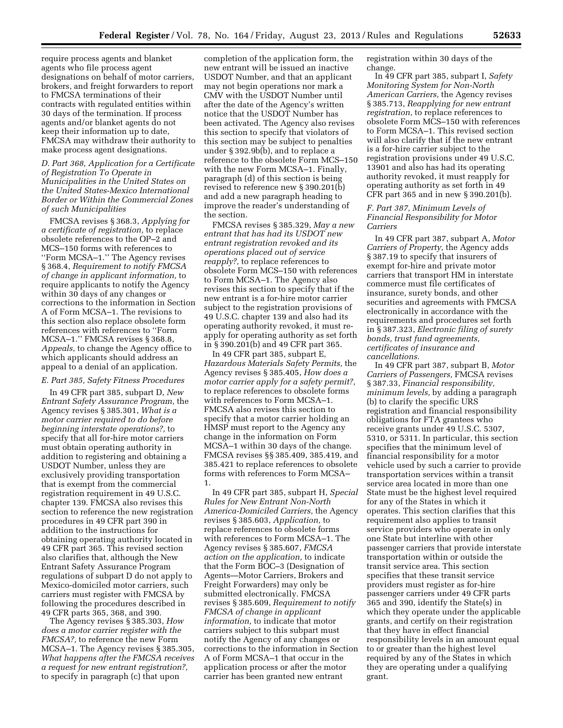require process agents and blanket agents who file process agent designations on behalf of motor carriers, brokers, and freight forwarders to report to FMCSA terminations of their contracts with regulated entities within 30 days of the termination. If process agents and/or blanket agents do not keep their information up to date, FMCSA may withdraw their authority to make process agent designations.

# *D. Part 368, Application for a Certificate of Registration To Operate in Municipalities in the United States on the United States-Mexico International Border or Within the Commercial Zones of such Municipalities*

FMCSA revises § 368.3, *Applying for a certificate of registration,* to replace obsolete references to the OP–2 and MCS–150 forms with references to ''Form MCSA–1.'' The Agency revises § 368.4, *Requirement to notify FMCSA of change in applicant information,* to require applicants to notify the Agency within 30 days of any changes or corrections to the information in Section A of Form MCSA–1. The revisions to this section also replace obsolete form references with references to ''Form MCSA–1.'' FMCSA revises § 368.8, *Appeals,* to change the Agency office to which applicants should address an appeal to a denial of an application.

#### *E. Part 385, Safety Fitness Procedures*

In 49 CFR part 385, subpart D, *New Entrant Safety Assurance Program,* the Agency revises § 385.301, *What is a motor carrier required to do before beginning interstate operations?,* to specify that all for-hire motor carriers must obtain operating authority in addition to registering and obtaining a USDOT Number, unless they are exclusively providing transportation that is exempt from the commercial registration requirement in 49 U.S.C. chapter 139. FMCSA also revises this section to reference the new registration procedures in 49 CFR part 390 in addition to the instructions for obtaining operating authority located in 49 CFR part 365. This revised section also clarifies that, although the New Entrant Safety Assurance Program regulations of subpart D do not apply to Mexico-domiciled motor carriers, such carriers must register with FMCSA by following the procedures described in 49 CFR parts 365, 368, and 390.

The Agency revises § 385.303, *How does a motor carrier register with the FMCSA?,* to reference the new Form MCSA–1. The Agency revises § 385.305, *What happens after the FMCSA receives a request for new entrant registration?,*  to specify in paragraph (c) that upon

completion of the application form, the new entrant will be issued an inactive USDOT Number, and that an applicant may not begin operations nor mark a CMV with the USDOT Number until after the date of the Agency's written notice that the USDOT Number has been activated. The Agency also revises this section to specify that violators of this section may be subject to penalties under § 392.9b(b), and to replace a reference to the obsolete Form MCS–150 with the new Form MCSA–1. Finally, paragraph (d) of this section is being revised to reference new § 390.201(b) and add a new paragraph heading to improve the reader's understanding of the section.

FMCSA revises § 385.329, *May a new entrant that has had its USDOT new entrant registration revoked and its operations placed out of service reapply?,* to replace references to obsolete Form MCS–150 with references to Form MCSA–1. The Agency also revises this section to specify that if the new entrant is a for-hire motor carrier subject to the registration provisions of 49 U.S.C. chapter 139 and also had its operating authority revoked, it must reapply for operating authority as set forth in § 390.201(b) and 49 CFR part 365.

In 49 CFR part 385, subpart E, *Hazardous Materials Safety Permits,* the Agency revises § 385.405, *How does a motor carrier apply for a safety permit?,*  to replace references to obsolete forms with references to Form MCSA–1. FMCSA also revises this section to specify that a motor carrier holding an HMSP must report to the Agency any change in the information on Form MCSA–1 within 30 days of the change. FMCSA revises §§ 385.409, 385.419, and 385.421 to replace references to obsolete forms with references to Form MCSA– 1.

In 49 CFR part 385, subpart H, *Special Rules for New Entrant Non-North America-Domiciled Carriers,* the Agency revises § 385.603, *Application,* to replace references to obsolete forms with references to Form MCSA–1. The Agency revises § 385.607, *FMCSA action on the application,* to indicate that the Form BOC–3 (Designation of Agents—Motor Carriers, Brokers and Freight Forwarders) may only be submitted electronically. FMCSA revises § 385.609, *Requirement to notify FMCSA of change in applicant information,* to indicate that motor carriers subject to this subpart must notify the Agency of any changes or corrections to the information in Section A of Form MCSA–1 that occur in the application process or after the motor carrier has been granted new entrant

registration within 30 days of the change.

In 49 CFR part 385, subpart I, *Safety Monitoring System for Non-North American Carriers,* the Agency revises § 385.713, *Reapplying for new entrant registration,* to replace references to obsolete Form MCS–150 with references to Form MCSA–1. This revised section will also clarify that if the new entrant is a for-hire carrier subject to the registration provisions under 49 U.S.C. 13901 and also has had its operating authority revoked, it must reapply for operating authority as set forth in 49 CFR part 365 and in new § 390.201(b).

# *F. Part 387, Minimum Levels of Financial Responsibility for Motor Carriers*

In 49 CFR part 387, subpart A, *Motor Carriers of Property,* the Agency adds § 387.19 to specify that insurers of exempt for-hire and private motor carriers that transport HM in interstate commerce must file certificates of insurance, surety bonds, and other securities and agreements with FMCSA electronically in accordance with the requirements and procedures set forth in § 387.323, *Electronic filing of surety bonds, trust fund agreements, certificates of insurance and cancellations.* 

In 49 CFR part 387, subpart B, *Motor Carriers of Passengers,* FMCSA revises § 387.33, *Financial responsibility, minimum levels,* by adding a paragraph (b) to clarify the specific URS registration and financial responsibility obligations for FTA grantees who receive grants under 49 U.S.C. 5307, 5310, or 5311. In particular, this section specifies that the minimum level of financial responsibility for a motor vehicle used by such a carrier to provide transportation services within a transit service area located in more than one State must be the highest level required for any of the States in which it operates. This section clarifies that this requirement also applies to transit service providers who operate in only one State but interline with other passenger carriers that provide interstate transportation within or outside the transit service area. This section specifies that these transit service providers must register as for-hire passenger carriers under 49 CFR parts 365 and 390, identify the State(s) in which they operate under the applicable grants, and certify on their registration that they have in effect financial responsibility levels in an amount equal to or greater than the highest level required by any of the States in which they are operating under a qualifying grant.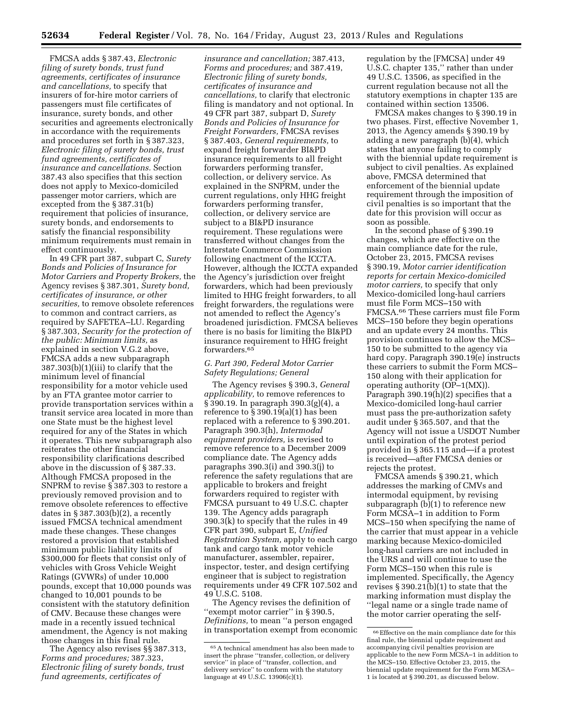FMCSA adds § 387.43, *Electronic filing of surety bonds, trust fund agreements, certificates of insurance and cancellations,* to specify that insurers of for-hire motor carriers of passengers must file certificates of insurance, surety bonds, and other securities and agreements electronically in accordance with the requirements and procedures set forth in § 387.323, *Electronic filing of surety bonds, trust fund agreements, certificates of insurance and cancellations.* Section 387.43 also specifies that this section does not apply to Mexico-domiciled passenger motor carriers, which are excepted from the § 387.31(b) requirement that policies of insurance, surety bonds, and endorsements to satisfy the financial responsibility minimum requirements must remain in effect continuously.

In 49 CFR part 387, subpart C, *Surety Bonds and Policies of Insurance for Motor Carriers and Property Brokers,* the Agency revises § 387.301, *Surety bond, certificates of insurance, or other securities,* to remove obsolete references to common and contract carriers, as required by SAFETEA–LU. Regarding § 387.303, *Security for the protection of the public: Minimum limits,* as explained in section V.G.2 above, FMCSA adds a new subparagraph 387.303(b)(1)(iii) to clarify that the minimum level of financial responsibility for a motor vehicle used by an FTA grantee motor carrier to provide transportation services within a transit service area located in more than one State must be the highest level required for any of the States in which it operates. This new subparagraph also reiterates the other financial responsibility clarifications described above in the discussion of § 387.33. Although FMCSA proposed in the SNPRM to revise  $\S$  387.303 to restore a previously removed provision and to remove obsolete references to effective dates in  $\S 387.303(b)(2)$ , a recently issued FMCSA technical amendment made these changes. These changes restored a provision that established minimum public liability limits of \$300,000 for fleets that consist only of vehicles with Gross Vehicle Weight Ratings (GVWRs) of under 10,000 pounds, except that 10,000 pounds was changed to 10,001 pounds to be consistent with the statutory definition of CMV. Because these changes were made in a recently issued technical amendment, the Agency is not making those changes in this final rule.

The Agency also revises §§ 387.313, *Forms and procedures;* 387.323, *Electronic filing of surety bonds, trust fund agreements, certificates of* 

*insurance and cancellation;* 387.413, *Forms and procedures;* and 387.419, *Electronic filing of surety bonds, certificates of insurance and cancellations,* to clarify that electronic filing is mandatory and not optional. In 49 CFR part 387, subpart D, *Surety Bonds and Policies of Insurance for Freight Forwarders,* FMCSA revises § 387.403, *General requirements,* to expand freight forwarder BI&PD insurance requirements to all freight forwarders performing transfer, collection, or delivery service. As explained in the SNPRM, under the current regulations, only HHG freight forwarders performing transfer, collection, or delivery service are subject to a BI&PD insurance requirement. These regulations were transferred without changes from the Interstate Commerce Commission following enactment of the ICCTA. However, although the ICCTA expanded the Agency's jurisdiction over freight forwarders, which had been previously limited to HHG freight forwarders, to all freight forwarders, the regulations were not amended to reflect the Agency's broadened jurisdiction. FMCSA believes there is no basis for limiting the BI&PD insurance requirement to HHG freight forwarders.65

# *G. Part 390, Federal Motor Carrier Safety Regulations; General*

The Agency revises § 390.3, *General applicability,* to remove references to § 390.19. In paragraph 390.3(g)(4), a reference to  $\S 390.19(a)(1)$  has been replaced with a reference to § 390.201. Paragraph 390.3(h), *Intermodal equipment providers,* is revised to remove reference to a December 2009 compliance date. The Agency adds paragraphs 390.3(i) and 390.3(j) to reference the safety regulations that are applicable to brokers and freight forwarders required to register with FMCSA pursuant to 49 U.S.C. chapter 139. The Agency adds paragraph 390.3(k) to specify that the rules in 49 CFR part 390, subpart E, *Unified Registration System,* apply to each cargo tank and cargo tank motor vehicle manufacturer, assembler, repairer, inspector, tester, and design certifying engineer that is subject to registration requirements under 49 CFR 107.502 and 49 U.S.C. 5108.

The Agency revises the definition of "exempt motor carrier" in § 390.5, *Definitions,* to mean ''a person engaged in transportation exempt from economic regulation by the [FMCSA] under 49 U.S.C. chapter 135,'' rather than under 49 U.S.C. 13506, as specified in the current regulation because not all the statutory exemptions in chapter 135 are contained within section 13506.

FMCSA makes changes to § 390.19 in two phases. First, effective November 1, 2013, the Agency amends § 390.19 by adding a new paragraph (b)(4), which states that anyone failing to comply with the biennial update requirement is subject to civil penalties. As explained above, FMCSA determined that enforcement of the biennial update requirement through the imposition of civil penalties is so important that the date for this provision will occur as soon as possible.

In the second phase of § 390.19 changes, which are effective on the main compliance date for the rule, October 23, 2015, FMCSA revises § 390.19, *Motor carrier identification reports for certain Mexico-domiciled motor carriers,* to specify that only Mexico-domiciled long-haul carriers must file Form MCS–150 with FMCSA.66 These carriers must file Form MCS–150 before they begin operations and an update every 24 months. This provision continues to allow the MCS– 150 to be submitted to the agency via hard copy. Paragraph 390.19(e) instructs these carriers to submit the Form MCS– 150 along with their application for operating authority (OP–1(MX)). Paragraph 390.19(h)(2) specifies that a Mexico-domiciled long-haul carrier must pass the pre-authorization safety audit under § 365.507, and that the Agency will not issue a USDOT Number until expiration of the protest period provided in § 365.115 and—if a protest is received—after FMCSA denies or rejects the protest.

FMCSA amends § 390.21, which addresses the marking of CMVs and intermodal equipment, by revising subparagraph (b)(1) to reference new Form MCSA–1 in addition to Form MCS–150 when specifying the name of the carrier that must appear in a vehicle marking because Mexico-domiciled long-haul carriers are not included in the URS and will continue to use the Form MCS–150 when this rule is implemented. Specifically, the Agency revises § 390.21(b)(1) to state that the marking information must display the ''legal name or a single trade name of the motor carrier operating the self-

<sup>65</sup>A technical amendment has also been made to insert the phrase ''transfer, collection, or delivery service'' in place of ''transfer, collection, and delivery service'' to conform with the statutory language at 49 U.S.C. 13906(c)(1).

<sup>66</sup>Effective on the main compliance date for this final rule, the biennial update requirement and accompanying civil penalties provision are applicable to the new Form MCSA–1 in addition to the MCS–150. Effective October 23, 2015, the biennial update requirement for the Form MCSA– 1 is located at § 390.201, as discussed below.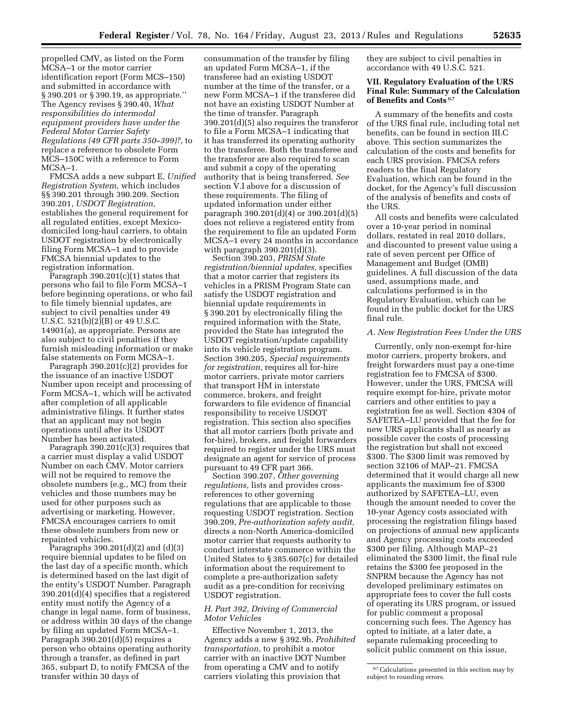propelled CMV, as listed on the Form MCSA–1 or the motor carrier identification report (Form MCS–150) and submitted in accordance with § 390.201 or § 390.19, as appropriate.'' The Agency revises § 390.40, *What responsibilities do intermodal equipment providers have under the Federal Motor Carrier Safety Regulations (49 CFR parts 350–399)?,* to replace a reference to obsolete Form MCS–150C with a reference to Form MCSA–1.

FMCSA adds a new subpart E, *Unified Registration System,* which includes §§ 390.201 through 390.209. Section 390.201, *USDOT Registration,*  establishes the general requirement for all regulated entities, except Mexicodomiciled long-haul carriers, to obtain USDOT registration by electronically filing Form MCSA–1 and to provide FMCSA biennial updates to the registration information.

Paragraph  $390.201(c)(1)$  states that persons who fail to file Form MCSA–1 before beginning operations, or who fail to file timely biennial updates, are subject to civil penalties under 49 U.S.C. 521(b)(2)(B) or 49 U.S.C. 14901(a), as appropriate. Persons are also subject to civil penalties if they furnish misleading information or make false statements on Form MCSA–1.

Paragraph 390.201(c)(2) provides for the issuance of an inactive USDOT Number upon receipt and processing of Form MCSA–1, which will be activated after completion of all applicable administrative filings. It further states that an applicant may not begin operations until after its USDOT Number has been activated.

Paragraph 390.201(c)(3) requires that a carrier must display a valid USDOT Number on each CMV. Motor carriers will not be required to remove the obsolete numbers (e.g., MC) from their vehicles and those numbers may be used for other purposes such as advertising or marketing. However, FMCSA encourages carriers to omit these obsolete numbers from new or repainted vehicles.

Paragraphs  $390.201(d)(2)$  and  $(d)(3)$ require biennial updates to be filed on the last day of a specific month, which is determined based on the last digit of the entity's USDOT Number. Paragraph 390.201(d)(4) specifies that a registered entity must notify the Agency of a change in legal name, form of business, or address within 30 days of the change by filing an updated Form MCSA–1. Paragraph 390.201(d)(5) requires a person who obtains operating authority through a transfer, as defined in part 365, subpart D, to notify FMCSA of the transfer within 30 days of

consummation of the transfer by filing an updated Form MCSA–1, if the transferee had an existing USDOT number at the time of the transfer, or a new Form MCSA–1 if the transferee did not have an existing USDOT Number at the time of transfer. Paragraph 390.201(d)(5) also requires the transferor to file a Form MCSA–1 indicating that it has transferred its operating authority to the transferee. Both the transferee and the transferor are also required to scan and submit a copy of the operating authority that is being transferred. *See*  section V.I above for a discussion of these requirements. The filing of updated information under either paragraph 390.201(d)(4) or 390.201(d)(5) does not relieve a registered entity from the requirement to file an updated Form MCSA–1 every 24 months in accordance with paragraph  $390.201(d)(3)$ .

Section 390.203, *PRISM State registration/biennial updates,* specifies that a motor carrier that registers its vehicles in a PRISM Program State can satisfy the USDOT registration and biennial update requirements in § 390.201 by electronically filing the required information with the State, provided the State has integrated the USDOT registration/update capability into its vehicle registration program. Section 390.205, *Special requirements for registration,* requires all for-hire motor carriers, private motor carriers that transport HM in interstate commerce, brokers, and freight forwarders to file evidence of financial responsibility to receive USDOT registration. This section also specifies that all motor carriers (both private and for-hire), brokers, and freight forwarders required to register under the URS must designate an agent for service of process pursuant to 49 CFR part 366.

Section 390.207, *Other governing regulations,* lists and provides crossreferences to other governing regulations that are applicable to those requesting USDOT registration. Section 390.209, *Pre-authorization safety audit,*  directs a non-North America-domiciled motor carrier that requests authority to conduct interstate commerce within the United States to § 385.607(c) for detailed information about the requirement to complete a pre-authorization safety audit as a pre-condition for receiving USDOT registration.

# *H. Part 392, Driving of Commercial Motor Vehicles*

Effective November 1, 2013, the Agency adds a new § 392.9b, *Prohibited transportation,* to prohibit a motor carrier with an inactive DOT Number from operating a CMV and to notify carriers violating this provision that

they are subject to civil penalties in accordance with 49 U.S.C. 521.

# **VII. Regulatory Evaluation of the URS Final Rule: Summary of the Calculation of Benefits and Costs** 67

A summary of the benefits and costs of the URS final rule, including total net benefits, can be found in section III.C above. This section summarizes the calculation of the costs and benefits for each URS provision. FMCSA refers readers to the final Regulatory Evaluation, which can be found in the docket, for the Agency's full discussion of the analysis of benefits and costs of the URS.

All costs and benefits were calculated over a 10-year period in nominal dollars, restated in real 2010 dollars, and discounted to present value using a rate of seven percent per Office of Management and Budget (OMB) guidelines. A full discussion of the data used, assumptions made, and calculations performed is in the Regulatory Evaluation, which can be found in the public docket for the URS final rule.

# *A. New Registration Fees Under the URS*

Currently, only non-exempt for-hire motor carriers, property brokers, and freight forwarders must pay a one-time registration fee to FMCSA of \$300. However, under the URS, FMCSA will require exempt for-hire, private motor carriers and other entities to pay a registration fee as well. Section 4304 of SAFETEA–LU provided that the fee for new URS applicants shall as nearly as possible cover the costs of processing the registration but shall not exceed \$300. The \$300 limit was removed by section 32106 of MAP–21. FMCSA determined that it would charge all new applicants the maximum fee of \$300 authorized by SAFETEA–LU, even though the amount needed to cover the 10-year Agency costs associated with processing the registration filings based on projections of annual new applicants and Agency processing costs exceeded \$300 per filing. Although MAP–21 eliminated the \$300 limit, the final rule retains the \$300 fee proposed in the SNPRM because the Agency has not developed preliminary estimates on appropriate fees to cover the full costs of operating its URS program, or issued for public comment a proposal concerning such fees. The Agency has opted to initiate, at a later date, a separate rulemaking proceeding to solicit public comment on this issue,

<sup>67</sup>Calculations presented in this section may by subject to rounding errors.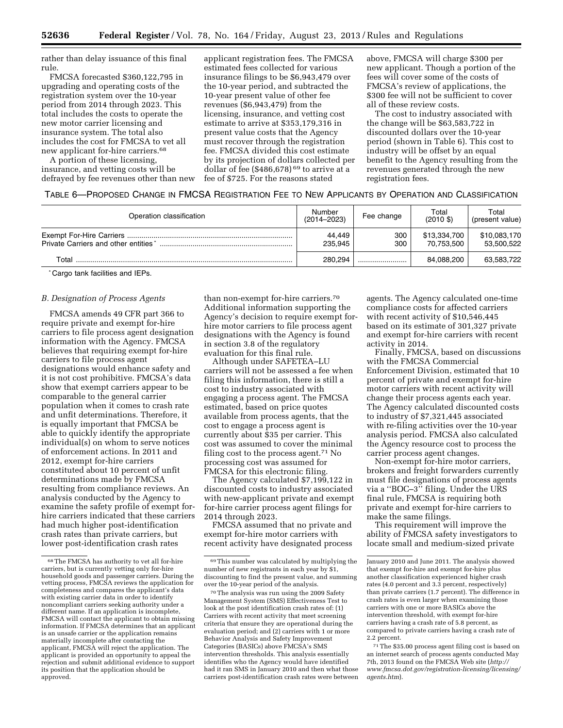rather than delay issuance of this final rule.

FMCSA forecasted \$360,122,795 in upgrading and operating costs of the registration system over the 10-year period from 2014 through 2023. This total includes the costs to operate the new motor carrier licensing and insurance system. The total also includes the cost for FMCSA to vet all new applicant for-hire carriers.68

A portion of these licensing, insurance, and vetting costs will be defrayed by fee revenues other than new

applicant registration fees. The FMCSA estimated fees collected for various insurance filings to be \$6,943,479 over the 10-year period, and subtracted the 10-year present value of other fee revenues (\$6,943,479) from the licensing, insurance, and vetting cost estimate to arrive at \$353,179,316 in present value costs that the Agency must recover through the registration fee. FMCSA divided this cost estimate by its projection of dollars collected per dollar of fee (\$486,678)<sup>69</sup> to arrive at a fee of \$725. For the reasons stated

above, FMCSA will charge \$300 per new applicant. Though a portion of the fees will cover some of the costs of FMCSA's review of applications, the \$300 fee will not be sufficient to cover all of these review costs.

The cost to industry associated with the change will be \$63,583,722 in discounted dollars over the 10-year period (shown in Table 6). This cost to industry will be offset by an equal benefit to the Agency resulting from the revenues generated through the new registration fees.

# TABLE 6—PROPOSED CHANGE IN FMCSA REGISTRATION FEE TO NEW APPLICANTS BY OPERATION AND CLASSIFICATION

| Operation classification             | Number<br>$(2014 - 2023)$ | Fee change | Total<br>(2010S)           | Total<br>(present value)   |
|--------------------------------------|---------------------------|------------|----------------------------|----------------------------|
| Private Carriers and other entities* | 44.449<br>235.945         | 300<br>300 | \$13,334,700<br>70.753.500 | \$10,083,170<br>53,500,522 |
| Total                                | 280.294                   |            | 84.088.200                 | 63,583,722                 |

\* Cargo tank facilities and IEPs.

# *B. Designation of Process Agents*

FMCSA amends 49 CFR part 366 to require private and exempt for-hire carriers to file process agent designation information with the Agency. FMCSA believes that requiring exempt for-hire carriers to file process agent designations would enhance safety and it is not cost prohibitive. FMCSA's data show that exempt carriers appear to be comparable to the general carrier population when it comes to crash rate and unfit determinations. Therefore, it is equally important that FMCSA be able to quickly identify the appropriate individual(s) on whom to serve notices of enforcement actions. In 2011 and 2012, exempt for-hire carriers constituted about 10 percent of unfit determinations made by FMCSA resulting from compliance reviews. An analysis conducted by the Agency to examine the safety profile of exempt forhire carriers indicated that these carriers had much higher post-identification crash rates than private carriers, but lower post-identification crash rates

than non-exempt for-hire carriers.70 Additional information supporting the Agency's decision to require exempt forhire motor carriers to file process agent designations with the Agency is found in section 3.8 of the regulatory evaluation for this final rule.

Although under SAFETEA–LU carriers will not be assessed a fee when filing this information, there is still a cost to industry associated with engaging a process agent. The FMCSA estimated, based on price quotes available from process agents, that the cost to engage a process agent is currently about \$35 per carrier. This cost was assumed to cover the minimal filing cost to the process agent.<sup>71</sup> No processing cost was assumed for FMCSA for this electronic filing.

The Agency calculated \$7,199,122 in discounted costs to industry associated with new-applicant private and exempt for-hire carrier process agent filings for 2014 through 2023.

FMCSA assumed that no private and exempt for-hire motor carriers with recent activity have designated process

agents. The Agency calculated one-time compliance costs for affected carriers with recent activity of \$10,546,445 based on its estimate of 301,327 private and exempt for-hire carriers with recent activity in 2014.

Finally, FMCSA, based on discussions with the FMCSA Commercial Enforcement Division, estimated that 10 percent of private and exempt for-hire motor carriers with recent activity will change their process agents each year. The Agency calculated discounted costs to industry of \$7,321,445 associated with re-filing activities over the 10-year analysis period. FMCSA also calculated the Agency resource cost to process the carrier process agent changes.

Non-exempt for-hire motor carriers, brokers and freight forwarders currently must file designations of process agents via a ''BOC–3'' filing. Under the URS final rule, FMCSA is requiring both private and exempt for-hire carriers to make the same filings.

This requirement will improve the ability of FMCSA safety investigators to locate small and medium-sized private

 $^{68}\mathrm{The\ FMCSA}$  has authority to vet all for-hire carriers, but is currently vetting only for-hire household goods and passenger carriers. During the vetting process, FMCSA reviews the application for completeness and compares the applicant's data with existing carrier data in order to identify noncompliant carriers seeking authority under a different name. If an application is incomplete, FMCSA will contact the applicant to obtain missing information. If FMCSA determines that an applicant is an unsafe carrier or the application remains materially incomplete after contacting the applicant, FMCSA will reject the application. The applicant is provided an opportunity to appeal the rejection and submit additional evidence to support its position that the application should be approved.

<sup>69</sup>This number was calculated by multiplying the number of new registrants in each year by \$1, discounting to find the present value, and summing over the 10-year period of the analysis.

<sup>70</sup>The analysis was run using the 2009 Safety Management System (SMS) Effectiveness Test to look at the post identification crash rates of: (1) Carriers with recent activity that meet screening criteria that ensure they are operational during the evaluation period; and (2) carriers with 1 or more Behavior Analysis and Safety Improvement Categories (BASICs) above FMCSA's SMS intervention thresholds. This analysis essentially identifies who the Agency would have identified had it ran SMS in January 2010 and then what those carriers post-identification crash rates were between

January 2010 and June 2011. The analysis showed that exempt for-hire and exempt for-hire plus another classification experienced higher crash rates (4.0 percent and 3.3 percent, respectively) than private carriers (1.7 percent). The difference in crash rates is even larger when examining those carriers with one or more BASICs above the intervention threshold, with exempt for-hire carriers having a crash rate of 5.8 percent, as compared to private carriers having a crash rate of 2.2 percent.

<sup>71</sup>The \$35.00 process agent filing cost is based on an internet search of process agents conducted May 7th, 2013 found on the FMCSA Web site (*[http://](http://www.fmcsa.dot.gov/registration-licensing/licensing/agents.htm) [www.fmcsa.dot.gov/registration-licensing/licensing/](http://www.fmcsa.dot.gov/registration-licensing/licensing/agents.htm) [agents.htm](http://www.fmcsa.dot.gov/registration-licensing/licensing/agents.htm)*).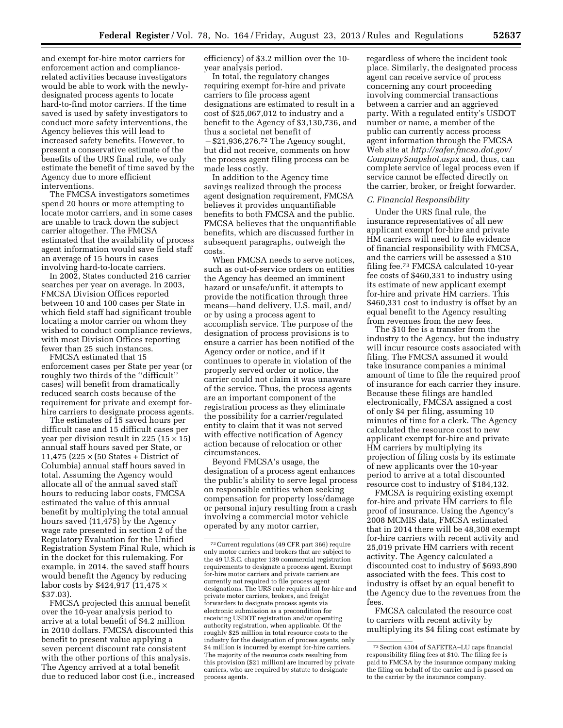and exempt for-hire motor carriers for enforcement action and compliancerelated activities because investigators would be able to work with the newlydesignated process agents to locate hard-to-find motor carriers. If the time saved is used by safety investigators to conduct more safety interventions, the Agency believes this will lead to increased safety benefits. However, to present a conservative estimate of the benefits of the URS final rule, we only estimate the benefit of time saved by the Agency due to more efficient interventions.

The FMCSA investigators sometimes spend 20 hours or more attempting to locate motor carriers, and in some cases are unable to track down the subject carrier altogether. The FMCSA estimated that the availability of process agent information would save field staff an average of 15 hours in cases involving hard-to-locate carriers.

In 2002, States conducted 216 carrier searches per year on average. In 2003, FMCSA Division Offices reported between 10 and 100 cases per State in which field staff had significant trouble locating a motor carrier on whom they wished to conduct compliance reviews, with most Division Offices reporting fewer than 25 such instances.

FMCSA estimated that 15 enforcement cases per State per year (or roughly two thirds of the ''difficult'' cases) will benefit from dramatically reduced search costs because of the requirement for private and exempt forhire carriers to designate process agents.

The estimates of 15 saved hours per difficult case and 15 difficult cases per year per division result in 225 ( $15 \times 15$ ) annual staff hours saved per State, or 11,475 (225  $\times$  (50 States + District of Columbia) annual staff hours saved in total. Assuming the Agency would allocate all of the annual saved staff hours to reducing labor costs, FMCSA estimated the value of this annual benefit by multiplying the total annual hours saved (11,475) by the Agency wage rate presented in section 2 of the Regulatory Evaluation for the Unified Registration System Final Rule, which is in the docket for this rulemaking. For example, in 2014, the saved staff hours would benefit the Agency by reducing labor costs by \$424,917 (11,475  $\times$ \$37.03).

FMCSA projected this annual benefit over the 10-year analysis period to arrive at a total benefit of \$4.2 million in 2010 dollars. FMCSA discounted this benefit to present value applying a seven percent discount rate consistent with the other portions of this analysis. The Agency arrived at a total benefit due to reduced labor cost (i.e., increased efficiency) of \$3.2 million over the 10 year analysis period.

In total, the regulatory changes requiring exempt for-hire and private carriers to file process agent designations are estimated to result in a cost of \$25,067,012 to industry and a benefit to the Agency of \$3,130,736, and thus a societal net benefit of  $-$ \$21,936,276.<sup>72</sup> The Agency sought,

but did not receive, comments on how the process agent filing process can be made less costly.

In addition to the Agency time savings realized through the process agent designation requirement, FMCSA believes it provides unquantifiable benefits to both FMCSA and the public. FMCSA believes that the unquantifiable benefits, which are discussed further in subsequent paragraphs, outweigh the costs.

When FMCSA needs to serve notices, such as out-of-service orders on entities the Agency has deemed an imminent hazard or unsafe/unfit, it attempts to provide the notification through three means—hand delivery, U.S. mail, and/ or by using a process agent to accomplish service. The purpose of the designation of process provisions is to ensure a carrier has been notified of the Agency order or notice, and if it continues to operate in violation of the properly served order or notice, the carrier could not claim it was unaware of the service. Thus, the process agents are an important component of the registration process as they eliminate the possibility for a carrier/regulated entity to claim that it was not served with effective notification of Agency action because of relocation or other circumstances.

Beyond FMCSA's usage, the designation of a process agent enhances the public's ability to serve legal process on responsible entities when seeking compensation for property loss/damage or personal injury resulting from a crash involving a commercial motor vehicle operated by any motor carrier,

regardless of where the incident took place. Similarly, the designated process agent can receive service of process concerning any court proceeding involving commercial transactions between a carrier and an aggrieved party. With a regulated entity's USDOT number or name, a member of the public can currently access process agent information through the FMCSA Web site at *[http://safer.fmcsa.dot.gov/](http://safer.fmcsa.dot.gov/CompanySnapshot.aspx) [CompanySnapshot.aspx](http://safer.fmcsa.dot.gov/CompanySnapshot.aspx)* and, thus, can complete service of legal process even if service cannot be effected directly on the carrier, broker, or freight forwarder.

#### *C. Financial Responsibility*

Under the URS final rule, the insurance representatives of all new applicant exempt for-hire and private HM carriers will need to file evidence of financial responsibility with FMCSA, and the carriers will be assessed a \$10 filing fee.73 FMCSA calculated 10-year fee costs of \$460,331 to industry using its estimate of new applicant exempt for-hire and private HM carriers. This \$460,331 cost to industry is offset by an equal benefit to the Agency resulting from revenues from the new fees.

The \$10 fee is a transfer from the industry to the Agency, but the industry will incur resource costs associated with filing. The FMCSA assumed it would take insurance companies a minimal amount of time to file the required proof of insurance for each carrier they insure. Because these filings are handled electronically, FMCSA assigned a cost of only \$4 per filing, assuming 10 minutes of time for a clerk. The Agency calculated the resource cost to new applicant exempt for-hire and private HM carriers by multiplying its projection of filing costs by its estimate of new applicants over the 10-year period to arrive at a total discounted resource cost to industry of \$184,132.

FMCSA is requiring existing exempt for-hire and private HM carriers to file proof of insurance. Using the Agency's 2008 MCMIS data, FMCSA estimated that in 2014 there will be 48,308 exempt for-hire carriers with recent activity and 25,019 private HM carriers with recent activity. The Agency calculated a discounted cost to industry of \$693,890 associated with the fees. This cost to industry is offset by an equal benefit to the Agency due to the revenues from the fees.

FMCSA calculated the resource cost to carriers with recent activity by multiplying its \$4 filing cost estimate by

<sup>72</sup>Current regulations (49 CFR part 366) require only motor carriers and brokers that are subject to the 49 U.S.C. chapter 139 commercial registration requirements to designate a process agent. Exempt for-hire motor carriers and private carriers are currently not required to file process agent designations. The URS rule requires all for-hire and private motor carriers, brokers, and freight forwarders to designate process agents via electronic submission as a precondition for receiving USDOT registration and/or operating authority registration, when applicable. Of the roughly \$25 million in total resource costs to the industry for the designation of process agents, only \$4 million is incurred by exempt for-hire carriers. The majority of the resource costs resulting from this provision (\$21 million) are incurred by private carriers, who are required by statute to designate process agents.

<sup>73</sup>Section 4304 of SAFETEA–LU caps financial responsibility filing fees at \$10. The filing fee is paid to FMCSA by the insurance company making the filing on behalf of the carrier and is passed on to the carrier by the insurance company.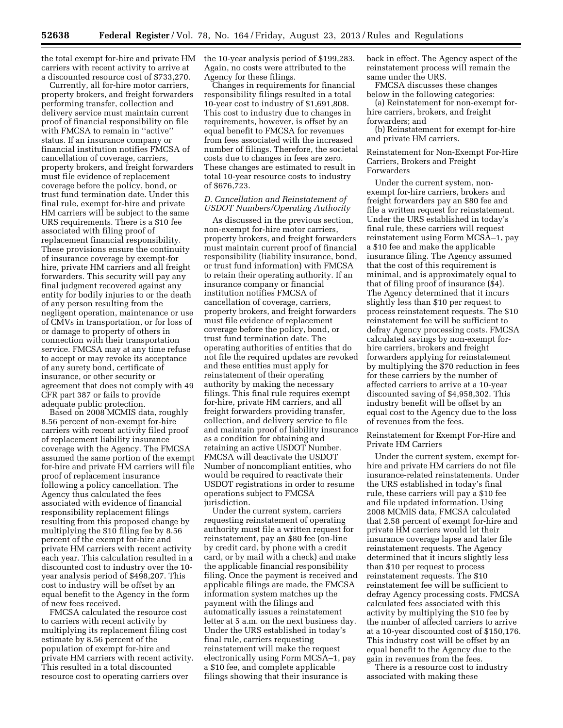carriers with recent activity to arrive at a discounted resource cost of \$733,270.

Currently, all for-hire motor carriers, property brokers, and freight forwarders performing transfer, collection and delivery service must maintain current proof of financial responsibility on file with FMCSA to remain in ''active'' status. If an insurance company or financial institution notifies FMCSA of cancellation of coverage, carriers, property brokers, and freight forwarders must file evidence of replacement coverage before the policy, bond, or trust fund termination date. Under this final rule, exempt for-hire and private HM carriers will be subject to the same URS requirements. There is a \$10 fee associated with filing proof of replacement financial responsibility. These provisions ensure the continuity of insurance coverage by exempt-for hire, private HM carriers and all freight forwarders. This security will pay any final judgment recovered against any entity for bodily injuries to or the death of any person resulting from the negligent operation, maintenance or use of CMVs in transportation, or for loss of or damage to property of others in connection with their transportation service. FMCSA may at any time refuse to accept or may revoke its acceptance of any surety bond, certificate of insurance, or other security or agreement that does not comply with 49 CFR part 387 or fails to provide adequate public protection.

Based on 2008 MCMIS data, roughly 8.56 percent of non-exempt for-hire carriers with recent activity filed proof of replacement liability insurance coverage with the Agency. The FMCSA assumed the same portion of the exempt for-hire and private HM carriers will file proof of replacement insurance following a policy cancellation. The Agency thus calculated the fees associated with evidence of financial responsibility replacement filings resulting from this proposed change by multiplying the \$10 filing fee by 8.56 percent of the exempt for-hire and private HM carriers with recent activity each year. This calculation resulted in a discounted cost to industry over the 10 year analysis period of \$498,207. This cost to industry will be offset by an equal benefit to the Agency in the form of new fees received.

FMCSA calculated the resource cost to carriers with recent activity by multiplying its replacement filing cost estimate by 8.56 percent of the population of exempt for-hire and private HM carriers with recent activity. This resulted in a total discounted resource cost to operating carriers over

the total exempt for-hire and private HM the 10-year analysis period of \$199,283. Again, no costs were attributed to the Agency for these filings.

Changes in requirements for financial responsibility filings resulted in a total 10-year cost to industry of \$1,691,808. This cost to industry due to changes in requirements, however, is offset by an equal benefit to FMCSA for revenues from fees associated with the increased number of filings. Therefore, the societal costs due to changes in fees are zero. These changes are estimated to result in total 10-year resource costs to industry of \$676,723.

# *D. Cancellation and Reinstatement of USDOT Numbers/Operating Authority*

As discussed in the previous section, non-exempt for-hire motor carriers, property brokers, and freight forwarders must maintain current proof of financial responsibility (liability insurance, bond, or trust fund information) with FMCSA to retain their operating authority. If an insurance company or financial institution notifies FMCSA of cancellation of coverage, carriers, property brokers, and freight forwarders must file evidence of replacement coverage before the policy, bond, or trust fund termination date. The operating authorities of entities that do not file the required updates are revoked and these entities must apply for reinstatement of their operating authority by making the necessary filings. This final rule requires exempt for-hire, private HM carriers, and all freight forwarders providing transfer, collection, and delivery service to file and maintain proof of liability insurance as a condition for obtaining and retaining an active USDOT Number. FMCSA will deactivate the USDOT Number of noncompliant entities, who would be required to reactivate their USDOT registrations in order to resume operations subject to FMCSA jurisdiction.

Under the current system, carriers requesting reinstatement of operating authority must file a written request for reinstatement, pay an \$80 fee (on-line by credit card, by phone with a credit card, or by mail with a check) and make the applicable financial responsibility filing. Once the payment is received and applicable filings are made, the FMCSA information system matches up the payment with the filings and automatically issues a reinstatement letter at 5 a.m. on the next business day. Under the URS established in today's final rule, carriers requesting reinstatement will make the request electronically using Form MCSA–1, pay a \$10 fee, and complete applicable filings showing that their insurance is

back in effect. The Agency aspect of the reinstatement process will remain the same under the URS.

FMCSA discusses these changes below in the following categories:

(a) Reinstatement for non-exempt forhire carriers, brokers, and freight

forwarders; and

(b) Reinstatement for exempt for-hire and private HM carriers.

Reinstatement for Non-Exempt For-Hire Carriers, Brokers and Freight Forwarders

Under the current system, nonexempt for-hire carriers, brokers and freight forwarders pay an \$80 fee and file a written request for reinstatement. Under the URS established in today's final rule, these carriers will request reinstatement using Form MCSA–1, pay a \$10 fee and make the applicable insurance filing. The Agency assumed that the cost of this requirement is minimal, and is approximately equal to that of filing proof of insurance (\$4). The Agency determined that it incurs slightly less than \$10 per request to process reinstatement requests. The \$10 reinstatement fee will be sufficient to defray Agency processing costs. FMCSA calculated savings by non-exempt forhire carriers, brokers and freight forwarders applying for reinstatement by multiplying the \$70 reduction in fees for these carriers by the number of affected carriers to arrive at a 10-year discounted saving of \$4,958,302. This industry benefit will be offset by an equal cost to the Agency due to the loss of revenues from the fees.

Reinstatement for Exempt For-Hire and Private HM Carriers

Under the current system, exempt forhire and private HM carriers do not file insurance-related reinstatements. Under the URS established in today's final rule, these carriers will pay a \$10 fee and file updated information. Using 2008 MCMIS data, FMCSA calculated that 2.58 percent of exempt for-hire and private HM carriers would let their insurance coverage lapse and later file reinstatement requests. The Agency determined that it incurs slightly less than \$10 per request to process reinstatement requests. The \$10 reinstatement fee will be sufficient to defray Agency processing costs. FMCSA calculated fees associated with this activity by multiplying the \$10 fee by the number of affected carriers to arrive at a 10-year discounted cost of \$150,176. This industry cost will be offset by an equal benefit to the Agency due to the gain in revenues from the fees.

There is a resource cost to industry associated with making these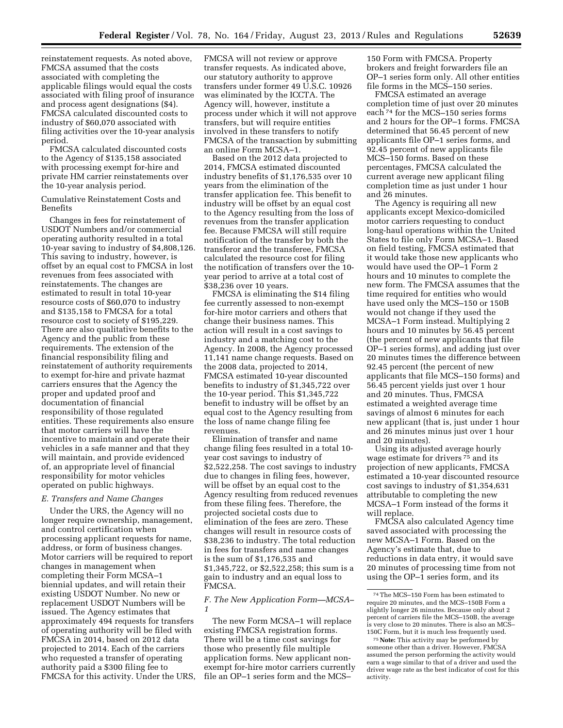reinstatement requests. As noted above, FMCSA assumed that the costs associated with completing the applicable filings would equal the costs associated with filing proof of insurance and process agent designations (\$4). FMCSA calculated discounted costs to industry of \$60,070 associated with filing activities over the 10-year analysis period.

FMCSA calculated discounted costs to the Agency of \$135,158 associated with processing exempt for-hire and private HM carrier reinstatements over the 10-year analysis period.

Cumulative Reinstatement Costs and Benefits

Changes in fees for reinstatement of USDOT Numbers and/or commercial operating authority resulted in a total 10-year saving to industry of \$4,808,126. This saving to industry, however, is offset by an equal cost to FMCSA in lost revenues from fees associated with reinstatements. The changes are estimated to result in total 10-year resource costs of \$60,070 to industry and \$135,158 to FMCSA for a total resource cost to society of \$195,229. There are also qualitative benefits to the Agency and the public from these requirements. The extension of the financial responsibility filing and reinstatement of authority requirements to exempt for-hire and private hazmat carriers ensures that the Agency the proper and updated proof and documentation of financial responsibility of those regulated entities. These requirements also ensure that motor carriers will have the incentive to maintain and operate their vehicles in a safe manner and that they will maintain, and provide evidenced of, an appropriate level of financial responsibility for motor vehicles operated on public highways.

#### *E. Transfers and Name Changes*

Under the URS, the Agency will no longer require ownership, management, and control certification when processing applicant requests for name, address, or form of business changes. Motor carriers will be required to report changes in management when completing their Form MCSA–1 biennial updates, and will retain their existing USDOT Number. No new or replacement USDOT Numbers will be issued. The Agency estimates that approximately 494 requests for transfers of operating authority will be filed with FMCSA in 2014, based on 2012 data projected to 2014. Each of the carriers who requested a transfer of operating authority paid a \$300 filing fee to FMCSA for this activity. Under the URS, FMCSA will not review or approve transfer requests. As indicated above, our statutory authority to approve transfers under former 49 U.S.C. 10926 was eliminated by the ICCTA. The Agency will, however, institute a process under which it will not approve transfers, but will require entities involved in these transfers to notify FMCSA of the transaction by submitting an online Form MCSA–1.

Based on the 2012 data projected to 2014, FMCSA estimated discounted industry benefits of \$1,176,535 over 10 years from the elimination of the transfer application fee. This benefit to industry will be offset by an equal cost to the Agency resulting from the loss of revenues from the transfer application fee. Because FMCSA will still require notification of the transfer by both the transferor and the transferee, FMCSA calculated the resource cost for filing the notification of transfers over the 10 year period to arrive at a total cost of \$38,236 over 10 years.

FMCSA is eliminating the \$14 filing fee currently assessed to non-exempt for-hire motor carriers and others that change their business names. This action will result in a cost savings to industry and a matching cost to the Agency. In 2008, the Agency processed 11,141 name change requests. Based on the 2008 data, projected to 2014, FMCSA estimated 10-year discounted benefits to industry of \$1,345,722 over the 10-year period. This \$1,345,722 benefit to industry will be offset by an equal cost to the Agency resulting from the loss of name change filing fee revenues.

Elimination of transfer and name change filing fees resulted in a total 10 year cost savings to industry of \$2,522,258. The cost savings to industry due to changes in filing fees, however, will be offset by an equal cost to the Agency resulting from reduced revenues from these filing fees. Therefore, the projected societal costs due to elimination of the fees are zero. These changes will result in resource costs of \$38,236 to industry. The total reduction in fees for transfers and name changes is the sum of \$1,176,535 and \$1,345,722, or \$2,522,258; this sum is a gain to industry and an equal loss to FMCSA.

# *F. The New Application Form—MCSA– 1*

The new Form MCSA–1 will replace existing FMCSA registration forms. There will be a time cost savings for those who presently file multiple application forms. New applicant nonexempt for-hire motor carriers currently file an OP–1 series form and the MCS–

150 Form with FMCSA. Property brokers and freight forwarders file an OP–1 series form only. All other entities file forms in the MCS–150 series.

FMCSA estimated an average completion time of just over 20 minutes each<sup>74</sup> for the MCS-150 series forms and 2 hours for the OP–1 forms. FMCSA determined that 56.45 percent of new applicants file OP–1 series forms, and 92.45 percent of new applicants file MCS–150 forms. Based on these percentages, FMCSA calculated the current average new applicant filing completion time as just under 1 hour and 26 minutes.

The Agency is requiring all new applicants except Mexico-domiciled motor carriers requesting to conduct long-haul operations within the United States to file only Form MCSA–1. Based on field testing, FMCSA estimated that it would take those new applicants who would have used the OP–1 Form 2 hours and 10 minutes to complete the new form. The FMCSA assumes that the time required for entities who would have used only the MCS–150 or 150B would not change if they used the MCSA–1 Form instead. Multiplying 2 hours and 10 minutes by 56.45 percent (the percent of new applicants that file OP–1 series forms), and adding just over 20 minutes times the difference between 92.45 percent (the percent of new applicants that file MCS–150 forms) and 56.45 percent yields just over 1 hour and 20 minutes. Thus, FMCSA estimated a weighted average time savings of almost 6 minutes for each new applicant (that is, just under 1 hour and 26 minutes minus just over 1 hour and 20 minutes).

Using its adjusted average hourly wage estimate for drivers 75 and its projection of new applicants, FMCSA estimated a 10-year discounted resource cost savings to industry of \$1,354,631 attributable to completing the new MCSA–1 Form instead of the forms it will replace.

FMCSA also calculated Agency time saved associated with processing the new MCSA–1 Form. Based on the Agency's estimate that, due to reductions in data entry, it would save 20 minutes of processing time from not using the OP–1 series form, and its

 $^{74}\mathrm{The}$  MCS–150 Form has been estimated to require 20 minutes, and the MCS–150B Form a slightly longer 26 minutes. Because only about 2 percent of carriers file the MCS–150B, the average is very close to 20 minutes. There is also an MCS– 150C Form, but it is much less frequently used.

<sup>75</sup>**Note:** This activity may be performed by someone other than a driver. However, FMCSA assumed the person performing the activity would earn a wage similar to that of a driver and used the driver wage rate as the best indicator of cost for this activity.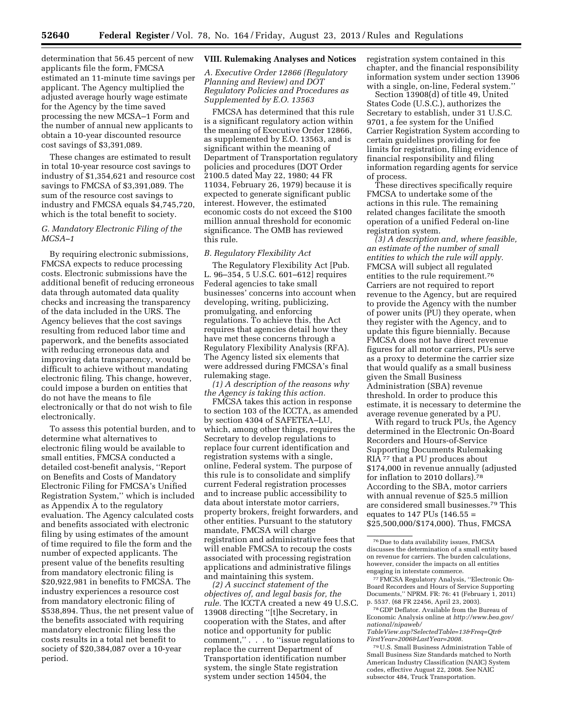determination that 56.45 percent of new applicants file the form, FMCSA estimated an 11-minute time savings per applicant. The Agency multiplied the adjusted average hourly wage estimate for the Agency by the time saved processing the new MCSA–1 Form and the number of annual new applicants to obtain a 10-year discounted resource cost savings of \$3,391,089.

These changes are estimated to result in total 10-year resource cost savings to industry of \$1,354,621 and resource cost savings to FMCSA of \$3,391,089. The sum of the resource cost savings to industry and FMCSA equals \$4,745,720, which is the total benefit to society.

# *G. Mandatory Electronic Filing of the MCSA–1*

By requiring electronic submissions, FMCSA expects to reduce processing costs. Electronic submissions have the additional benefit of reducing erroneous data through automated data quality checks and increasing the transparency of the data included in the URS. The Agency believes that the cost savings resulting from reduced labor time and paperwork, and the benefits associated with reducing erroneous data and improving data transparency, would be difficult to achieve without mandating electronic filing. This change, however, could impose a burden on entities that do not have the means to file electronically or that do not wish to file electronically.

To assess this potential burden, and to determine what alternatives to electronic filing would be available to small entities, FMCSA conducted a detailed cost-benefit analysis, ''Report on Benefits and Costs of Mandatory Electronic Filing for FMCSA's Unified Registration System,'' which is included as Appendix A to the regulatory evaluation. The Agency calculated costs and benefits associated with electronic filing by using estimates of the amount of time required to file the form and the number of expected applicants. The present value of the benefits resulting from mandatory electronic filing is \$20,922,981 in benefits to FMCSA. The industry experiences a resource cost from mandatory electronic filing of \$538,894. Thus, the net present value of the benefits associated with requiring mandatory electronic filing less the costs results in a total net benefit to society of \$20,384,087 over a 10-year period.

# **VIII. Rulemaking Analyses and Notices**

*A. Executive Order 12866 (Regulatory Planning and Review) and DOT Regulatory Policies and Procedures as Supplemented by E.O. 13563* 

FMCSA has determined that this rule is a significant regulatory action within the meaning of Executive Order 12866, as supplemented by E.O. 13563, and is significant within the meaning of Department of Transportation regulatory policies and procedures (DOT Order 2100.5 dated May 22, 1980; 44 FR 11034, February 26, 1979) because it is expected to generate significant public interest. However, the estimated economic costs do not exceed the \$100 million annual threshold for economic significance. The OMB has reviewed this rule.

# *B. Regulatory Flexibility Act*

The Regulatory Flexibility Act [Pub. L. 96–354, 5 U.S.C. 601–612] requires Federal agencies to take small businesses' concerns into account when developing, writing, publicizing, promulgating, and enforcing regulations. To achieve this, the Act requires that agencies detail how they have met these concerns through a Regulatory Flexibility Analysis (RFA). The Agency listed six elements that were addressed during FMCSA's final rulemaking stage.

*(1) A description of the reasons why the Agency is taking this action.* 

FMCSA takes this action in response to section 103 of the ICCTA, as amended by section 4304 of SAFETEA–LU, which, among other things, requires the Secretary to develop regulations to replace four current identification and registration systems with a single, online, Federal system. The purpose of this rule is to consolidate and simplify current Federal registration processes and to increase public accessibility to data about interstate motor carriers, property brokers, freight forwarders, and other entities. Pursuant to the statutory mandate, FMCSA will charge registration and administrative fees that will enable FMCSA to recoup the costs associated with processing registration applications and administrative filings and maintaining this system.

*(2) A succinct statement of the objectives of, and legal basis for, the rule.* The ICCTA created a new 49 U.S.C. 13908 directing ''[t]he Secretary, in cooperation with the States, and after notice and opportunity for public comment,'' . . . to ''issue regulations to replace the current Department of Transportation identification number system, the single State registration system under section 14504, the

registration system contained in this chapter, and the financial responsibility information system under section 13906 with a single, on-line, Federal system.''

Section 13908(d) of title 49, United States Code (U.S.C.), authorizes the Secretary to establish, under 31 U.S.C. 9701, a fee system for the Unified Carrier Registration System according to certain guidelines providing for fee limits for registration, filing evidence of financial responsibility and filing information regarding agents for service of process.

These directives specifically require FMCSA to undertake some of the actions in this rule. The remaining related changes facilitate the smooth operation of a unified Federal on-line registration system.

*(3) A description and, where feasible, an estimate of the number of small entities to which the rule will apply.*  FMCSA will subject all regulated entities to the rule requirement.76 Carriers are not required to report revenue to the Agency, but are required to provide the Agency with the number of power units (PU) they operate, when they register with the Agency, and to update this figure biennially. Because FMCSA does not have direct revenue figures for all motor carriers, PUs serve as a proxy to determine the carrier size that would qualify as a small business given the Small Business Administration (SBA) revenue threshold. In order to produce this estimate, it is necessary to determine the average revenue generated by a PU.

With regard to truck PUs, the Agency determined in the Electronic On-Board Recorders and Hours-of-Service Supporting Documents Rulemaking RIA 77 that a PU produces about \$174,000 in revenue annually (adjusted for inflation to 2010 dollars).78 According to the SBA, motor carriers with annual revenue of \$25.5 million are considered small businesses.79 This equates to  $147$  PUs  $(146.55 =$ \$25,500,000/\$174,000). Thus, FMCSA

77FMCSA Regulatory Analysis, ''Electronic On-Board Recorders and Hours of Service Supporting Documents,'' NPRM. FR: 76: 41 (February 1, 2011) p. 5537. (68 FR 22456, April 23, 2003).

78 GDP Deflator. Available from the Bureau of Economic Analysis online at *[http://www.bea.gov/](http://www.bea.gov/national/nipaweb/TableView.asp?SelectedTable=13&Freq=Qtr&FirstYear=2006&LastYear=2008) [national/nipaweb/](http://www.bea.gov/national/nipaweb/TableView.asp?SelectedTable=13&Freq=Qtr&FirstYear=2006&LastYear=2008)*

*[TableView.asp?SelectedTable=13&Freq=Qtr&](http://www.bea.gov/national/nipaweb/TableView.asp?SelectedTable=13&Freq=Qtr&FirstYear=2006&LastYear=2008) [FirstYear=2006&LastYear=2008.](http://www.bea.gov/national/nipaweb/TableView.asp?SelectedTable=13&Freq=Qtr&FirstYear=2006&LastYear=2008)* 

79U.S. Small Business Administration Table of Small Business Size Standards matched to North American Industry Classification (NAIC) System codes, effective August 22, 2008. See NAIC subsector 484, Truck Transportation.

<sup>76</sup> Due to data availability issues, FMCSA discusses the determination of a small entity based on revenue for carriers. The burden calculations, however, consider the impacts on all entities engaging in interstate commerce.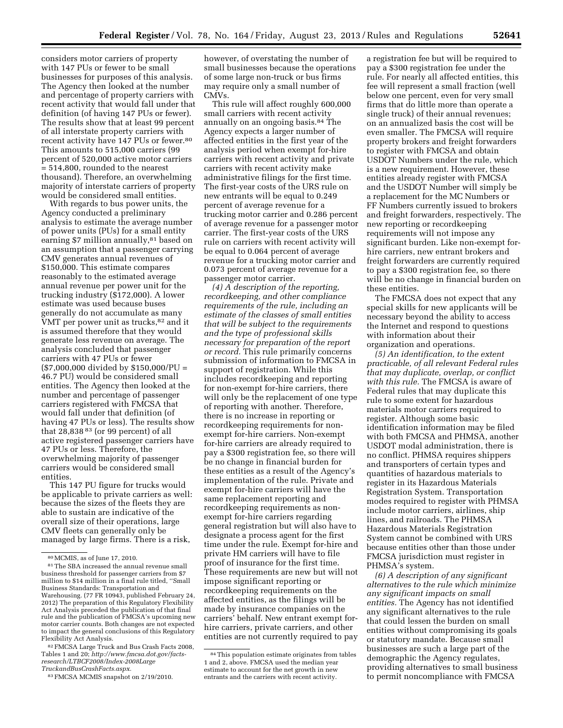considers motor carriers of property with 147 PUs or fewer to be small businesses for purposes of this analysis. The Agency then looked at the number and percentage of property carriers with recent activity that would fall under that definition (of having 147 PUs or fewer). The results show that at least 99 percent of all interstate property carriers with recent activity have 147 PUs or fewer.<sup>80</sup> This amounts to 515,000 carriers (99 percent of 520,000 active motor carriers = 514,800, rounded to the nearest thousand). Therefore, an overwhelming majority of interstate carriers of property would be considered small entities.

With regards to bus power units, the Agency conducted a preliminary analysis to estimate the average number of power units (PUs) for a small entity earning \$7 million annually,<sup>81</sup> based on an assumption that a passenger carrying CMV generates annual revenues of \$150,000. This estimate compares reasonably to the estimated average annual revenue per power unit for the trucking industry (\$172,000). A lower estimate was used because buses generally do not accumulate as many VMT per power unit as trucks,<sup>82</sup> and it is assumed therefore that they would generate less revenue on average. The analysis concluded that passenger carriers with 47 PUs or fewer (\$7,000,000 divided by \$150,000/PU = 46.7 PU) would be considered small entities. The Agency then looked at the number and percentage of passenger carriers registered with FMCSA that would fall under that definition (of having 47 PUs or less). The results show that  $28,838^{83}$  (or 99 percent) of all active registered passenger carriers have 47 PUs or less. Therefore, the overwhelming majority of passenger carriers would be considered small entities.

This 147 PU figure for trucks would be applicable to private carriers as well: because the sizes of the fleets they are able to sustain are indicative of the overall size of their operations, large CMV fleets can generally only be managed by large firms. There is a risk,

82FMCSA Large Truck and Bus Crash Facts 2008, Tables 1 and 20; *[http://www.fmcsa.dot.gov/facts](http://www.fmcsa.dot.gov/facts-research/LTBCF2008/Index-2008LargeTruckandBusCrashFacts.aspx)[research/LTBCF2008/Index-2008Large](http://www.fmcsa.dot.gov/facts-research/LTBCF2008/Index-2008LargeTruckandBusCrashFacts.aspx)  [TruckandBusCrashFacts.aspx.](http://www.fmcsa.dot.gov/facts-research/LTBCF2008/Index-2008LargeTruckandBusCrashFacts.aspx)* 

83 FMCSA MCMIS snapshot on 2/19/2010.

however, of overstating the number of small businesses because the operations of some large non-truck or bus firms may require only a small number of CMVs.

This rule will affect roughly 600,000 small carriers with recent activity annually on an ongoing basis.84 The Agency expects a larger number of affected entities in the first year of the analysis period when exempt for-hire carriers with recent activity and private carriers with recent activity make administrative filings for the first time. The first-year costs of the URS rule on new entrants will be equal to 0.249 percent of average revenue for a trucking motor carrier and 0.286 percent of average revenue for a passenger motor carrier. The first-year costs of the URS rule on carriers with recent activity will be equal to 0.064 percent of average revenue for a trucking motor carrier and 0.073 percent of average revenue for a passenger motor carrier.

*(4) A description of the reporting, recordkeeping, and other compliance requirements of the rule, including an estimate of the classes of small entities that will be subject to the requirements and the type of professional skills necessary for preparation of the report or record.* This rule primarily concerns submission of information to FMCSA in support of registration. While this includes recordkeeping and reporting for non-exempt for-hire carriers, there will only be the replacement of one type of reporting with another. Therefore, there is no increase in reporting or recordkeeping requirements for nonexempt for-hire carriers. Non-exempt for-hire carriers are already required to pay a \$300 registration fee, so there will be no change in financial burden for these entities as a result of the Agency's implementation of the rule. Private and exempt for-hire carriers will have the same replacement reporting and recordkeeping requirements as nonexempt for-hire carriers regarding general registration but will also have to designate a process agent for the first time under the rule. Exempt for-hire and private HM carriers will have to file proof of insurance for the first time. These requirements are new but will not impose significant reporting or recordkeeping requirements on the affected entities, as the filings will be made by insurance companies on the carriers' behalf. New entrant exempt forhire carriers, private carriers, and other entities are not currently required to pay

a registration fee but will be required to pay a \$300 registration fee under the rule. For nearly all affected entities, this fee will represent a small fraction (well below one percent, even for very small firms that do little more than operate a single truck) of their annual revenues; on an annualized basis the cost will be even smaller. The FMCSA will require property brokers and freight forwarders to register with FMCSA and obtain USDOT Numbers under the rule, which is a new requirement. However, these entities already register with FMCSA and the USDOT Number will simply be a replacement for the MC Numbers or FF Numbers currently issued to brokers and freight forwarders, respectively. The new reporting or recordkeeping requirements will not impose any significant burden. Like non-exempt forhire carriers, new entrant brokers and freight forwarders are currently required to pay a \$300 registration fee, so there will be no change in financial burden on these entities.

The FMCSA does not expect that any special skills for new applicants will be necessary beyond the ability to access the Internet and respond to questions with information about their organization and operations.

*(5) An identification, to the extent practicable, of all relevant Federal rules that may duplicate, overlap, or conflict with this rule.* The FMCSA is aware of Federal rules that may duplicate this rule to some extent for hazardous materials motor carriers required to register. Although some basic identification information may be filed with both FMCSA and PHMSA, another USDOT modal administration, there is no conflict. PHMSA requires shippers and transporters of certain types and quantities of hazardous materials to register in its Hazardous Materials Registration System. Transportation modes required to register with PHMSA include motor carriers, airlines, ship lines, and railroads. The PHMSA Hazardous Materials Registration System cannot be combined with URS because entities other than those under FMCSA jurisdiction must register in PHMSA's system.

*(6) A description of any significant alternatives to the rule which minimize any significant impacts on small entities.* The Agency has not identified any significant alternatives to the rule that could lessen the burden on small entities without compromising its goals or statutory mandate. Because small businesses are such a large part of the demographic the Agency regulates, providing alternatives to small business to permit noncompliance with FMCSA

 $^{80}\rm{MCMIS}$  as of June 17, 2010.  $^{81}\rm{The~SBA~increased~the~annual~revenue~small}$ business threshold for passenger carriers from \$7 million to \$14 million in a final rule titled, ''Small Business Standards: Transportation and Warehousing. (77 FR 10943, published February 24, 2012) The preparation of this Regulatory Flexibility Act Analysis preceded the publication of that final rule and the publication of FMCSA's upcoming new motor carrier counts. Both changes are not expected to impact the general conclusions of this Regulatory Flexibility Act Analysis.

<sup>84</sup>This population estimate originates from tables 1 and 2, above. FMCSA used the median year estimate to account for the net growth in new entrants and the carriers with recent activity.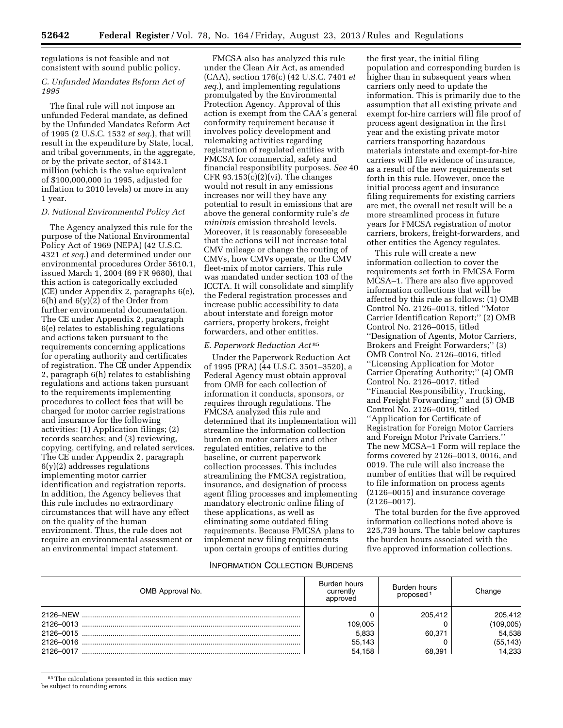regulations is not feasible and not consistent with sound public policy.

# *C. Unfunded Mandates Reform Act of 1995*

The final rule will not impose an unfunded Federal mandate, as defined by the Unfunded Mandates Reform Act of 1995 (2 U.S.C. 1532 *et seq.*), that will result in the expenditure by State, local, and tribal governments, in the aggregate, or by the private sector, of \$143.1 million (which is the value equivalent of \$100,000,000 in 1995, adjusted for inflation to 2010 levels) or more in any 1 year.

# *D. National Environmental Policy Act*

The Agency analyzed this rule for the purpose of the National Environmental Policy Act of 1969 (NEPA) (42 U.S.C. 4321 *et seq.*) and determined under our environmental procedures Order 5610.1, issued March 1, 2004 (69 FR 9680), that this action is categorically excluded (CE) under Appendix 2, paragraphs 6(e),  $6(h)$  and  $6(y)(2)$  of the Order from further environmental documentation. The CE under Appendix 2, paragraph 6(e) relates to establishing regulations and actions taken pursuant to the requirements concerning applications for operating authority and certificates of registration. The CE under Appendix 2, paragraph 6(h) relates to establishing regulations and actions taken pursuant to the requirements implementing procedures to collect fees that will be charged for motor carrier registrations and insurance for the following activities: (1) Application filings; (2) records searches; and (3) reviewing, copying, certifying, and related services. The CE under Appendix 2, paragraph  $6(y)(2)$  addresses regulations implementing motor carrier identification and registration reports. In addition, the Agency believes that this rule includes no extraordinary circumstances that will have any effect on the quality of the human environment. Thus, the rule does not require an environmental assessment or an environmental impact statement.

FMCSA also has analyzed this rule under the Clean Air Act, as amended (CAA), section 176(c) (42 U.S.C. 7401 *et seq.*), and implementing regulations promulgated by the Environmental Protection Agency. Approval of this action is exempt from the CAA's general conformity requirement because it involves policy development and rulemaking activities regarding registration of regulated entities with FMCSA for commercial, safety and financial responsibility purposes. *See* 40 CFR  $93.153(c)(2)(vi)$ . The changes would not result in any emissions increases nor will they have any potential to result in emissions that are above the general conformity rule's *de minimis* emission threshold levels. Moreover, it is reasonably foreseeable that the actions will not increase total CMV mileage or change the routing of CMVs, how CMVs operate, or the CMV fleet-mix of motor carriers. This rule was mandated under section 103 of the ICCTA. It will consolidate and simplify the Federal registration processes and increase public accessibility to data about interstate and foreign motor carriers, property brokers, freight forwarders, and other entities.

#### *E. Paperwork Reduction Act* 85

Under the Paperwork Reduction Act of 1995 (PRA) (44 U.S.C. 3501–3520), a Federal Agency must obtain approval from OMB for each collection of information it conducts, sponsors, or requires through regulations. The FMCSA analyzed this rule and determined that its implementation will streamline the information collection burden on motor carriers and other regulated entities, relative to the baseline, or current paperwork collection processes. This includes streamlining the FMCSA registration, insurance, and designation of process agent filing processes and implementing mandatory electronic online filing of these applications, as well as eliminating some outdated filing requirements. Because FMCSA plans to implement new filing requirements upon certain groups of entities during

the first year, the initial filing population and corresponding burden is higher than in subsequent years when carriers only need to update the information. This is primarily due to the assumption that all existing private and exempt for-hire carriers will file proof of process agent designation in the first year and the existing private motor carriers transporting hazardous materials interstate and exempt-for-hire carriers will file evidence of insurance, as a result of the new requirements set forth in this rule. However, once the initial process agent and insurance filing requirements for existing carriers are met, the overall net result will be a more streamlined process in future years for FMCSA registration of motor carriers, brokers, freight-forwarders, and other entities the Agency regulates.

This rule will create a new information collection to cover the requirements set forth in FMCSA Form MCSA–1. There are also five approved information collections that will be affected by this rule as follows: (1) OMB Control No. 2126–0013, titled ''Motor Carrier Identification Report;'' (2) OMB Control No. 2126–0015, titled ''Designation of Agents, Motor Carriers, Brokers and Freight Forwarders;'' (3) OMB Control No. 2126–0016, titled ''Licensing Application for Motor Carrier Operating Authority;'' (4) OMB Control No. 2126–0017, titled ''Financial Responsibility, Trucking, and Freight Forwarding;'' and (5) OMB Control No. 2126–0019, titled ''Application for Certificate of Registration for Foreign Motor Carriers and Foreign Motor Private Carriers.'' The new MCSA–1 Form will replace the forms covered by 2126–0013, 0016, and 0019. The rule will also increase the number of entities that will be required to file information on process agents (2126–0015) and insurance coverage (2126–0017).

The total burden for the five approved information collections noted above is 225,739 hours. The table below captures the burden hours associated with the five approved information collections.

# INFORMATION COLLECTION BURDENS

| OMB Approval No. | Burden hours<br>currently<br>approved | Burden hours<br>proposed <sup>1</sup> | Change    |
|------------------|---------------------------------------|---------------------------------------|-----------|
|                  |                                       | 205.412                               | 205,412   |
|                  | 109,005                               |                                       | (109,005) |
|                  | 5,833                                 | 60.371                                | 54,538    |
|                  | 55,143                                |                                       | (55, 143) |
|                  | 54.158                                | 68.391                                | 14.233    |

<sup>85</sup>The calculations presented in this section may be subject to rounding errors.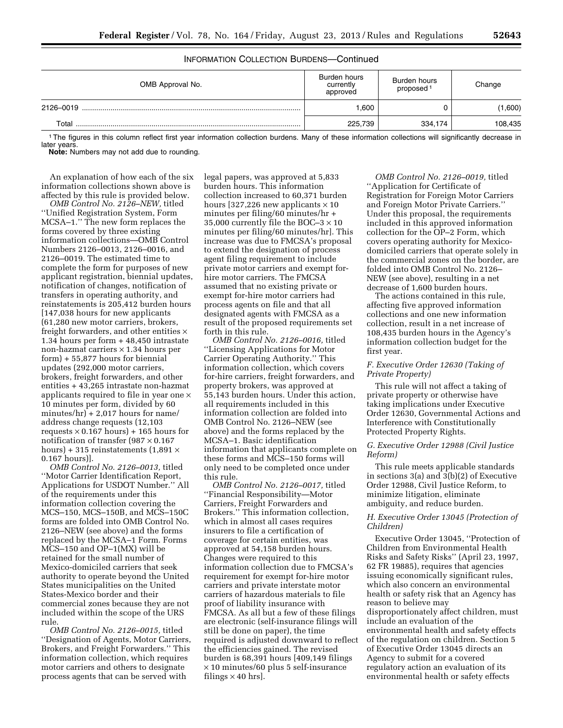# INFORMATION COLLECTION BURDENS—Continued

| OMB Approval No. | Burden hours<br>currently<br>approved | Burden hours<br>proposed <sup>1</sup> | Change  |
|------------------|---------------------------------------|---------------------------------------|---------|
| 2126-0019        | ,600                                  |                                       | (1,600) |
| Total            | 225,739                               | 334,174                               | 108,435 |

1The figures in this column reflect first year information collection burdens. Many of these information collections will significantly decrease in later years

**Note:** Numbers may not add due to rounding.

An explanation of how each of the six information collections shown above is affected by this rule is provided below.

*OMB Control No. 2126–NEW,* titled ''Unified Registration System, Form MCSA–1.'' The new form replaces the forms covered by three existing information collections—OMB Control Numbers 2126–0013, 2126–0016, and 2126–0019. The estimated time to complete the form for purposes of new applicant registration, biennial updates, notification of changes, notification of transfers in operating authority, and reinstatements is 205,412 burden hours [147,038 hours for new applicants (61,280 new motor carriers, brokers, freight forwarders, and other entities  $\times$ 1.34 hours per form + 48,450 intrastate non-hazmat carriers  $\times$  1.34 hours per form) + 55,877 hours for biennial updates (292,000 motor carriers, brokers, freight forwarders, and other entities + 43,265 intrastate non-hazmat applicants required to file in year one × 10 minutes per form, divided by 60 minutes/hr) + 2,017 hours for name/ address change requests (12,103 requests  $\times$  0.167 hours) + 165 hours for notification of transfer  $(987 \times 0.167)$ hours) + 315 reinstatements (1,891  $\times$ 0.167 hours)].

*OMB Control No. 2126–0013,* titled ''Motor Carrier Identification Report, Applications for USDOT Number.'' All of the requirements under this information collection covering the MCS–150, MCS–150B, and MCS–150C forms are folded into OMB Control No. 2126–NEW (see above) and the forms replaced by the MCSA–1 Form. Forms MCS–150 and OP–1(MX) will be retained for the small number of Mexico-domiciled carriers that seek authority to operate beyond the United States municipalities on the United States-Mexico border and their commercial zones because they are not included within the scope of the URS rule.

*OMB Control No. 2126–0015,* titled ''Designation of Agents, Motor Carriers, Brokers, and Freight Forwarders.'' This information collection, which requires motor carriers and others to designate process agents that can be served with

legal papers, was approved at 5,833 burden hours. This information collection increased to 60,371 burden hours  $\left[327,226\right]$  new applicants  $\times$  10 minutes per filing/60 minutes/hr + 35,000 currently file the BOC– $3 \times 10$ minutes per filing/60 minutes/hr]. This increase was due to FMCSA's proposal to extend the designation of process agent filing requirement to include private motor carriers and exempt forhire motor carriers. The FMCSA assumed that no existing private or exempt for-hire motor carriers had process agents on file and that all designated agents with FMCSA as a result of the proposed requirements set forth in this rule.

*OMB Control No. 2126–0016,* titled ''Licensing Applications for Motor Carrier Operating Authority.'' This information collection, which covers for-hire carriers, freight forwarders, and property brokers, was approved at 55,143 burden hours. Under this action, all requirements included in this information collection are folded into OMB Control No. 2126–NEW (see above) and the forms replaced by the MCSA–1. Basic identification information that applicants complete on these forms and MCS–150 forms will only need to be completed once under this rule.

*OMB Control No. 2126–0017,* titled ''Financial Responsibility—Motor Carriers, Freight Forwarders and Brokers.'' This information collection, which in almost all cases requires insurers to file a certification of coverage for certain entities, was approved at 54,158 burden hours. Changes were required to this information collection due to FMCSA's requirement for exempt for-hire motor carriers and private interstate motor carriers of hazardous materials to file proof of liability insurance with FMCSA. As all but a few of these filings are electronic (self-insurance filings will still be done on paper), the time required is adjusted downward to reflect the efficiencies gained. The revised burden is 68,391 hours [409,149 filings × 10 minutes/60 plus 5 self-insurance filings  $\times$  40 hrs].

*OMB Control No. 2126–0019,* titled ''Application for Certificate of Registration for Foreign Motor Carriers and Foreign Motor Private Carriers.'' Under this proposal, the requirements included in this approved information collection for the OP–2 Form, which covers operating authority for Mexicodomiciled carriers that operate solely in the commercial zones on the border, are folded into OMB Control No. 2126– NEW (see above), resulting in a net decrease of 1,600 burden hours.

The actions contained in this rule, affecting five approved information collections and one new information collection, result in a net increase of 108,435 burden hours in the Agency's information collection budget for the first year.

# *F. Executive Order 12630 (Taking of Private Property)*

This rule will not affect a taking of private property or otherwise have taking implications under Executive Order 12630, Governmental Actions and Interference with Constitutionally Protected Property Rights.

# *G. Executive Order 12988 (Civil Justice Reform)*

This rule meets applicable standards in sections 3(a) and 3(b)(2) of Executive Order 12988, Civil Justice Reform, to minimize litigation, eliminate ambiguity, and reduce burden.

# *H. Executive Order 13045 (Protection of Children)*

Executive Order 13045, ''Protection of Children from Environmental Health Risks and Safety Risks'' (April 23, 1997, 62 FR 19885), requires that agencies issuing economically significant rules, which also concern an environmental health or safety risk that an Agency has reason to believe may disproportionately affect children, must include an evaluation of the environmental health and safety effects of the regulation on children. Section 5 of Executive Order 13045 directs an Agency to submit for a covered regulatory action an evaluation of its environmental health or safety effects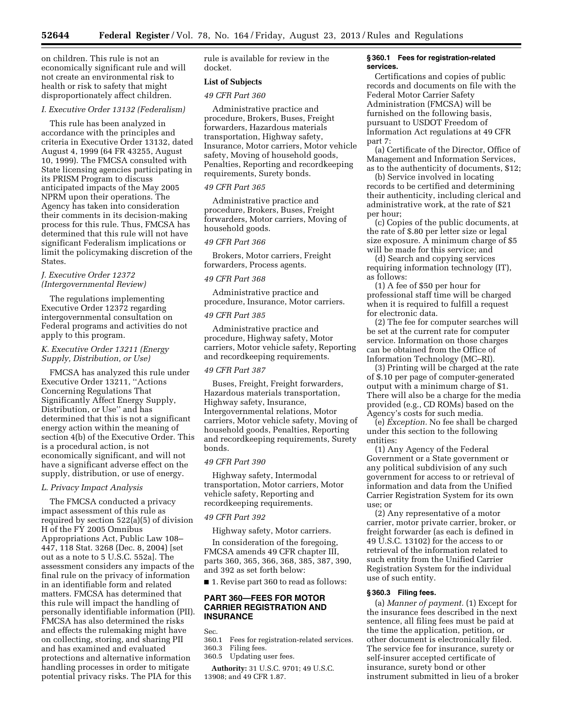on children. This rule is not an economically significant rule and will not create an environmental risk to health or risk to safety that might disproportionately affect children.

# *I. Executive Order 13132 (Federalism)*

This rule has been analyzed in accordance with the principles and criteria in Executive Order 13132, dated August 4, 1999 (64 FR 43255, August 10, 1999). The FMCSA consulted with State licensing agencies participating in its PRISM Program to discuss anticipated impacts of the May 2005 NPRM upon their operations. The Agency has taken into consideration their comments in its decision-making process for this rule. Thus, FMCSA has determined that this rule will not have significant Federalism implications or limit the policymaking discretion of the States.

# *J. Executive Order 12372 (Intergovernmental Review)*

The regulations implementing Executive Order 12372 regarding intergovernmental consultation on Federal programs and activities do not apply to this program.

# *K. Executive Order 13211 (Energy Supply, Distribution, or Use)*

FMCSA has analyzed this rule under Executive Order 13211, ''Actions Concerning Regulations That Significantly Affect Energy Supply, Distribution, or Use'' and has determined that this is not a significant energy action within the meaning of section 4(b) of the Executive Order. This is a procedural action, is not economically significant, and will not have a significant adverse effect on the supply, distribution, or use of energy.

#### *L. Privacy Impact Analysis*

The FMCSA conducted a privacy impact assessment of this rule as required by section 522(a)(5) of division H of the FY 2005 Omnibus Appropriations Act, Public Law 108– 447, 118 Stat. 3268 (Dec. 8, 2004) [set out as a note to 5 U.S.C. 552a]. The assessment considers any impacts of the final rule on the privacy of information in an identifiable form and related matters. FMCSA has determined that this rule will impact the handling of personally identifiable information (PII). FMCSA has also determined the risks and effects the rulemaking might have on collecting, storing, and sharing PII and has examined and evaluated protections and alternative information handling processes in order to mitigate potential privacy risks. The PIA for this

rule is available for review in the docket.

# **List of Subjects**

# *49 CFR Part 360*

Administrative practice and procedure, Brokers, Buses, Freight forwarders, Hazardous materials transportation, Highway safety, Insurance, Motor carriers, Motor vehicle safety, Moving of household goods, Penalties, Reporting and recordkeeping requirements, Surety bonds.

# *49 CFR Part 365*

Administrative practice and procedure, Brokers, Buses, Freight forwarders, Motor carriers, Moving of household goods.

# *49 CFR Part 366*

Brokers, Motor carriers, Freight forwarders, Process agents.

#### *49 CFR Part 368*

Administrative practice and procedure, Insurance, Motor carriers.

#### *49 CFR Part 385*

Administrative practice and procedure, Highway safety, Motor carriers, Motor vehicle safety, Reporting and recordkeeping requirements.

#### *49 CFR Part 387*

Buses, Freight, Freight forwarders, Hazardous materials transportation, Highway safety, Insurance, Intergovernmental relations, Motor carriers, Motor vehicle safety, Moving of household goods, Penalties, Reporting and recordkeeping requirements, Surety bonds.

# *49 CFR Part 390*

Highway safety, Intermodal transportation, Motor carriers, Motor vehicle safety, Reporting and recordkeeping requirements.

# *49 CFR Part 392*

Highway safety, Motor carriers.

In consideration of the foregoing, FMCSA amends 49 CFR chapter III, parts 360, 365, 366, 368, 385, 387, 390, and 392 as set forth below:

■ 1. Revise part 360 to read as follows:

# **PART 360—FEES FOR MOTOR CARRIER REGISTRATION AND INSURANCE**

Sec.

360.1 Fees for registration-related services.

360.3 Filing fees.

# 360.5 Updating user fees.

**Authority:** 31 U.S.C. 9701; 49 U.S.C. 13908; and 49 CFR 1.87.

#### **§ 360.1 Fees for registration-related services.**

Certifications and copies of public records and documents on file with the Federal Motor Carrier Safety Administration (FMCSA) will be furnished on the following basis, pursuant to USDOT Freedom of Information Act regulations at 49 CFR part 7:

(a) Certificate of the Director, Office of Management and Information Services, as to the authenticity of documents, \$12;

(b) Service involved in locating records to be certified and determining their authenticity, including clerical and administrative work, at the rate of \$21 per hour;

(c) Copies of the public documents, at the rate of \$.80 per letter size or legal size exposure. A minimum charge of \$5 will be made for this service; and

(d) Search and copying services requiring information technology (IT), as follows:

(1) A fee of \$50 per hour for professional staff time will be charged when it is required to fulfill a request for electronic data.

(2) The fee for computer searches will be set at the current rate for computer service. Information on those charges can be obtained from the Office of Information Technology (MC–RI).

(3) Printing will be charged at the rate of \$.10 per page of computer-generated output with a minimum charge of \$1. There will also be a charge for the media provided (e.g., CD ROMs) based on the Agency's costs for such media.

(e) *Exception.* No fee shall be charged under this section to the following entities:

(1) Any Agency of the Federal Government or a State government or any political subdivision of any such government for access to or retrieval of information and data from the Unified Carrier Registration System for its own use; or

(2) Any representative of a motor carrier, motor private carrier, broker, or freight forwarder (as each is defined in 49 U.S.C. 13102) for the access to or retrieval of the information related to such entity from the Unified Carrier Registration System for the individual use of such entity.

#### **§ 360.3 Filing fees.**

(a) *Manner of payment.* (1) Except for the insurance fees described in the next sentence, all filing fees must be paid at the time the application, petition, or other document is electronically filed. The service fee for insurance, surety or self-insurer accepted certificate of insurance, surety bond or other instrument submitted in lieu of a broker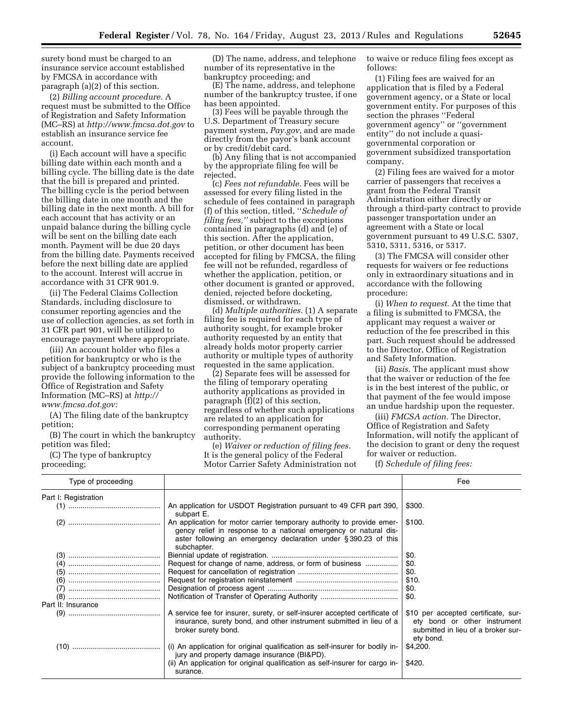surety bond must be charged to an insurance service account established by FMCSA in accordance with paragraph (a)(2) of this section.

(2) *Billing account procedure.* A request must be submitted to the Office of Registration and Safety Information (MC–RS) at *<http://www.fmcsa.dot.gov>* to establish an insurance service fee account.

(i) Each account will have a specific billing date within each month and a billing cycle. The billing date is the date that the bill is prepared and printed. The billing cycle is the period between the billing date in one month and the billing date in the next month. A bill for each account that has activity or an unpaid balance during the billing cycle will be sent on the billing date each month. Payment will be due 20 days from the billing date. Payments received before the next billing date are applied to the account. Interest will accrue in accordance with 31 CFR 901.9.

(ii) The Federal Claims Collection Standards, including disclosure to consumer reporting agencies and the use of collection agencies, as set forth in 31 CFR part 901, will be utilized to encourage payment where appropriate.

(iii) An account holder who files a petition for bankruptcy or who is the subject of a bankruptcy proceeding must provide the following information to the Office of Registration and Safety Information (MC–RS) at *[http://](http://www.fmcsa.dot.gov) [www.fmcsa.dot.gov:](http://www.fmcsa.dot.gov)* 

(A) The filing date of the bankruptcy petition;

(B) The court in which the bankruptcy petition was filed;

(C) The type of bankruptcy proceeding;

(D) The name, address, and telephone number of its representative in the bankruptcy proceeding; and

(E) The name, address, and telephone number of the bankruptcy trustee, if one has been appointed.

(3) Fees will be payable through the U.S. Department of Treasury secure payment system, *Pay.gov,* and are made directly from the payor's bank account or by credit/debit card.

(b) Any filing that is not accompanied by the appropriate filing fee will be rejected.

(c) *Fees not refundable.* Fees will be assessed for every filing listed in the schedule of fees contained in paragraph (f) of this section, titled, ''*Schedule of filing fees,''* subject to the exceptions contained in paragraphs (d) and (e) of this section. After the application, petition, or other document has been accepted for filing by FMCSA, the filing fee will not be refunded, regardless of whether the application, petition, or other document is granted or approved, denied, rejected before docketing, dismissed, or withdrawn.

(d) *Multiple authorities.* (1) A separate filing fee is required for each type of authority sought, for example broker authority requested by an entity that already holds motor property carrier authority or multiple types of authority requested in the same application.

(2) Separate fees will be assessed for the filing of temporary operating authority applications as provided in paragraph (f)(2) of this section, regardless of whether such applications are related to an application for corresponding permanent operating authority.

(e) *Waiver or reduction of filing fees.*  It is the general policy of the Federal Motor Carrier Safety Administration not to waive or reduce filing fees except as follows:

(1) Filing fees are waived for an application that is filed by a Federal government agency, or a State or local government entity. For purposes of this section the phrases ''Federal government agency'' or ''government entity'' do not include a quasigovernmental corporation or government subsidized transportation company.

(2) Filing fees are waived for a motor carrier of passengers that receives a grant from the Federal Transit Administration either directly or through a third-party contract to provide passenger transportation under an agreement with a State or local government pursuant to 49 U.S.C. 5307, 5310, 5311, 5316, or 5317.

(3) The FMCSA will consider other requests for waivers or fee reductions only in extraordinary situations and in accordance with the following procedure:

(i) *When to request.* At the time that a filing is submitted to FMCSA, the applicant may request a waiver or reduction of the fee prescribed in this part. Such request should be addressed to the Director, Office of Registration and Safety Information.

(ii) *Basis.* The applicant must show that the waiver or reduction of the fee is in the best interest of the public, or that payment of the fee would impose an undue hardship upon the requester.

(iii) *FMCSA action.* The Director, Office of Registration and Safety Information, will notify the applicant of the decision to grant or deny the request for waiver or reduction.

(f) *Schedule of filing fees:* 

| Type of proceeding                                                                                                                                                                                                                                                                                                                                                                                                                                                                                  |                                                                                                                                                                                                                            | Fee                                                                                                                    |
|-----------------------------------------------------------------------------------------------------------------------------------------------------------------------------------------------------------------------------------------------------------------------------------------------------------------------------------------------------------------------------------------------------------------------------------------------------------------------------------------------------|----------------------------------------------------------------------------------------------------------------------------------------------------------------------------------------------------------------------------|------------------------------------------------------------------------------------------------------------------------|
| Part I: Registration                                                                                                                                                                                                                                                                                                                                                                                                                                                                                |                                                                                                                                                                                                                            |                                                                                                                        |
|                                                                                                                                                                                                                                                                                                                                                                                                                                                                                                     | An application for USDOT Registration pursuant to 49 CFR part 390,<br>subpart E.                                                                                                                                           | \$300.                                                                                                                 |
|                                                                                                                                                                                                                                                                                                                                                                                                                                                                                                     | An application for motor carrier temporary authority to provide emer-<br>gency relief in response to a national emergency or natural dis-<br>aster following an emergency declaration under §390.23 of this<br>subchapter. | \$100.                                                                                                                 |
|                                                                                                                                                                                                                                                                                                                                                                                                                                                                                                     |                                                                                                                                                                                                                            | \$0.                                                                                                                   |
|                                                                                                                                                                                                                                                                                                                                                                                                                                                                                                     | Request for change of name, address, or form of business                                                                                                                                                                   | \$0.                                                                                                                   |
| $\begin{minipage}{.4\linewidth} \begin{tabular}{l} \hline \multicolumn{3}{l}{} & \multicolumn{3}{l}{} & \multicolumn{3}{l}{} \\ \multicolumn{3}{l}{} & \multicolumn{3}{l}{} & \multicolumn{3}{l}{} \\ \multicolumn{3}{l}{} & \multicolumn{3}{l}{} & \multicolumn{3}{l}{} \\ \multicolumn{3}{l}{} & \multicolumn{3}{l}{} & \multicolumn{3}{l}{} \\ \multicolumn{3}{l}{} & \multicolumn{3}{l}{} \\ \multicolumn{3}{l}{} & \multicolumn{3}{l}{} \\ \multicolumn{3}{l}{} & \multicolumn{3}{l}{}$<br>(5) |                                                                                                                                                                                                                            | \$0.                                                                                                                   |
| (6)                                                                                                                                                                                                                                                                                                                                                                                                                                                                                                 |                                                                                                                                                                                                                            | \$10.                                                                                                                  |
|                                                                                                                                                                                                                                                                                                                                                                                                                                                                                                     |                                                                                                                                                                                                                            | \$0.                                                                                                                   |
|                                                                                                                                                                                                                                                                                                                                                                                                                                                                                                     |                                                                                                                                                                                                                            | \$0.                                                                                                                   |
| Part II: Insurance                                                                                                                                                                                                                                                                                                                                                                                                                                                                                  |                                                                                                                                                                                                                            |                                                                                                                        |
|                                                                                                                                                                                                                                                                                                                                                                                                                                                                                                     | A service fee for insurer, surety, or self-insurer accepted certificate of<br>insurance, surety bond, and other instrument submitted in lieu of a<br>broker surety bond.                                                   | \$10 per accepted certificate, sur-<br>ety bond or other instrument<br>submitted in lieu of a broker sur-<br>ety bond. |
|                                                                                                                                                                                                                                                                                                                                                                                                                                                                                                     | (i) An application for original qualification as self-insurer for bodily in-<br>jury and property damage insurance (BI&PD).                                                                                                | \$4,200.                                                                                                               |
|                                                                                                                                                                                                                                                                                                                                                                                                                                                                                                     | (ii) An application for original qualification as self-insurer for cargo in-<br>surance.                                                                                                                                   | \$420.                                                                                                                 |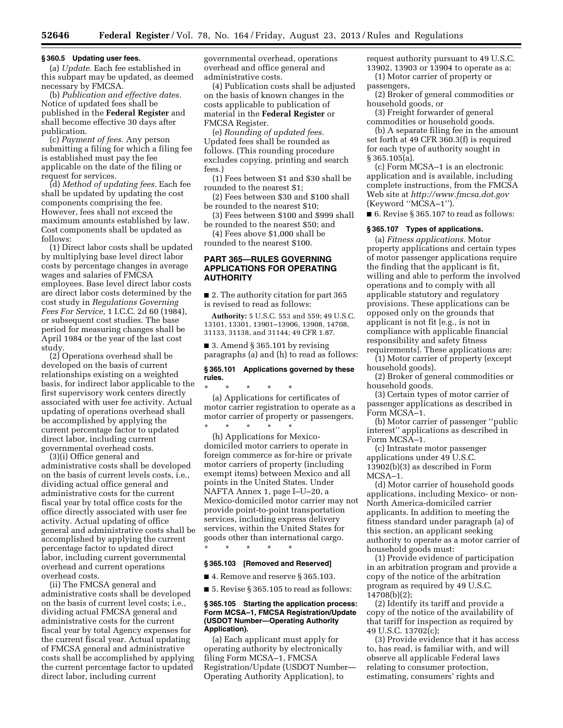#### **§ 360.5 Updating user fees.**

(a) *Update.* Each fee established in this subpart may be updated, as deemed necessary by FMCSA.

(b) *Publication and effective dates.*  Notice of updated fees shall be published in the **Federal Register** and shall become effective 30 days after publication.

(c) *Payment of fees.* Any person submitting a filing for which a filing fee is established must pay the fee applicable on the date of the filing or request for services.

(d) *Method of updating fees.* Each fee shall be updated by updating the cost components comprising the fee. However, fees shall not exceed the maximum amounts established by law. Cost components shall be updated as follows:

(1) Direct labor costs shall be updated by multiplying base level direct labor costs by percentage changes in average wages and salaries of FMCSA employees. Base level direct labor costs are direct labor costs determined by the cost study in *Regulations Governing Fees For Service,* 1 I.C.C. 2d 60 (1984), or subsequent cost studies. The base period for measuring changes shall be April 1984 or the year of the last cost study.

(2) Operations overhead shall be developed on the basis of current relationships existing on a weighted basis, for indirect labor applicable to the first supervisory work centers directly associated with user fee activity. Actual updating of operations overhead shall be accomplished by applying the current percentage factor to updated direct labor, including current governmental overhead costs.

(3)(i) Office general and administrative costs shall be developed on the basis of current levels costs, i.e., dividing actual office general and administrative costs for the current fiscal year by total office costs for the office directly associated with user fee activity. Actual updating of office general and administrative costs shall be accomplished by applying the current percentage factor to updated direct labor, including current governmental overhead and current operations overhead costs.

(ii) The FMCSA general and administrative costs shall be developed on the basis of current level costs; i.e., dividing actual FMCSA general and administrative costs for the current fiscal year by total Agency expenses for the current fiscal year. Actual updating of FMCSA general and administrative costs shall be accomplished by applying the current percentage factor to updated direct labor, including current

governmental overhead, operations overhead and office general and administrative costs.

(4) Publication costs shall be adjusted on the basis of known changes in the costs applicable to publication of material in the **Federal Register** or FMCSA Register.

(e) *Rounding of updated fees.*  Updated fees shall be rounded as follows. (This rounding procedure excludes copying, printing and search fees.)

(1) Fees between \$1 and \$30 shall be rounded to the nearest \$1;

(2) Fees between \$30 and \$100 shall be rounded to the nearest \$10;

(3) Fees between \$100 and \$999 shall be rounded to the nearest \$50; and

(4) Fees above \$1,000 shall be rounded to the nearest \$100.

# **PART 365—RULES GOVERNING APPLICATIONS FOR OPERATING AUTHORITY**

■ 2. The authority citation for part 365 is revised to read as follows:

**Authority:** 5 U.S.C. 553 and 559; 49 U.S.C. 13101, 13301, 13901–13906, 13908, 14708, 31133, 31138, and 31144; 49 CFR 1.87.

■ 3. Amend § 365.101 by revising paragraphs (a) and (h) to read as follows:

# **§ 365.101 Applications governed by these rules.**

\* \* \* \* \* (a) Applications for certificates of motor carrier registration to operate as a motor carrier of property or passengers. \* \* \* \* \*

(h) Applications for Mexicodomiciled motor carriers to operate in foreign commerce as for-hire or private motor carriers of property (including exempt items) between Mexico and all points in the United States. Under NAFTA Annex 1, page I–U–20, a Mexico-domiciled motor carrier may not provide point-to-point transportation services, including express delivery services, within the United States for goods other than international cargo. \* \* \* \* \*

#### **§ 365.103 [Removed and Reserved]**

■ 4. Remove and reserve § 365.103.

■ 5. Revise § 365.105 to read as follows:

#### **§ 365.105 Starting the application process: Form MCSA–1, FMCSA Registration/Update (USDOT Number—Operating Authority Application).**

(a) Each applicant must apply for operating authority by electronically filing Form MCSA–1, FMCSA Registration/Update (USDOT Number— Operating Authority Application), to

request authority pursuant to 49 U.S.C. 13902, 13903 or 13904 to operate as a: (1) Motor carrier of property or

passengers, (2) Broker of general commodities or

household goods, or

(3) Freight forwarder of general commodities or household goods.

(b) A separate filing fee in the amount set forth at 49 CFR 360.3(f) is required for each type of authority sought in § 365.105(a).

(c) Form MCSA–1 is an electronic application and is available, including complete instructions, from the FMCSA Web site at *<http://www.fmcsa.dot.gov>* (Keyword ''MCSA–1'').

■ 6. Revise § 365.107 to read as follows:

#### **§ 365.107 Types of applications.**

(a) *Fitness applications.* Motor property applications and certain types of motor passenger applications require the finding that the applicant is fit, willing and able to perform the involved operations and to comply with all applicable statutory and regulatory provisions. These applications can be opposed only on the grounds that applicant is not fit [e.g., is not in compliance with applicable financial responsibility and safety fitness requirements]. These applications are:

(1) Motor carrier of property (except household goods).

(2) Broker of general commodities or household goods.

(3) Certain types of motor carrier of passenger applications as described in Form MCSA–1.

(b) Motor carrier of passenger ''public interest'' applications as described in Form MCSA–1.

(c) Intrastate motor passenger applications under 49 U.S.C. 13902(b)(3) as described in Form MCSA–1.

(d) Motor carrier of household goods applications, including Mexico- or non-North America-domiciled carrier applicants. In addition to meeting the fitness standard under paragraph (a) of this section, an applicant seeking authority to operate as a motor carrier of household goods must:

(1) Provide evidence of participation in an arbitration program and provide a copy of the notice of the arbitration program as required by 49 U.S.C. 14708(b)(2);

(2) Identify its tariff and provide a copy of the notice of the availability of that tariff for inspection as required by 49 U.S.C. 13702(c);

(3) Provide evidence that it has access to, has read, is familiar with, and will observe all applicable Federal laws relating to consumer protection, estimating, consumers' rights and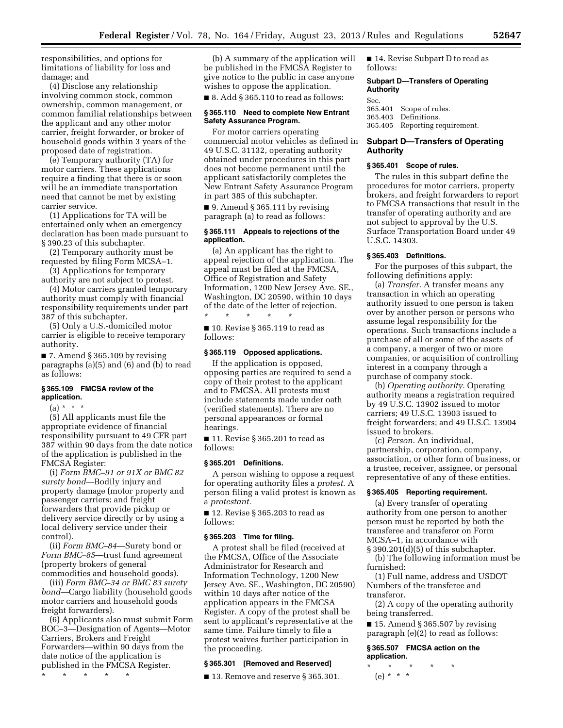responsibilities, and options for limitations of liability for loss and damage; and

(4) Disclose any relationship involving common stock, common ownership, common management, or common familial relationships between the applicant and any other motor carrier, freight forwarder, or broker of household goods within 3 years of the proposed date of registration.

(e) Temporary authority (TA) for motor carriers. These applications require a finding that there is or soon will be an immediate transportation need that cannot be met by existing carrier service.

(1) Applications for TA will be entertained only when an emergency declaration has been made pursuant to § 390.23 of this subchapter.

(2) Temporary authority must be requested by filing Form MCSA–1.

(3) Applications for temporary authority are not subject to protest.

(4) Motor carriers granted temporary authority must comply with financial responsibility requirements under part 387 of this subchapter.

(5) Only a U.S.-domiciled motor carrier is eligible to receive temporary authority.

■ 7. Amend § 365.109 by revising paragraphs (a)(5) and (6) and (b) to read as follows:

# **§ 365.109 FMCSA review of the application.**

 $(a) * * * *$ 

(5) All applicants must file the appropriate evidence of financial responsibility pursuant to 49 CFR part 387 within 90 days from the date notice of the application is published in the FMCSA Register:

(i) *Form BMC–91 or 91X or BMC 82 surety bond*—Bodily injury and property damage (motor property and passenger carriers; and freight forwarders that provide pickup or delivery service directly or by using a local delivery service under their control).

(ii) *Form BMC–84*—Surety bond or *Form BMC–85*—trust fund agreement (property brokers of general commodities and household goods).

(iii) *Form BMC–34 or BMC 83 surety bond*—Cargo liability (household goods motor carriers and household goods freight forwarders).

(6) Applicants also must submit Form BOC–3—Designation of Agents—Motor Carriers, Brokers and Freight Forwarders—within 90 days from the date notice of the application is published in the FMCSA Register.

\* \* \* \* \*

(b) A summary of the application will be published in the FMCSA Register to give notice to the public in case anyone wishes to oppose the application.

 $\blacksquare$  8. Add § 365.110 to read as follows:

#### **§ 365.110 Need to complete New Entrant Safety Assurance Program.**

For motor carriers operating commercial motor vehicles as defined in 49 U.S.C. 31132, operating authority obtained under procedures in this part does not become permanent until the applicant satisfactorily completes the New Entrant Safety Assurance Program in part 385 of this subchapter.

■ 9. Amend § 365.111 by revising paragraph (a) to read as follows:

# **§ 365.111 Appeals to rejections of the application.**

(a) An applicant has the right to appeal rejection of the application. The appeal must be filed at the FMCSA, Office of Registration and Safety Information, 1200 New Jersey Ave. SE., Washington, DC 20590, within 10 days of the date of the letter of rejection.

\* \* \* \* \* ■ 10. Revise § 365.119 to read as

follows:

# **§ 365.119 Opposed applications.**

If the application is opposed, opposing parties are required to send a copy of their protest to the applicant and to FMCSA. All protests must include statements made under oath (verified statements). There are no personal appearances or formal hearings.

■ 11. Revise § 365.201 to read as follows:

#### **§ 365.201 Definitions.**

A person wishing to oppose a request for operating authority files a *protest.* A person filing a valid protest is known as a *protestant.* 

■ 12. Revise § 365.203 to read as follows:

#### **§ 365.203 Time for filing.**

A protest shall be filed (received at the FMCSA, Office of the Associate Administrator for Research and Information Technology, 1200 New Jersey Ave. SE., Washington, DC 20590) within 10 days after notice of the application appears in the FMCSA Register. A copy of the protest shall be sent to applicant's representative at the same time. Failure timely to file a protest waives further participation in the proceeding.

#### **§ 365.301 [Removed and Reserved]**

■ 13. Remove and reserve § 365.301.

■ 14. Revise Subpart D to read as follows:

# **Subpart D—Transfers of Operating Authority**

Sec.<br>365.401 365.401 Scope of rules.<br>365.403 Definitions. Definitions. 365.405 Reporting requirement.

# **Subpart D—Transfers of Operating Authority**

# **§ 365.401 Scope of rules.**

The rules in this subpart define the procedures for motor carriers, property brokers, and freight forwarders to report to FMCSA transactions that result in the transfer of operating authority and are not subject to approval by the U.S. Surface Transportation Board under 49 U.S.C. 14303.

# **§ 365.403 Definitions.**

For the purposes of this subpart, the following definitions apply:

(a) *Transfer.* A transfer means any transaction in which an operating authority issued to one person is taken over by another person or persons who assume legal responsibility for the operations. Such transactions include a purchase of all or some of the assets of a company, a merger of two or more companies, or acquisition of controlling interest in a company through a purchase of company stock.

(b) *Operating authority.* Operating authority means a registration required by 49 U.S.C. 13902 issued to motor carriers; 49 U.S.C. 13903 issued to freight forwarders; and 49 U.S.C. 13904 issued to brokers.

(c) *Person.* An individual, partnership, corporation, company, association, or other form of business, or a trustee, receiver, assignee, or personal representative of any of these entities.

#### **§ 365.405 Reporting requirement.**

(a) Every transfer of operating authority from one person to another person must be reported by both the transferee and transferor on Form MCSA–1, in accordance with

§ 390.201(d)(5) of this subchapter. (b) The following information must be furnished:

(1) Full name, address and USDOT Numbers of the transferee and transferor.

(2) A copy of the operating authority being transferred.

 $\blacksquare$  15. Amend § 365.507 by revising paragraph (e)(2) to read as follows:

**§ 365.507 FMCSA action on the application.** 

\* \* \* \* \* (e) \* \* \*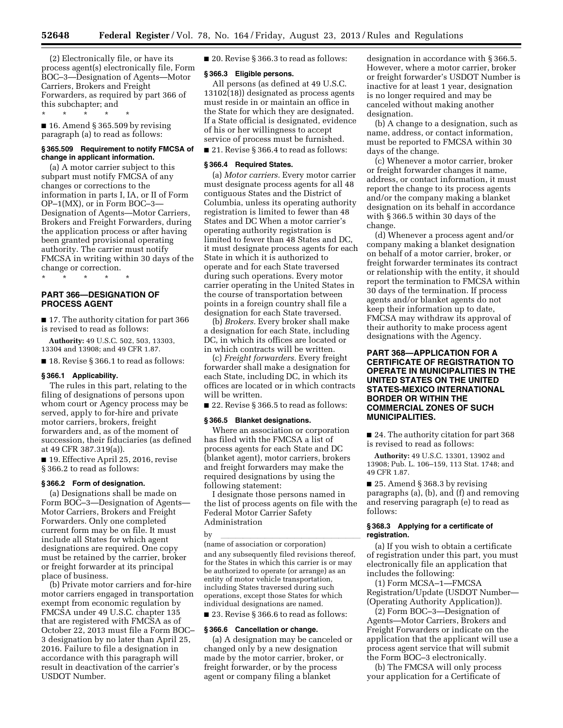(2) Electronically file, or have its process agent(s) electronically file, Form BOC–3—Designation of Agents—Motor Carriers, Brokers and Freight Forwarders, as required by part 366 of this subchapter; and

\* \* \* \* \*

 $\blacksquare$  16. Amend § 365.509 by revising paragraph (a) to read as follows:

# **§ 365.509 Requirement to notify FMCSA of change in applicant information.**

(a) A motor carrier subject to this subpart must notify FMCSA of any changes or corrections to the information in parts I, IA, or II of Form OP–1(MX), or in Form BOC–3— Designation of Agents—Motor Carriers, Brokers and Freight Forwarders, during the application process or after having been granted provisional operating authority. The carrier must notify FMCSA in writing within 30 days of the change or correction.

\* \* \* \* \*

# **PART 366—DESIGNATION OF PROCESS AGENT**

■ 17. The authority citation for part 366 is revised to read as follows:

**Authority:** 49 U.S.C. 502, 503, 13303, 13304 and 13908; and 49 CFR 1.87.

■ 18. Revise § 366.1 to read as follows:

#### **§ 366.1 Applicability.**

The rules in this part, relating to the filing of designations of persons upon whom court or Agency process may be served, apply to for-hire and private motor carriers, brokers, freight forwarders and, as of the moment of succession, their fiduciaries (as defined at 49 CFR 387.319(a)).

■ 19. Effective April 25, 2016, revise § 366.2 to read as follows:

#### **§ 366.2 Form of designation.**

(a) Designations shall be made on Form BOC–3—Designation of Agents— Motor Carriers, Brokers and Freight Forwarders. Only one completed current form may be on file. It must include all States for which agent designations are required. One copy must be retained by the carrier, broker or freight forwarder at its principal place of business.

(b) Private motor carriers and for-hire motor carriers engaged in transportation exempt from economic regulation by FMCSA under 49 U.S.C. chapter 135 that are registered with FMCSA as of October 22, 2013 must file a Form BOC– 3 designation by no later than April 25, 2016. Failure to file a designation in accordance with this paragraph will result in deactivation of the carrier's USDOT Number.

■ 20. Revise § 366.3 to read as follows:

#### **§ 366.3 Eligible persons.**

All persons (as defined at 49 U.S.C. 13102(18)) designated as process agents must reside in or maintain an office in the State for which they are designated. If a State official is designated, evidence of his or her willingness to accept service of process must be furnished. ■ 21. Revise § 366.4 to read as follows:

#### **§ 366.4 Required States.**

(a) *Motor carriers.* Every motor carrier must designate process agents for all 48 contiguous States and the District of Columbia, unless its operating authority registration is limited to fewer than 48 States and DC When a motor carrier's operating authority registration is limited to fewer than 48 States and DC, it must designate process agents for each State in which it is authorized to operate and for each State traversed during such operations. Every motor carrier operating in the United States in the course of transportation between points in a foreign country shall file a designation for each State traversed.

(b) *Brokers.* Every broker shall make a designation for each State, including DC, in which its offices are located or in which contracts will be written.

(c) *Freight forwarders.* Every freight forwarder shall make a designation for each State, including DC, in which its offices are located or in which contracts will be written.

■ 22. Revise § 366.5 to read as follows:

#### **§ 366.5 Blanket designations.**

Where an association or corporation has filed with the FMCSA a list of process agents for each State and DC (blanket agent), motor carriers, brokers and freight forwarders may make the required designations by using the following statement:

I designate those persons named in the list of process agents on file with the Federal Motor Carrier Safety Administration

by lllllllllllllllllll (name of association or corporation) and any subsequently filed revisions thereof,

for the States in which this carrier is or may be authorized to operate (or arrange) as an entity of motor vehicle transportation, including States traversed during such operations, except those States for which individual designations are named.

■ 23. Revise § 366.6 to read as follows:

#### **§ 366.6 Cancellation or change.**

(a) A designation may be canceled or changed only by a new designation made by the motor carrier, broker, or freight forwarder, or by the process agent or company filing a blanket

designation in accordance with § 366.5. However, where a motor carrier, broker or freight forwarder's USDOT Number is inactive for at least 1 year, designation is no longer required and may be canceled without making another designation.

(b) A change to a designation, such as name, address, or contact information, must be reported to FMCSA within 30 days of the change.

(c) Whenever a motor carrier, broker or freight forwarder changes it name, address, or contact information, it must report the change to its process agents and/or the company making a blanket designation on its behalf in accordance with § 366.5 within 30 days of the change.

(d) Whenever a process agent and/or company making a blanket designation on behalf of a motor carrier, broker, or freight forwarder terminates its contract or relationship with the entity, it should report the termination to FMCSA within 30 days of the termination. If process agents and/or blanket agents do not keep their information up to date, FMCSA may withdraw its approval of their authority to make process agent designations with the Agency.

# **PART 368—APPLICATION FOR A CERTIFICATE OF REGISTRATION TO OPERATE IN MUNICIPALITIES IN THE UNITED STATES ON THE UNITED STATES-MEXICO INTERNATIONAL BORDER OR WITHIN THE COMMERCIAL ZONES OF SUCH MUNICIPALITIES.**

■ 24. The authority citation for part 368 is revised to read as follows:

**Authority:** 49 U.S.C. 13301, 13902 and 13908; Pub. L. 106–159, 113 Stat. 1748; and 49 CFR 1.87.

■ 25. Amend § 368.3 by revising paragraphs (a), (b), and (f) and removing and reserving paragraph (e) to read as follows:

# **§ 368.3 Applying for a certificate of registration.**

(a) If you wish to obtain a certificate of registration under this part, you must electronically file an application that includes the following:

(1) Form MCSA–1—FMCSA Registration/Update (USDOT Number— (Operating Authority Application)).

(2) Form BOC–3—Designation of Agents—Motor Carriers, Brokers and Freight Forwarders or indicate on the application that the applicant will use a process agent service that will submit the Form BOC–3 electronically.

(b) The FMCSA will only process your application for a Certificate of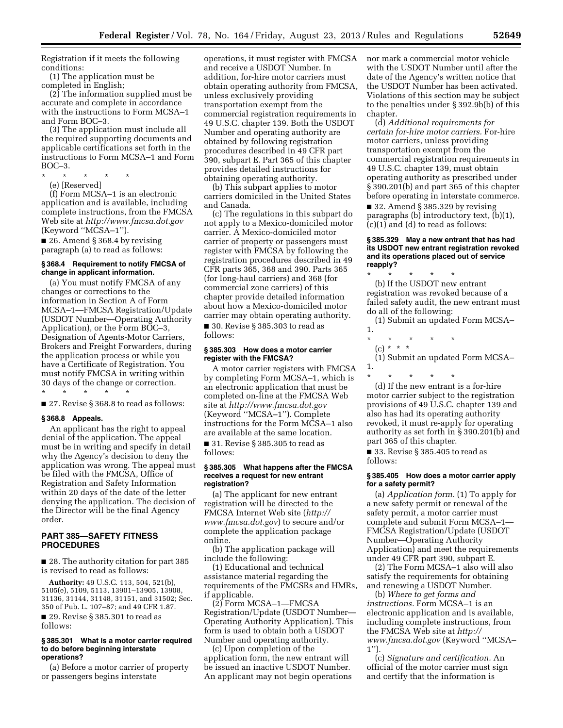Registration if it meets the following conditions:

(1) The application must be completed in English;

(2) The information supplied must be accurate and complete in accordance with the instructions to Form MCSA–1 and Form BOC–3.

(3) The application must include all the required supporting documents and applicable certifications set forth in the instructions to Form MCSA–1 and Form BOC–3.

\* \* \* \* \*

(e) [Reserved]

(f) Form MCSA–1 is an electronic application and is available, including complete instructions, from the FMCSA Web site at *<http://www.fmcsa.dot.gov>* (Keyword ''MCSA–1'').

■ 26. Amend § 368.4 by revising paragraph (a) to read as follows:

# **§ 368.4 Requirement to notify FMCSA of change in applicant information.**

(a) You must notify FMCSA of any changes or corrections to the information in Section A of Form MCSA–1—FMCSA Registration/Update (USDOT Number—Operating Authority Application), or the Form BOC-3, Designation of Agents-Motor Carriers, Brokers and Freight Forwarders, during the application process or while you have a Certificate of Registration. You must notify FMCSA in writing within 30 days of the change or correction. \* \* \* \* \*

■ 27. Revise § 368.8 to read as follows:

#### **§ 368.8 Appeals.**

An applicant has the right to appeal denial of the application. The appeal must be in writing and specify in detail why the Agency's decision to deny the application was wrong. The appeal must be filed with the FMCSA, Office of Registration and Safety Information within 20 days of the date of the letter denying the application. The decision of the Director will be the final Agency order.

# **PART 385—SAFETY FITNESS PROCEDURES**

■ 28. The authority citation for part 385 is revised to read as follows:

**Authority:** 49 U.S.C. 113, 504, 521(b), 5105(e), 5109, 5113, 13901–13905, 13908, 31136, 31144, 31148, 31151, and 31502; Sec. 350 of Pub. L. 107–87; and 49 CFR 1.87. ■ 29. Revise § 385.301 to read as

follows:

#### **§ 385.301 What is a motor carrier required to do before beginning interstate operations?**

(a) Before a motor carrier of property or passengers begins interstate

operations, it must register with FMCSA and receive a USDOT Number. In addition, for-hire motor carriers must obtain operating authority from FMCSA, unless exclusively providing transportation exempt from the commercial registration requirements in 49 U.S.C. chapter 139. Both the USDOT Number and operating authority are obtained by following registration procedures described in 49 CFR part 390, subpart E. Part 365 of this chapter provides detailed instructions for obtaining operating authority.

(b) This subpart applies to motor carriers domiciled in the United States and Canada.

(c) The regulations in this subpart do not apply to a Mexico-domiciled motor carrier. A Mexico-domiciled motor carrier of property or passengers must register with FMCSA by following the registration procedures described in 49 CFR parts 365, 368 and 390. Parts 365 (for long-haul carriers) and 368 (for commercial zone carriers) of this chapter provide detailed information about how a Mexico-domiciled motor carrier may obtain operating authority.

■ 30. Revise § 385.303 to read as follows:

#### **§ 385.303 How does a motor carrier register with the FMCSA?**

A motor carrier registers with FMCSA by completing Form MCSA–1, which is an electronic application that must be completed on-line at the FMCSA Web site at *<http://www.fmcsa.dot.gov>* (Keyword ''MCSA–1''). Complete instructions for the Form MCSA–1 also are available at the same location.

■ 31. Revise § 385.305 to read as follows:

#### **§ 385.305 What happens after the FMCSA receives a request for new entrant registration?**

(a) The applicant for new entrant registration will be directed to the FMCSA Internet Web site (*[http://](http://www.fmcsa.dot.gov) [www.fmcsa.dot.gov](http://www.fmcsa.dot.gov)*) to secure and/or complete the application package online.

(b) The application package will include the following:

(1) Educational and technical assistance material regarding the requirements of the FMCSRs and HMRs, if applicable.

(2) Form MCSA–1—FMCSA Registration/Update (USDOT Number— Operating Authority Application). This form is used to obtain both a USDOT Number and operating authority.

(c) Upon completion of the application form, the new entrant will be issued an inactive USDOT Number. An applicant may not begin operations nor mark a commercial motor vehicle with the USDOT Number until after the date of the Agency's written notice that the USDOT Number has been activated. Violations of this section may be subject to the penalties under § 392.9b(b) of this chapter.

(d) *Additional requirements for certain for-hire motor carriers.* For-hire motor carriers, unless providing transportation exempt from the commercial registration requirements in 49 U.S.C. chapter 139, must obtain operating authority as prescribed under § 390.201(b) and part 365 of this chapter before operating in interstate commerce.

 $\blacksquare$  32. Amend § 385.329 by revising paragraphs (b) introductory text, (b)(1), (c)(1) and (d) to read as follows:

#### **§ 385.329 May a new entrant that has had its USDOT new entrant registration revoked and its operations placed out of service reapply?**

\* \* \* \* \* (b) If the USDOT new entrant registration was revoked because of a failed safety audit, the new entrant must do all of the following:

(1) Submit an updated Form MCSA– 1.

- \* \* \* \* \*
- (c) \* \* \*

1.

(1) Submit an updated Form MCSA–

\* \* \* \* \* (d) If the new entrant is a for-hire motor carrier subject to the registration provisions of 49 U.S.C. chapter 139 and also has had its operating authority revoked, it must re-apply for operating authority as set forth in § 390.201(b) and part 365 of this chapter.

■ 33. Revise § 385.405 to read as follows:

# **§ 385.405 How does a motor carrier apply for a safety permit?**

(a) *Application form.* (1) To apply for a new safety permit or renewal of the safety permit, a motor carrier must complete and submit Form MCSA–1— FMCSA Registration/Update (USDOT Number—Operating Authority Application) and meet the requirements under 49 CFR part 390, subpart E.

(2) The Form MCSA–1 also will also satisfy the requirements for obtaining and renewing a USDOT Number.

(b) *Where to get forms and instructions.* Form MCSA–1 is an electronic application and is available, including complete instructions, from the FMCSA Web site at *[http://](http://www.fmcsa.dot.gov) [www.fmcsa.dot.gov](http://www.fmcsa.dot.gov)* (Keyword ''MCSA– 1'').

(c) *Signature and certification.* An official of the motor carrier must sign and certify that the information is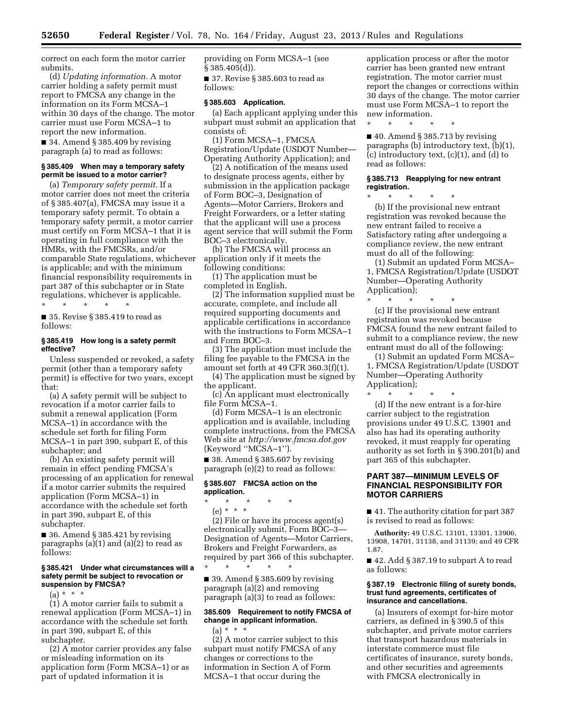correct on each form the motor carrier submits.

(d) *Updating information.* A motor carrier holding a safety permit must report to FMCSA any change in the information on its Form MCSA–1 within 30 days of the change. The motor carrier must use Form MCSA–1 to report the new information.

 $\blacksquare$  34. Amend § 385.409 by revising paragraph (a) to read as follows:

# **§ 385.409 When may a temporary safety permit be issued to a motor carrier?**

(a) *Temporary safety permit.* If a motor carrier does not meet the criteria of § 385.407(a), FMCSA may issue it a temporary safety permit. To obtain a temporary safety permit, a motor carrier must certify on Form MCSA–1 that it is operating in full compliance with the HMRs, with the FMCSRs, and/or comparable State regulations, whichever is applicable; and with the minimum financial responsibility requirements in part 387 of this subchapter or in State regulations, whichever is applicable. \* \* \* \* \*

■ 35. Revise § 385.419 to read as follows:

#### **§ 385.419 How long is a safety permit effective?**

Unless suspended or revoked, a safety permit (other than a temporary safety permit) is effective for two years, except that:

(a) A safety permit will be subject to revocation if a motor carrier fails to submit a renewal application (Form MCSA–1) in accordance with the schedule set forth for filing Form MCSA–1 in part 390, subpart E, of this subchapter; and

(b) An existing safety permit will remain in effect pending FMCSA's processing of an application for renewal if a motor carrier submits the required application (Form MCSA–1) in accordance with the schedule set forth in part 390, subpart E, of this subchapter.

 $\blacksquare$  36. Amend § 385.421 by revising paragraphs (a)(1) and (a)(2) to read as follows:

#### **§ 385.421 Under what circumstances will a safety permit be subject to revocation or suspension by FMCSA?**

 $(a) * * * *$ 

(1) A motor carrier fails to submit a renewal application (Form MCSA–1) in accordance with the schedule set forth in part 390, subpart E, of this subchapter.

(2) A motor carrier provides any false or misleading information on its application form (Form MCSA–1) or as part of updated information it is

providing on Form MCSA–1 (see  $§ 385.405(d)$ .

■ 37. Revise § 385.603 to read as follows:

#### **§ 385.603 Application.**

(a) Each applicant applying under this subpart must submit an application that consists of:

(1) Form MCSA–1, FMCSA Registration/Update (USDOT Number— Operating Authority Application); and

(2) A notification of the means used to designate process agents, either by submission in the application package of Form BOC–3, Designation of Agents—Motor Carriers, Brokers and Freight Forwarders, or a letter stating that the applicant will use a process agent service that will submit the Form BOC–3 electronically.

(b) The FMCSA will process an application only if it meets the following conditions:

(1) The application must be completed in English.

(2) The information supplied must be accurate, complete, and include all required supporting documents and applicable certifications in accordance with the instructions to Form MCSA–1 and Form BOC–3.

(3) The application must include the filing fee payable to the FMCSA in the amount set forth at 49 CFR 360.3(f)(1).

(4) The application must be signed by the applicant.

(c) An applicant must electronically file Form MCSA–1.

(d) Form MCSA–1 is an electronic application and is available, including complete instructions, from the FMCSA Web site at *<http://www.fmcsa.dot.gov>* (Keyword ''MCSA–1'').

■ 38. Amend § 385.607 by revising paragraph (e)(2) to read as follows:

# **§ 385.607 FMCSA action on the application.**

- \* \* \* \* \*
	- (e) \* \* \*

(2) File or have its process agent(s) electronically submit, Form BOC–3— Designation of Agents—Motor Carriers, Brokers and Freight Forwarders, as required by part 366 of this subchapter. \* \* \* \* \*

■ 39. Amend § 385.609 by revising paragraph (a)(2) and removing paragraph (a)(3) to read as follows:

# **385.609 Requirement to notify FMCSA of change in applicant information.**

 $(a) * * * *$ 

(2) A motor carrier subject to this subpart must notify FMCSA of any changes or corrections to the information in Section A of Form MCSA–1 that occur during the

application process or after the motor carrier has been granted new entrant registration. The motor carrier must report the changes or corrections within 30 days of the change. The motor carrier must use Form MCSA–1 to report the new information.

\* \* \* \* \*

■ 40. Amend § 385.713 by revising paragraphs (b) introductory text, (b)(1),  $(c)$  introductory text,  $(c)(1)$ , and  $(d)$  to read as follows:

#### **§ 385.713 Reapplying for new entrant registration.**

\* \* \* \* \*

(b) If the provisional new entrant registration was revoked because the new entrant failed to receive a Satisfactory rating after undergoing a compliance review, the new entrant must do all of the following:

(1) Submit an updated Form MCSA– 1, FMCSA Registration/Update (USDOT Number—Operating Authority Application);

\* \* \* \* \* (c) If the provisional new entrant registration was revoked because FMCSA found the new entrant failed to submit to a compliance review, the new entrant must do all of the following:

(1) Submit an updated Form MCSA– 1, FMCSA Registration/Update (USDOT Number—Operating Authority Application);

\* \* \* \* \* (d) If the new entrant is a for-hire carrier subject to the registration provisions under 49 U.S.C. 13901 and also has had its operating authority revoked, it must reapply for operating authority as set forth in § 390.201(b) and part 365 of this subchapter.

# **PART 387—MINIMUM LEVELS OF FINANCIAL RESPONSIBILITY FOR MOTOR CARRIERS**

■ 41. The authority citation for part 387 is revised to read as follows:

**Authority:** 49 U.S.C. 13101, 13301, 13906, 13908, 14701, 31138, and 31139; and 49 CFR 1.87.

■ 42. Add § 387.19 to subpart A to read as follows:

#### **§ 387.19 Electronic filing of surety bonds, trust fund agreements, certificates of insurance and cancellations.**

(a) Insurers of exempt for-hire motor carriers, as defined in § 390.5 of this subchapter, and private motor carriers that transport hazardous materials in interstate commerce must file certificates of insurance, surety bonds, and other securities and agreements with FMCSA electronically in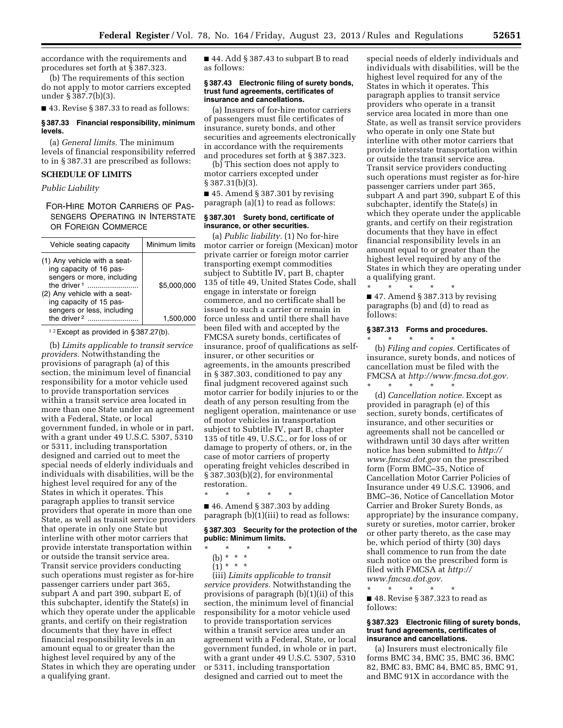accordance with the requirements and procedures set forth at § 387.323.

(b) The requirements of this section do not apply to motor carriers excepted under § 387.7(b)(3).

■ 43. Revise § 387.33 to read as follows:

#### **§ 387.33 Financial responsibility, minimum levels.**

(a) *General limits.* The minimum levels of financial responsibility referred to in § 387.31 are prescribed as follows:

#### **SCHEDULE OF LIMITS**

*Public Liability* 

FOR-HIRE MOTOR CARRIERS OF PAS-SENGERS OPERATING IN INTERSTATE OR FOREIGN COMMERCE

| Vehicle seating capacity                                                                                                                                                       | Minimum limits           |
|--------------------------------------------------------------------------------------------------------------------------------------------------------------------------------|--------------------------|
| (1) Any vehicle with a seat-<br>ing capacity of 16 pas-<br>sengers or more, including<br>(2) Any vehicle with a seat-<br>ing capacity of 15 pas-<br>sengers or less, including | \$5,000,000<br>1.500.000 |

 $12$  Except as provided in § 387.27(b).

(b) *Limits applicable to transit service providers.* Notwithstanding the provisions of paragraph (a) of this section, the minimum level of financial responsibility for a motor vehicle used to provide transportation services within a transit service area located in more than one State under an agreement with a Federal, State, or local government funded, in whole or in part, with a grant under 49 U.S.C. 5307, 5310 or 5311, including transportation designed and carried out to meet the special needs of elderly individuals and individuals with disabilities, will be the highest level required for any of the States in which it operates. This paragraph applies to transit service providers that operate in more than one State, as well as transit service providers that operate in only one State but interline with other motor carriers that provide interstate transportation within or outside the transit service area. Transit service providers conducting such operations must register as for-hire passenger carriers under part 365, subpart A and part 390, subpart E, of this subchapter, identify the State(s) in which they operate under the applicable grants, and certify on their registration documents that they have in effect financial responsibility levels in an amount equal to or greater than the highest level required by any of the States in which they are operating under a qualifying grant.

■ 44. Add § 387.43 to subpart B to read as follows:

#### **§ 387.43 Electronic filing of surety bonds, trust fund agreements, certificates of insurance and cancellations.**

(a) Insurers of for-hire motor carriers of passengers must file certificates of insurance, surety bonds, and other securities and agreements electronically in accordance with the requirements and procedures set forth at § 387.323.

(b) This section does not apply to motor carriers excepted under § 387.31(b)(3).

■ 45. Amend § 387.301 by revising paragraph (a)(1) to read as follows:

#### **§ 387.301 Surety bond, certificate of insurance, or other securities.**

(a) *Public liability.* (1) No for-hire motor carrier or foreign (Mexican) motor private carrier or foreign motor carrier transporting exempt commodities subject to Subtitle IV, part B, chapter 135 of title 49, United States Code, shall engage in interstate or foreign commerce, and no certificate shall be issued to such a carrier or remain in force unless and until there shall have been filed with and accepted by the FMCSA surety bonds, certificates of insurance, proof of qualifications as selfinsurer, or other securities or agreements, in the amounts prescribed in § 387.303, conditioned to pay any final judgment recovered against such motor carrier for bodily injuries to or the death of any person resulting from the negligent operation, maintenance or use of motor vehicles in transportation subject to Subtitle IV, part B, chapter 135 of title 49, U.S.C., or for loss of or damage to property of others, or, in the case of motor carriers of property operating freight vehicles described in § 387.303(b)(2), for environmental restoration.

\* \* \* \* \*  $\blacksquare$  46. Amend § 387.303 by adding paragraph (b)(1)(iii) to read as follows:

#### **§ 387.303 Security for the protection of the public: Minimum limits.**

\* \* \* \* \*

(b) \* \* \*

 $(1)^*$  \* \* \*

(iii) *Limits applicable to transit service providers.* Notwithstanding the provisions of paragraph (b)(1)(ii) of this section, the minimum level of financial responsibility for a motor vehicle used to provide transportation services within a transit service area under an agreement with a Federal, State, or local government funded, in whole or in part, with a grant under 49 U.S.C. 5307, 5310 or 5311, including transportation designed and carried out to meet the

special needs of elderly individuals and individuals with disabilities, will be the highest level required for any of the States in which it operates. This paragraph applies to transit service providers who operate in a transit service area located in more than one State, as well as transit service providers who operate in only one State but interline with other motor carriers that provide interstate transportation within or outside the transit service area. Transit service providers conducting such operations must register as for-hire passenger carriers under part 365, subpart A and part 390, subpart E of this subchapter, identify the State(s) in which they operate under the applicable grants, and certify on their registration documents that they have in effect financial responsibility levels in an amount equal to or greater than the highest level required by any of the States in which they are operating under a qualifying grant.

\* \* \* \* \* ■ 47. Amend § 387.313 by revising paragraphs (b) and (d) to read as follows:

#### **§ 387.313 Forms and procedures.**  \* \* \* \* \*

(b) *Filing and copies.* Certificates of insurance, surety bonds, and notices of cancellation must be filed with the FMCSA at *[http://www.fmcsa.dot.gov.](http://www.fmcsa.dot.gov)* 

\* \* \* \* \* (d) *Cancellation notice.* Except as provided in paragraph (e) of this section, surety bonds, certificates of insurance, and other securities or agreements shall not be cancelled or withdrawn until 30 days after written notice has been submitted to *[http://](http://www.fmcsa.dot.gov) [www.fmcsa.dot.gov](http://www.fmcsa.dot.gov)* on the prescribed form (Form BMC–35, Notice of Cancellation Motor Carrier Policies of Insurance under 49 U.S.C. 13906, and BMC–36, Notice of Cancellation Motor Carrier and Broker Surety Bonds, as appropriate) by the insurance company, surety or sureties, motor carrier, broker or other party thereto, as the case may be, which period of thirty (30) days shall commence to run from the date such notice on the prescribed form is filed with FMCSA at *[http://](http://www.fmcsa.dot.gov) [www.fmcsa.dot.gov.](http://www.fmcsa.dot.gov)* 

\* \* \* \* \* ■ 48. Revise § 387.323 to read as follows:

#### **§ 387.323 Electronic filing of surety bonds, trust fund agreements, certificates of insurance and cancellations.**

(a) Insurers must electronically file forms BMC 34, BMC 35, BMC 36, BMC 82, BMC 83, BMC 84, BMC 85, BMC 91, and BMC 91X in accordance with the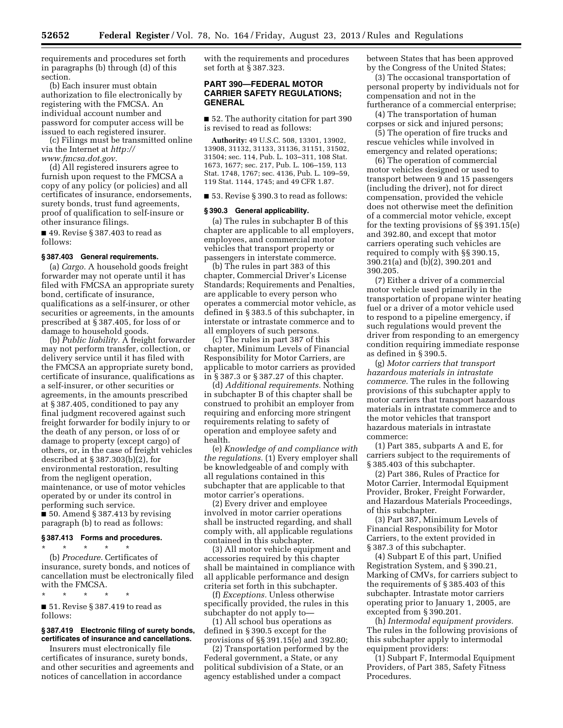requirements and procedures set forth in paragraphs (b) through (d) of this section.

(b) Each insurer must obtain authorization to file electronically by registering with the FMCSA. An individual account number and password for computer access will be issued to each registered insurer.

(c) Filings must be transmitted online via the Internet at *[http://](http://www.fmcsa.dot.gov) [www.fmcsa.dot.gov.](http://www.fmcsa.dot.gov)* 

(d) All registered insurers agree to furnish upon request to the FMCSA a copy of any policy (or policies) and all certificates of insurance, endorsements, surety bonds, trust fund agreements, proof of qualification to self-insure or other insurance filings.

■ 49. Revise § 387.403 to read as follows:

# **§ 387.403 General requirements.**

(a) *Cargo.* A household goods freight forwarder may not operate until it has filed with FMCSA an appropriate surety bond, certificate of insurance, qualifications as a self-insurer, or other securities or agreements, in the amounts prescribed at § 387.405, for loss of or damage to household goods.

(b) *Public liability.* A freight forwarder may not perform transfer, collection, or delivery service until it has filed with the FMCSA an appropriate surety bond, certificate of insurance, qualifications as a self-insurer, or other securities or agreements, in the amounts prescribed at § 387.405, conditioned to pay any final judgment recovered against such freight forwarder for bodily injury to or the death of any person, or loss of or damage to property (except cargo) of others, or, in the case of freight vehicles described at § 387.303(b)(2), for environmental restoration, resulting from the negligent operation, maintenance, or use of motor vehicles operated by or under its control in performing such service.

 $\overline{\bullet}$  50. Amend § 387.413 by revising paragraph (b) to read as follows:

#### **§ 387.413 Forms and procedures.**

\* \* \* \* \* (b) *Procedure.* Certificates of insurance, surety bonds, and notices of

cancellation must be electronically filed with the FMCSA. \* \* \* \* \*

■ 51. Revise § 387.419 to read as follows:

# **§ 387.419 Electronic filing of surety bonds, certificates of insurance and cancellations.**

Insurers must electronically file certificates of insurance, surety bonds, and other securities and agreements and notices of cancellation in accordance

with the requirements and procedures set forth at § 387.323.

# **PART 390—FEDERAL MOTOR CARRIER SAFETY REGULATIONS; GENERAL**

■ 52. The authority citation for part 390 is revised to read as follows:

**Authority:** 49 U.S.C. 508, 13301, 13902, 13908, 31132, 31133, 31136, 31151, 31502, 31504; sec. 114, Pub. L. 103–311, 108 Stat. 1673, 1677; sec. 217, Pub. L. 106–159, 113 Stat. 1748, 1767; sec. 4136, Pub. L. 109–59, 119 Stat. 1144, 1745; and 49 CFR 1.87.

#### ■ 53. Revise § 390.3 to read as follows:

#### **§ 390.3 General applicability.**

(a) The rules in subchapter B of this chapter are applicable to all employers, employees, and commercial motor vehicles that transport property or passengers in interstate commerce.

(b) The rules in part 383 of this chapter, Commercial Driver's License Standards; Requirements and Penalties, are applicable to every person who operates a commercial motor vehicle, as defined in § 383.5 of this subchapter, in interstate or intrastate commerce and to all employers of such persons.

(c) The rules in part 387 of this chapter, Minimum Levels of Financial Responsibility for Motor Carriers, are applicable to motor carriers as provided in § 387.3 or § 387.27 of this chapter.

(d) *Additional requirements.* Nothing in subchapter B of this chapter shall be construed to prohibit an employer from requiring and enforcing more stringent requirements relating to safety of operation and employee safety and health.

(e) *Knowledge of and compliance with the regulations.* (1) Every employer shall be knowledgeable of and comply with all regulations contained in this subchapter that are applicable to that motor carrier's operations.

(2) Every driver and employee involved in motor carrier operations shall be instructed regarding, and shall comply with, all applicable regulations contained in this subchapter.

(3) All motor vehicle equipment and accessories required by this chapter shall be maintained in compliance with all applicable performance and design criteria set forth in this subchapter.

(f) *Exceptions.* Unless otherwise specifically provided, the rules in this subchapter do not apply to—

(1) All school bus operations as defined in § 390.5 except for the provisions of §§ 391.15(e) and 392.80;

(2) Transportation performed by the Federal government, a State, or any political subdivision of a State, or an agency established under a compact

between States that has been approved by the Congress of the United States;

(3) The occasional transportation of personal property by individuals not for compensation and not in the furtherance of a commercial enterprise;

(4) The transportation of human corpses or sick and injured persons;

(5) The operation of fire trucks and rescue vehicles while involved in emergency and related operations;

(6) The operation of commercial motor vehicles designed or used to transport between 9 and 15 passengers (including the driver), not for direct compensation, provided the vehicle does not otherwise meet the definition of a commercial motor vehicle, except for the texting provisions of §§ 391.15(e) and 392.80, and except that motor carriers operating such vehicles are required to comply with §§ 390.15, 390.21(a) and (b)(2), 390.201 and 390.205.

(7) Either a driver of a commercial motor vehicle used primarily in the transportation of propane winter heating fuel or a driver of a motor vehicle used to respond to a pipeline emergency, if such regulations would prevent the driver from responding to an emergency condition requiring immediate response as defined in § 390.5.

(g) *Motor carriers that transport hazardous materials in intrastate commerce.* The rules in the following provisions of this subchapter apply to motor carriers that transport hazardous materials in intrastate commerce and to the motor vehicles that transport hazardous materials in intrastate commerce:

(1) Part 385, subparts A and E, for carriers subject to the requirements of § 385.403 of this subchapter.

(2) Part 386, Rules of Practice for Motor Carrier, Intermodal Equipment Provider, Broker, Freight Forwarder, and Hazardous Materials Proceedings, of this subchapter.

(3) Part 387, Minimum Levels of Financial Responsibility for Motor Carriers, to the extent provided in § 387.3 of this subchapter.

(4) Subpart E of this part, Unified Registration System, and § 390.21, Marking of CMVs, for carriers subject to the requirements of § 385.403 of this subchapter. Intrastate motor carriers operating prior to January 1, 2005, are excepted from § 390.201.

(h) *Intermodal equipment providers.*  The rules in the following provisions of this subchapter apply to intermodal equipment providers:

(1) Subpart F, Intermodal Equipment Providers, of Part 385, Safety Fitness Procedures.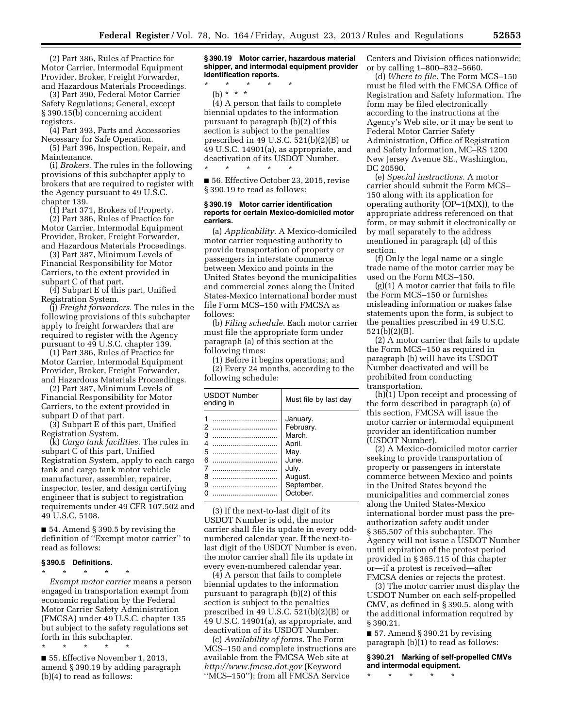(2) Part 386, Rules of Practice for Motor Carrier, Intermodal Equipment Provider, Broker, Freight Forwarder, and Hazardous Materials Proceedings.

(3) Part 390, Federal Motor Carrier Safety Regulations; General, except § 390.15(b) concerning accident registers.

(4) Part 393, Parts and Accessories Necessary for Safe Operation.

(5) Part 396, Inspection, Repair, and Maintenance.

(i) *Brokers.* The rules in the following provisions of this subchapter apply to brokers that are required to register with the Agency pursuant to 49 U.S.C. chapter 139.

(1) Part 371, Brokers of Property. (2) Part 386, Rules of Practice for Motor Carrier, Intermodal Equipment Provider, Broker, Freight Forwarder, and Hazardous Materials Proceedings.

(3) Part 387, Minimum Levels of Financial Responsibility for Motor Carriers, to the extent provided in subpart C of that part.

(4) Subpart E of this part, Unified Registration System.

(j) *Freight forwarders.* The rules in the following provisions of this subchapter apply to freight forwarders that are required to register with the Agency pursuant to 49 U.S.C. chapter 139.

(1) Part 386, Rules of Practice for Motor Carrier, Intermodal Equipment Provider, Broker, Freight Forwarder, and Hazardous Materials Proceedings.

(2) Part 387, Minimum Levels of Financial Responsibility for Motor Carriers, to the extent provided in subpart D of that part.

(3) Subpart E of this part, Unified Registration System.

(k) *Cargo tank facilities.* The rules in subpart C of this part, Unified Registration System, apply to each cargo tank and cargo tank motor vehicle manufacturer, assembler, repairer, inspector, tester, and design certifying engineer that is subject to registration requirements under 49 CFR 107.502 and 49 U.S.C. 5108.

■ 54. Amend § 390.5 by revising the definition of ''Exempt motor carrier'' to read as follows:

#### **§ 390.5 Definitions.**

\* \* \* \* \*

*Exempt motor carrier* means a person engaged in transportation exempt from economic regulation by the Federal Motor Carrier Safety Administration (FMCSA) under 49 U.S.C. chapter 135 but subject to the safety regulations set forth in this subchapter.

\* \* \* \* \*

■ 55. Effective November 1, 2013, amend § 390.19 by adding paragraph (b)(4) to read as follows:

**§ 390.19 Motor carrier, hazardous material shipper, and intermodal equipment provider identification reports.** 

\* \* \* \* \*

\* \* \* \* \*

(b) \* \* \*

(4) A person that fails to complete biennial updates to the information pursuant to paragraph (b)(2) of this section is subject to the penalties prescribed in 49 U.S.C. 521(b)(2)(B) or 49 U.S.C. 14901(a), as appropriate, and deactivation of its USDOT Number.

■ 56. Effective October 23, 2015, revise § 390.19 to read as follows:

#### **§ 390.19 Motor carrier identification reports for certain Mexico-domiciled motor carriers.**

(a) *Applicability.* A Mexico-domiciled motor carrier requesting authority to provide transportation of property or passengers in interstate commerce between Mexico and points in the United States beyond the municipalities and commercial zones along the United States-Mexico international border must file Form MCS–150 with FMCSA as follows:

(b) *Filing schedule.* Each motor carrier must file the appropriate form under paragraph (a) of this section at the following times:

(1) Before it begins operations; and (2) Every 24 months, according to the following schedule:

| <b>USDOT Number</b><br>ending in      | Must file by last day                                                                        |
|---------------------------------------|----------------------------------------------------------------------------------------------|
| 1.<br>2<br>3<br>4<br>6<br>7<br>8<br>9 | January.<br>February.<br>March.<br>April.<br>May.<br>June.<br>July.<br>August.<br>September. |
| O<br>                                 | October.                                                                                     |

(3) If the next-to-last digit of its USDOT Number is odd, the motor carrier shall file its update in every oddnumbered calendar year. If the next-tolast digit of the USDOT Number is even, the motor carrier shall file its update in every even-numbered calendar year.

(4) A person that fails to complete biennial updates to the information pursuant to paragraph (b)(2) of this section is subject to the penalties prescribed in 49 U.S.C. 521(b)(2)(B) or 49 U.S.C. 14901(a), as appropriate, and deactivation of its USDOT Number.

(c) *Availability of forms.* The Form MCS–150 and complete instructions are available from the FMCSA Web site at *<http://www.fmcsa.dot.gov>*(Keyword ''MCS–150''); from all FMCSA Service

Centers and Division offices nationwide; or by calling 1–800–832–5660.

(d) *Where to file.* The Form MCS–150 must be filed with the FMCSA Office of Registration and Safety Information. The form may be filed electronically according to the instructions at the Agency's Web site, or it may be sent to Federal Motor Carrier Safety Administration, Office of Registration and Safety Information, MC–RS 1200 New Jersey Avenue SE., Washington, DC 20590.

(e) *Special instructions.* A motor carrier should submit the Form MCS– 150 along with its application for operating authority (OP–1(MX)), to the appropriate address referenced on that form, or may submit it electronically or by mail separately to the address mentioned in paragraph (d) of this section.

(f) Only the legal name or a single trade name of the motor carrier may be used on the Form MCS–150.

(g)(1) A motor carrier that fails to file the Form MCS–150 or furnishes misleading information or makes false statements upon the form, is subject to the penalties prescribed in 49 U.S.C. 521(b)(2)(B).

(2) A motor carrier that fails to update the Form MCS–150 as required in paragraph (b) will have its USDOT Number deactivated and will be prohibited from conducting transportation.

(h)(1) Upon receipt and processing of the form described in paragraph (a) of this section, FMCSA will issue the motor carrier or intermodal equipment provider an identification number (USDOT Number).

(2) A Mexico-domiciled motor carrier seeking to provide transportation of property or passengers in interstate commerce between Mexico and points in the United States beyond the municipalities and commercial zones along the United States-Mexico international border must pass the preauthorization safety audit under § 365.507 of this subchapter. The Agency will not issue a USDOT Number until expiration of the protest period provided in § 365.115 of this chapter or—if a protest is received—after FMCSA denies or rejects the protest.

(3) The motor carrier must display the USDOT Number on each self-propelled CMV, as defined in § 390.5, along with the additional information required by § 390.21.

■ 57. Amend § 390.21 by revising paragraph (b)(1) to read as follows:

**§ 390.21 Marking of self-propelled CMVs and intermodal equipment.** 

\* \* \* \* \*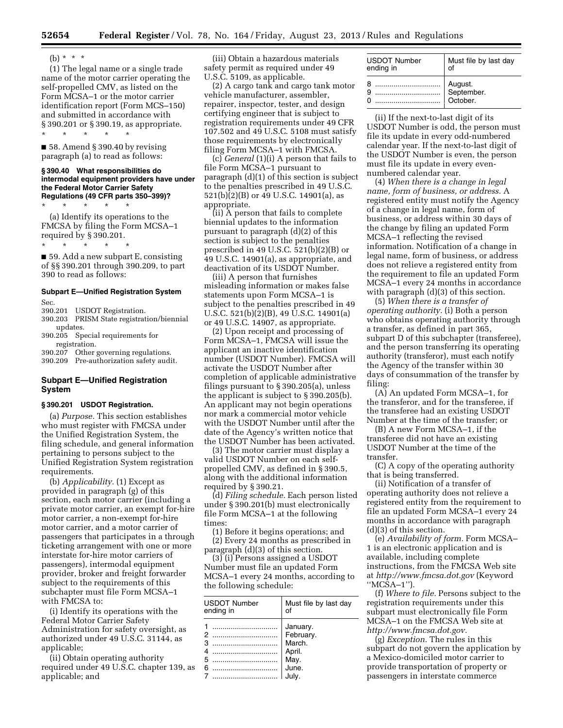(b) \* \* \*

(1) The legal name or a single trade name of the motor carrier operating the self-propelled CMV, as listed on the Form MCSA–1 or the motor carrier identification report (Form MCS–150) and submitted in accordance with § 390.201 or § 390.19, as appropriate. \* \* \* \* \*

 $\blacksquare$  58. Amend § 390.40 by revising paragraph (a) to read as follows:

# **§ 390.40 What responsibilities do intermodal equipment providers have under the Federal Motor Carrier Safety Regulations (49 CFR parts 350–399)?**

\* \* \* \* \*

(a) Identify its operations to the FMCSA by filing the Form MCSA–1 required by § 390.201.

\* \* \* \* \*

■ 59. Add a new subpart E, consisting of §§ 390.201 through 390.209, to part 390 to read as follows:

# **Subpart E—Unified Registration System**

Sec.

390.201 USDOT Registration.

390.203 PRISM State registration/biennial updates.

|               | 390.205 Special requirements for |
|---------------|----------------------------------|
| registration. |                                  |
|               |                                  |

390.207 Other governing regulations. 390.209 Pre-authorization safety audit.

# **Subpart E—Unified Registration System**

# **§ 390.201 USDOT Registration.**

(a) *Purpose.* This section establishes who must register with FMCSA under the Unified Registration System, the filing schedule, and general information pertaining to persons subject to the Unified Registration System registration requirements.

(b) *Applicability.* (1) Except as provided in paragraph (g) of this section, each motor carrier (including a private motor carrier, an exempt for-hire motor carrier, a non-exempt for-hire motor carrier, and a motor carrier of passengers that participates in a through ticketing arrangement with one or more interstate for-hire motor carriers of passengers), intermodal equipment provider, broker and freight forwarder subject to the requirements of this subchapter must file Form MCSA–1 with FMCSA to:

(i) Identify its operations with the Federal Motor Carrier Safety Administration for safety oversight, as authorized under 49 U.S.C. 31144, as applicable;

(ii) Obtain operating authority required under 49 U.S.C. chapter 139, as applicable; and

(iii) Obtain a hazardous materials safety permit as required under 49 U.S.C. 5109, as applicable.

(2) A cargo tank and cargo tank motor vehicle manufacturer, assembler, repairer, inspector, tester, and design certifying engineer that is subject to registration requirements under 49 CFR 107.502 and 49 U.S.C. 5108 must satisfy those requirements by electronically filing Form MCSA–1 with FMCSA.

(c) *General* (1)(i) A person that fails to file Form MCSA–1 pursuant to paragraph (d)(1) of this section is subject to the penalties prescribed in 49 U.S.C. 521(b)(2)(B) or 49 U.S.C. 14901(a), as appropriate.

(ii) A person that fails to complete biennial updates to the information pursuant to paragraph (d)(2) of this section is subject to the penalties prescribed in 49 U.S.C. 521(b)(2)(B) or 49 U.S.C. 14901(a), as appropriate, and deactivation of its USDOT Number.

(iii) A person that furnishes misleading information or makes false statements upon Form MCSA–1 is subject to the penalties prescribed in 49 U.S.C. 521(b)(2)(B), 49 U.S.C. 14901(a) or 49 U.S.C. 14907, as appropriate.

(2) Upon receipt and processing of Form MCSA–1, FMCSA will issue the applicant an inactive identification number (USDOT Number). FMCSA will activate the USDOT Number after completion of applicable administrative filings pursuant to § 390.205(a), unless the applicant is subject to § 390.205(b). An applicant may not begin operations nor mark a commercial motor vehicle with the USDOT Number until after the date of the Agency's written notice that the USDOT Number has been activated.

(3) The motor carrier must display a valid USDOT Number on each selfpropelled CMV, as defined in § 390.5, along with the additional information required by § 390.21.

(d) *Filing schedule.* Each person listed under § 390.201(b) must electronically file Form MCSA–1 at the following times:

(1) Before it begins operations; and (2) Every 24 months as prescribed in paragraph (d)(3) of this section.

(3) (i) Persons assigned a USDOT Number must file an updated Form MCSA–1 every 24 months, according to the following schedule:

| <b>USDOT Number</b>         | Must file by last day                                               |
|-----------------------------|---------------------------------------------------------------------|
| ending in                   | ∩f                                                                  |
| 2<br>3<br>4<br>5<br>ิค<br>7 | January.<br>February.<br>March.<br>April.<br>May.<br>June.<br>Julv. |

| <b>USDOT Number</b><br>ending in | Must file by last day             |
|----------------------------------|-----------------------------------|
| 8<br>9                           | August.<br>September.<br>October. |

(ii) If the next-to-last digit of its USDOT Number is odd, the person must file its update in every odd-numbered calendar year. If the next-to-last digit of the USDOT Number is even, the person must file its update in every evennumbered calendar year.

(4) *When there is a change in legal name, form of business, or address.* A registered entity must notify the Agency of a change in legal name, form of business, or address within 30 days of the change by filing an updated Form MCSA–1 reflecting the revised information. Notification of a change in legal name, form of business, or address does not relieve a registered entity from the requirement to file an updated Form MCSA–1 every 24 months in accordance with paragraph  $(d)(3)$  of this section.

(5) *When there is a transfer of operating authority.* (i) Both a person who obtains operating authority through a transfer, as defined in part 365, subpart D of this subchapter (transferee), and the person transferring its operating authority (transferor), must each notify the Agency of the transfer within 30 days of consummation of the transfer by filing:

(A) An updated Form MCSA–1, for the transferor, and for the transferee, if the transferee had an existing USDOT Number at the time of the transfer; or

(B) A new Form MCSA–1, if the transferee did not have an existing USDOT Number at the time of the transfer.

(C) A copy of the operating authority that is being transferred.

(ii) Notification of a transfer of operating authority does not relieve a registered entity from the requirement to file an updated Form MCSA–1 every 24 months in accordance with paragraph (d)(3) of this section.

(e) *Availability of form.* Form MCSA– 1 is an electronic application and is available, including complete instructions, from the FMCSA Web site at *<http://www.fmcsa.dot.gov>*(Keyword ''MCSA–1'').

(f) *Where to file.* Persons subject to the registration requirements under this subpart must electronically file Form MCSA–1 on the FMCSA Web site at *[http://www.fmcsa.dot.gov.](http://www.fmcsa.dot.gov)* 

(g) *Exception.* The rules in this subpart do not govern the application by a Mexico-domiciled motor carrier to provide transportation of property or passengers in interstate commerce